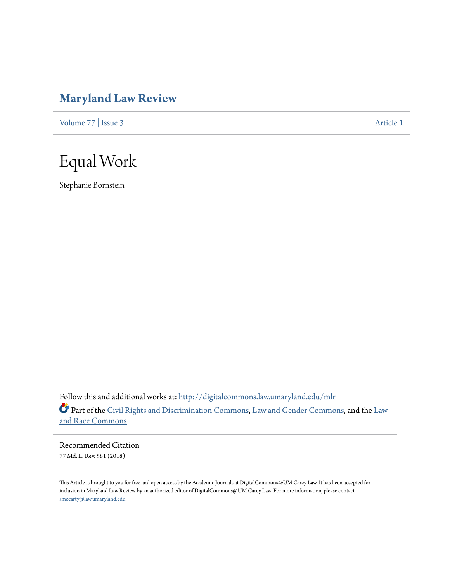# **[Maryland Law Review](http://digitalcommons.law.umaryland.edu/mlr?utm_source=digitalcommons.law.umaryland.edu%2Fmlr%2Fvol77%2Fiss3%2F1&utm_medium=PDF&utm_campaign=PDFCoverPages)**

[Volume 77](http://digitalcommons.law.umaryland.edu/mlr/vol77?utm_source=digitalcommons.law.umaryland.edu%2Fmlr%2Fvol77%2Fiss3%2F1&utm_medium=PDF&utm_campaign=PDFCoverPages) | [Issue 3](http://digitalcommons.law.umaryland.edu/mlr/vol77/iss3?utm_source=digitalcommons.law.umaryland.edu%2Fmlr%2Fvol77%2Fiss3%2F1&utm_medium=PDF&utm_campaign=PDFCoverPages) [Article 1](http://digitalcommons.law.umaryland.edu/mlr/vol77/iss3/1?utm_source=digitalcommons.law.umaryland.edu%2Fmlr%2Fvol77%2Fiss3%2F1&utm_medium=PDF&utm_campaign=PDFCoverPages)



Stephanie Bornstein

Follow this and additional works at: [http://digitalcommons.law.umaryland.edu/mlr](http://digitalcommons.law.umaryland.edu/mlr?utm_source=digitalcommons.law.umaryland.edu%2Fmlr%2Fvol77%2Fiss3%2F1&utm_medium=PDF&utm_campaign=PDFCoverPages) Part of the [Civil Rights and Discrimination Commons,](http://network.bepress.com/hgg/discipline/585?utm_source=digitalcommons.law.umaryland.edu%2Fmlr%2Fvol77%2Fiss3%2F1&utm_medium=PDF&utm_campaign=PDFCoverPages) [Law and Gender Commons](http://network.bepress.com/hgg/discipline/1298?utm_source=digitalcommons.law.umaryland.edu%2Fmlr%2Fvol77%2Fiss3%2F1&utm_medium=PDF&utm_campaign=PDFCoverPages), and the [Law](http://network.bepress.com/hgg/discipline/1300?utm_source=digitalcommons.law.umaryland.edu%2Fmlr%2Fvol77%2Fiss3%2F1&utm_medium=PDF&utm_campaign=PDFCoverPages) [and Race Commons](http://network.bepress.com/hgg/discipline/1300?utm_source=digitalcommons.law.umaryland.edu%2Fmlr%2Fvol77%2Fiss3%2F1&utm_medium=PDF&utm_campaign=PDFCoverPages)

Recommended Citation 77 Md. L. Rev. 581 (2018)

This Article is brought to you for free and open access by the Academic Journals at DigitalCommons@UM Carey Law. It has been accepted for inclusion in Maryland Law Review by an authorized editor of DigitalCommons@UM Carey Law. For more information, please contact [smccarty@law.umaryland.edu.](mailto:smccarty@law.umaryland.edu)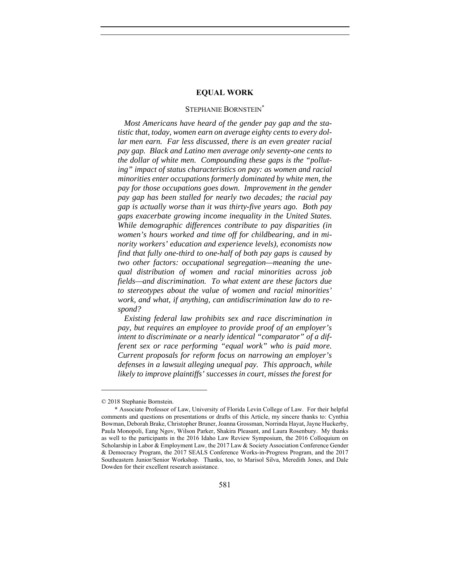#### STEPHANIE BORNSTEIN<sup>\*</sup>

 *Most Americans have heard of the gender pay gap and the statistic that, today, women earn on average eighty cents to every dollar men earn. Far less discussed, there is an even greater racial pay gap. Black and Latino men average only seventy-one cents to the dollar of white men. Compounding these gaps is the "polluting" impact of status characteristics on pay: as women and racial minorities enter occupations formerly dominated by white men, the pay for those occupations goes down. Improvement in the gender pay gap has been stalled for nearly two decades; the racial pay gap is actually worse than it was thirty-five years ago. Both pay gaps exacerbate growing income inequality in the United States. While demographic differences contribute to pay disparities (in women's hours worked and time off for childbearing, and in minority workers' education and experience levels), economists now find that fully one-third to one-half of both pay gaps is caused by two other factors: occupational segregation—meaning the unequal distribution of women and racial minorities across job fields—and discrimination. To what extent are these factors due to stereotypes about the value of women and racial minorities' work, and what, if anything, can antidiscrimination law do to respond?* 

 *Existing federal law prohibits sex and race discrimination in pay, but requires an employee to provide proof of an employer's intent to discriminate or a nearly identical "comparator" of a different sex or race performing "equal work" who is paid more. Current proposals for reform focus on narrowing an employer's defenses in a lawsuit alleging unequal pay. This approach, while likely to improve plaintiffs' successes in court, misses the forest for* 

<sup>© 2018</sup> Stephanie Bornstein.

<sup>\*</sup> Associate Professor of Law, University of Florida Levin College of Law. For their helpful comments and questions on presentations or drafts of this Article, my sincere thanks to: Cynthia Bowman, Deborah Brake, Christopher Bruner, Joanna Grossman, Norrinda Hayat, Jayne Huckerby, Paula Monopoli, Eang Ngov, Wilson Parker, Shakira Pleasant, and Laura Rosenbury. My thanks as well to the participants in the 2016 Idaho Law Review Symposium, the 2016 Colloquium on Scholarship in Labor & Employment Law, the 2017 Law & Society Association Conference Gender & Democracy Program, the 2017 SEALS Conference Works-in-Progress Program, and the 2017 Southeastern Junior/Senior Workshop. Thanks, too, to Marisol Silva, Meredith Jones, and Dale Dowden for their excellent research assistance.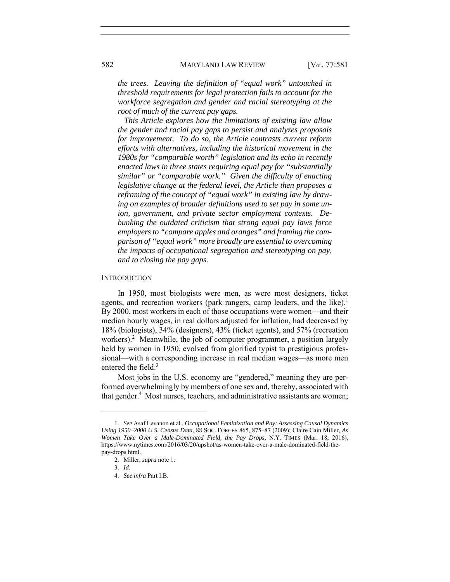*the trees. Leaving the definition of "equal work" untouched in threshold requirements for legal protection fails to account for the workforce segregation and gender and racial stereotyping at the root of much of the current pay gaps.* 

 *This Article explores how the limitations of existing law allow the gender and racial pay gaps to persist and analyzes proposals for improvement. To do so, the Article contrasts current reform efforts with alternatives, including the historical movement in the 1980s for "comparable worth" legislation and its echo in recently enacted laws in three states requiring equal pay for "substantially similar" or "comparable work." Given the difficulty of enacting legislative change at the federal level, the Article then proposes a reframing of the concept of "equal work" in existing law by drawing on examples of broader definitions used to set pay in some union, government, and private sector employment contexts. Debunking the outdated criticism that strong equal pay laws force employers to "compare apples and oranges" and framing the comparison of "equal work" more broadly are essential to overcoming the impacts of occupational segregation and stereotyping on pay, and to closing the pay gaps.* 

#### **INTRODUCTION**

In 1950, most biologists were men, as were most designers, ticket agents, and recreation workers (park rangers, camp leaders, and the like).<sup>1</sup> By 2000, most workers in each of those occupations were women—and their median hourly wages, in real dollars adjusted for inflation, had decreased by 18% (biologists), 34% (designers), 43% (ticket agents), and 57% (recreation workers).<sup>2</sup> Meanwhile, the job of computer programmer, a position largely held by women in 1950, evolved from glorified typist to prestigious professional—with a corresponding increase in real median wages—as more men entered the field.<sup>3</sup>

Most jobs in the U.S. economy are "gendered," meaning they are performed overwhelmingly by members of one sex and, thereby, associated with that gender.<sup>4</sup> Most nurses, teachers, and administrative assistants are women;

 <sup>1.</sup> *See* Asaf Levanon et al., *Occupational Feminization and Pay: Assessing Causal Dynamics Using 1950–2000 U.S. Census Data*, 88 SOC. FORCES 865, 875–87 (2009); Claire Cain Miller, *As Women Take Over a Male-Dominated Field, the Pay Drops*, N.Y. TIMES (Mar. 18, 2016), https://www.nytimes.com/2016/03/20/upshot/as-women-take-over-a-male-dominated-field-thepay-drops.html.

 <sup>2.</sup> Miller, *supra* note 1.

 <sup>3.</sup> *Id.*

 <sup>4.</sup> *See infra* Part I.B.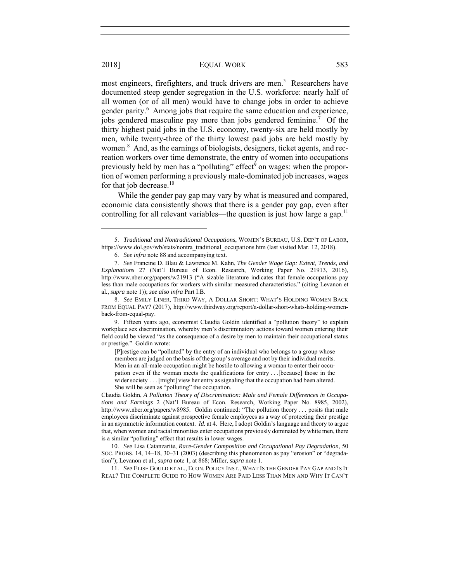most engineers, firefighters, and truck drivers are men.<sup>5</sup> Researchers have documented steep gender segregation in the U.S. workforce: nearly half of all women (or of all men) would have to change jobs in order to achieve gender parity.<sup>6</sup> Among jobs that require the same education and experience, jobs gendered masculine pay more than jobs gendered feminine.<sup>7</sup> Of the thirty highest paid jobs in the U.S. economy, twenty-six are held mostly by men, while twenty-three of the thirty lowest paid jobs are held mostly by women.<sup>8</sup> And, as the earnings of biologists, designers, ticket agents, and recreation workers over time demonstrate, the entry of women into occupations previously held by men has a "polluting" effect<sup>9</sup> on wages: when the proportion of women performing a previously male-dominated job increases, wages for that job decrease. $10$ 

While the gender pay gap may vary by what is measured and compared, economic data consistently shows that there is a gender pay gap, even after controlling for all relevant variables—the question is just how large a gap.<sup>11</sup>

 11. *See* ELISE GOULD ET AL., ECON. POLICY INST., WHAT IS THE GENDER PAY GAP AND IS IT REAL? THE COMPLETE GUIDE TO HOW WOMEN ARE PAID LESS THAN MEN AND WHY IT CAN'T

 <sup>5.</sup> *Traditional and Nontraditional Occupations*, WOMEN'S BUREAU, U.S. DEP'T OF LABOR, https://www.dol.gov/wb/stats/nontra\_traditional\_occupations.htm (last visited Mar. 12, 2018).

 <sup>6.</sup> *See infra* note 88 and accompanying text.

 <sup>7.</sup> *See* Francine D. Blau & Lawrence M. Kahn, *The Gender Wage Gap: Extent, Trends, and Explanations* 27 (Nat'l Bureau of Econ. Research, Working Paper No. 21913, 2016), http://www.nber.org/papers/w21913 ("A sizable literature indicates that female occupations pay less than male occupations for workers with similar measured characteristics." (citing Levanon et al., *supra* note 1)); *see also infra* Part I.B.

 <sup>8.</sup> *See* EMILY LINER, THIRD WAY, A DOLLAR SHORT: WHAT'S HOLDING WOMEN BACK FROM EQUAL PAY? (2017), http://www.thirdway.org/report/a-dollar-short-whats-holding-womenback-from-equal-pay.

 <sup>9.</sup> Fifteen years ago, economist Claudia Goldin identified a "pollution theory" to explain workplace sex discrimination, whereby men's discriminatory actions toward women entering their field could be viewed "as the consequence of a desire by men to maintain their occupational status or prestige." Goldin wrote:

<sup>[</sup>P]restige can be "polluted" by the entry of an individual who belongs to a group whose members are judged on the basis of the group's average and not by their individual merits. Men in an all-male occupation might be hostile to allowing a woman to enter their occupation even if the woman meets the qualifications for entry . . .[because] those in the wider society . . . [might] view her entry as signaling that the occupation had been altered. She will be seen as "polluting" the occupation.

Claudia Goldin, *A Pollution Theory of Discrimination: Male and Female Differences in Occupations and Earnings* 2 (Nat'l Bureau of Econ. Research, Working Paper No. 8985, 2002), http://www.nber.org/papers/w8985. Goldin continued: "The pollution theory . . . posits that male employees discriminate against prospective female employees as a way of protecting their prestige in an asymmetric information context. *Id.* at 4. Here, I adopt Goldin's language and theory to argue that, when women and racial minorities enter occupations previously dominated by white men, there is a similar "polluting" effect that results in lower wages.

 <sup>10.</sup> *See* Lisa Catanzarite, *Race-Gender Composition and Occupational Pay Degradation*, 50 SOC. PROBS. 14, 14–18, 30–31 (2003) (describing this phenomenon as pay "erosion" or "degradation"); Levanon et al., *supra* note 1, at 868; Miller, *supra* note 1.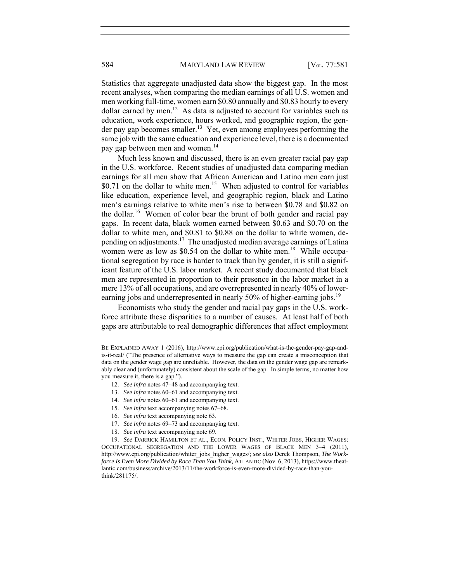Statistics that aggregate unadjusted data show the biggest gap. In the most recent analyses, when comparing the median earnings of all U.S. women and men working full-time, women earn \$0.80 annually and \$0.83 hourly to every dollar earned by men.<sup>12</sup> As data is adjusted to account for variables such as education, work experience, hours worked, and geographic region, the gender pay gap becomes smaller.<sup>13</sup> Yet, even among employees performing the same job with the same education and experience level, there is a documented pay gap between men and women.<sup>14</sup>

Much less known and discussed, there is an even greater racial pay gap in the U.S. workforce. Recent studies of unadjusted data comparing median earnings for all men show that African American and Latino men earn just  $$0.71$  on the dollar to white men.<sup>15</sup> When adjusted to control for variables like education, experience level, and geographic region, black and Latino men's earnings relative to white men's rise to between \$0.78 and \$0.82 on the dollar.<sup>16</sup> Women of color bear the brunt of both gender and racial pay gaps. In recent data, black women earned between \$0.63 and \$0.70 on the dollar to white men, and \$0.81 to \$0.88 on the dollar to white women, depending on adjustments.17 The unadjusted median average earnings of Latina women were as low as \$0.54 on the dollar to white men.<sup>18</sup> While occupational segregation by race is harder to track than by gender, it is still a significant feature of the U.S. labor market. A recent study documented that black men are represented in proportion to their presence in the labor market in a mere 13% of all occupations, and are overrepresented in nearly 40% of lowerearning jobs and underrepresented in nearly 50% of higher-earning jobs.<sup>19</sup>

Economists who study the gender and racial pay gaps in the U.S. workforce attribute these disparities to a number of causes. At least half of both gaps are attributable to real demographic differences that affect employment

- 12. *See infra* notes 47–48 and accompanying text.
- 13. *See infra* notes 60–61 and accompanying text.
- 14. *See infra* notes 60–61 and accompanying text.
- 15. *See infra* text accompanying notes 67–68.
- 16. *See infra* text accompanying note 63.
- 17. *See infra* notes 69–73 and accompanying text.
- 18. *See infra* text accompanying note 69.

BE EXPLAINED AWAY 1 (2016), http://www.epi.org/publication/what-is-the-gender-pay-gap-andis-it-real/ ("The presence of alternative ways to measure the gap can create a misconception that data on the gender wage gap are unreliable. However, the data on the gender wage gap are remarkably clear and (unfortunately) consistent about the scale of the gap. In simple terms, no matter how you measure it, there is a gap.").

 <sup>19.</sup> *See* DARRICK HAMILTON ET AL., ECON. POLICY INST., WHITER JOBS, HIGHER WAGES: OCCUPATIONAL SEGREGATION AND THE LOWER WAGES OF BLACK MEN 3–4 (2011), http://www.epi.org/publication/whiter\_jobs\_higher\_wages/; *see also* Derek Thompson, *The Workforce Is Even More Divided by Race Than You Think,* ATLANTIC (Nov. 6, 2013), https://www.theatlantic.com/business/archive/2013/11/the-workforce-is-even-more-divided-by-race-than-youthink/281175/.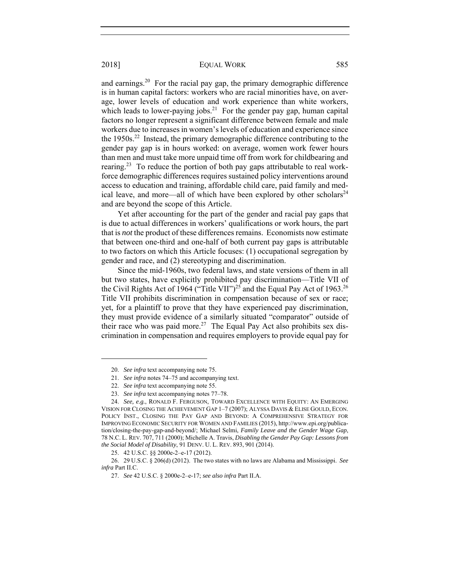and earnings.20 For the racial pay gap, the primary demographic difference is in human capital factors: workers who are racial minorities have, on average, lower levels of education and work experience than white workers, which leads to lower-paying jobs.<sup>21</sup> For the gender pay gap, human capital factors no longer represent a significant difference between female and male workers due to increases in women's levels of education and experience since the  $1950s<sup>22</sup>$  Instead, the primary demographic difference contributing to the gender pay gap is in hours worked: on average, women work fewer hours than men and must take more unpaid time off from work for childbearing and rearing.<sup>23</sup> To reduce the portion of both pay gaps attributable to real workforce demographic differences requires sustained policy interventions around access to education and training, affordable child care, paid family and medical leave, and more—all of which have been explored by other scholars<sup>24</sup> and are beyond the scope of this Article.

Yet after accounting for the part of the gender and racial pay gaps that is due to actual differences in workers' qualifications or work hours, the part that is *not* the product of these differences remains. Economists now estimate that between one-third and one-half of both current pay gaps is attributable to two factors on which this Article focuses: (1) occupational segregation by gender and race, and (2) stereotyping and discrimination.

Since the mid-1960s, two federal laws, and state versions of them in all but two states, have explicitly prohibited pay discrimination—Title VII of the Civil Rights Act of 1964 ("Title VII")<sup>25</sup> and the Equal Pay Act of 1963.<sup>26</sup> Title VII prohibits discrimination in compensation because of sex or race; yet, for a plaintiff to prove that they have experienced pay discrimination, they must provide evidence of a similarly situated "comparator" outside of their race who was paid more.<sup>27</sup> The Equal Pay Act also prohibits sex discrimination in compensation and requires employers to provide equal pay for

 <sup>20.</sup> *See infra* text accompanying note 75.

 <sup>21.</sup> *See infra* notes 74–75 and accompanying text.

 <sup>22.</sup> *See infra* text accompanying note 55.

 <sup>23.</sup> *See infra* text accompanying notes 77–78.

 <sup>24.</sup> *See, e.g.*, RONALD F. FERGUSON, TOWARD EXCELLENCE WITH EQUITY: AN EMERGING VISION FOR CLOSING THE ACHIEVEMENT GAP 1–7 (2007); ALYSSA DAVIS & ELISE GOULD, ECON. POLICY INST., CLOSING THE PAY GAP AND BEYOND: A COMPREHENSIVE STRATEGY FOR IMPROVING ECONOMIC SECURITY FOR WOMEN AND FAMILIES (2015), http://www.epi.org/publication/closing-the-pay-gap-and-beyond/; Michael Selmi, *Family Leave and the Gender Wage Gap*, 78 N.C. L. REV. 707, 711 (2000); Michelle A. Travis, *Disabling the Gender Pay Gap: Lessons from the Social Model of Disability*, 91 DENV. U. L. REV. 893, 901 (2014).

 <sup>25. 42</sup> U.S.C. §§ 2000e-2–e-17 (2012).

 <sup>26. 29</sup> U.S.C. § 206(d) (2012). The two states with no laws are Alabama and Mississippi. *See infra* Part II.C.

 <sup>27.</sup> *See* 42 U.S.C. § 2000e-2–e-17; *see also infra* Part II.A.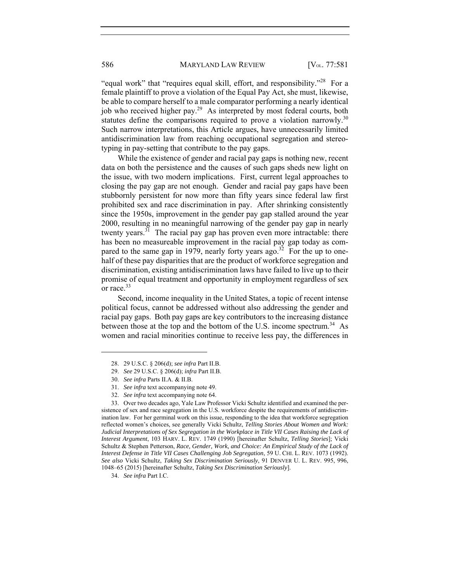"equal work" that "requires equal skill, effort, and responsibility."<sup>28</sup> For a female plaintiff to prove a violation of the Equal Pay Act, she must, likewise, be able to compare herself to a male comparator performing a nearly identical job who received higher pay.<sup>29</sup> As interpreted by most federal courts, both statutes define the comparisons required to prove a violation narrowly.<sup>30</sup> Such narrow interpretations, this Article argues, have unnecessarily limited antidiscrimination law from reaching occupational segregation and stereotyping in pay-setting that contribute to the pay gaps.

While the existence of gender and racial pay gaps is nothing new, recent data on both the persistence and the causes of such gaps sheds new light on the issue, with two modern implications. First, current legal approaches to closing the pay gap are not enough. Gender and racial pay gaps have been stubbornly persistent for now more than fifty years since federal law first prohibited sex and race discrimination in pay. After shrinking consistently since the 1950s, improvement in the gender pay gap stalled around the year 2000, resulting in no meaningful narrowing of the gender pay gap in nearly twenty years. $31$  The racial pay gap has proven even more intractable: there has been no measureable improvement in the racial pay gap today as compared to the same gap in 1979, nearly forty years ago.<sup>32</sup> For the up to onehalf of these pay disparities that are the product of workforce segregation and discrimination, existing antidiscrimination laws have failed to live up to their promise of equal treatment and opportunity in employment regardless of sex or race.<sup>33</sup>

Second, income inequality in the United States, a topic of recent intense political focus, cannot be addressed without also addressing the gender and racial pay gaps. Both pay gaps are key contributors to the increasing distance between those at the top and the bottom of the U.S. income spectrum.<sup>34</sup> As women and racial minorities continue to receive less pay, the differences in

 $\overline{a}$ 

34. *See infra* Part I.C.

 <sup>28. 29</sup> U.S.C. § 206(d); *see infra* Part II.B.

 <sup>29.</sup> *See* 29 U.S.C. § 206(d); *infra* Part II.B.

 <sup>30.</sup> *See infra* Parts II.A. & II.B.

 <sup>31.</sup> *See infra* text accompanying note 49.

 <sup>32.</sup> *See infra* text accompanying note 64.

 <sup>33.</sup> Over two decades ago, Yale Law Professor Vicki Schultz identified and examined the persistence of sex and race segregation in the U.S. workforce despite the requirements of antidiscrimination law. For her germinal work on this issue, responding to the idea that workforce segregation reflected women's choices, see generally Vicki Schultz, *Telling Stories About Women and Work: Judicial Interpretations of Sex Segregation in the Workplace in Title VII Cases Raising the Lack of Interest Argument*, 103 HARV. L. REV. 1749 (1990) [hereinafter Schultz, *Telling Stories*]; Vicki Schultz & Stephen Petterson, *Race, Gender, Work, and Choice: An Empirical Study of the Lack of Interest Defense in Title VII Cases Challenging Job Segregation*, 59 U. CHI. L. REV. 1073 (1992). *See also* Vicki Schultz, *Taking Sex Discrimination Seriously*, 91 DENVER U. L. REV. 995, 996, 1048–65 (2015) [hereinafter Schultz, *Taking Sex Discrimination Seriously*].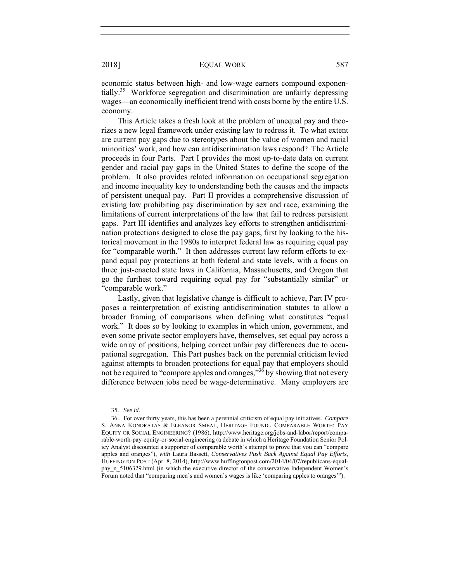economic status between high- and low-wage earners compound exponentially.35 Workforce segregation and discrimination are unfairly depressing wages—an economically inefficient trend with costs borne by the entire U.S. economy.

This Article takes a fresh look at the problem of unequal pay and theorizes a new legal framework under existing law to redress it. To what extent are current pay gaps due to stereotypes about the value of women and racial minorities' work, and how can antidiscrimination laws respond? The Article proceeds in four Parts. Part I provides the most up-to-date data on current gender and racial pay gaps in the United States to define the scope of the problem. It also provides related information on occupational segregation and income inequality key to understanding both the causes and the impacts of persistent unequal pay. Part II provides a comprehensive discussion of existing law prohibiting pay discrimination by sex and race, examining the limitations of current interpretations of the law that fail to redress persistent gaps. Part III identifies and analyzes key efforts to strengthen antidiscrimination protections designed to close the pay gaps, first by looking to the historical movement in the 1980s to interpret federal law as requiring equal pay for "comparable worth." It then addresses current law reform efforts to expand equal pay protections at both federal and state levels, with a focus on three just-enacted state laws in California, Massachusetts, and Oregon that go the furthest toward requiring equal pay for "substantially similar" or "comparable work."

Lastly, given that legislative change is difficult to achieve, Part IV proposes a reinterpretation of existing antidiscrimination statutes to allow a broader framing of comparisons when defining what constitutes "equal work." It does so by looking to examples in which union, government, and even some private sector employers have, themselves, set equal pay across a wide array of positions, helping correct unfair pay differences due to occupational segregation. This Part pushes back on the perennial criticism levied against attempts to broaden protections for equal pay that employers should not be required to "compare apples and oranges," $36$  by showing that not every difference between jobs need be wage-determinative. Many employers are

 <sup>35.</sup> *See id.*

 <sup>36.</sup> For over thirty years, this has been a perennial criticism of equal pay initiatives. *Compare* S. ANNA KONDRATAS & ELEANOR SMEAL, HERITAGE FOUND., COMPARABLE WORTH: PAY EQUITY OR SOCIAL ENGINEERING? (1986), http://www.heritage.org/jobs-and-labor/report/comparable-worth-pay-equity-or-social-engineering (a debate in which a Heritage Foundation Senior Policy Analyst discounted a supporter of comparable worth's attempt to prove that you can "compare apples and oranges"), *with* Laura Bassett, *Conservatives Push Back Against Equal Pay Efforts*, HUFFINGTON POST (Apr. 8, 2014), http://www.huffingtonpost.com/2014/04/07/republicans-equalpay\_n\_5106329.html (in which the executive director of the conservative Independent Women's Forum noted that "comparing men's and women's wages is like 'comparing apples to oranges'").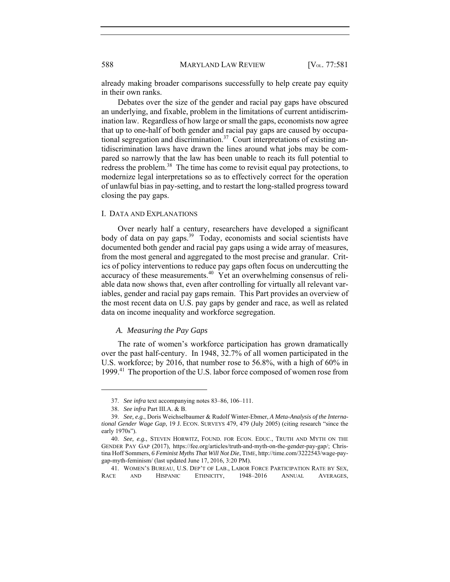# 588 MARYLAND LAW REVIEW [V<sub>OL.</sub> 77:581]

already making broader comparisons successfully to help create pay equity in their own ranks.

Debates over the size of the gender and racial pay gaps have obscured an underlying, and fixable, problem in the limitations of current antidiscrimination law. Regardless of how large or small the gaps, economists now agree that up to one-half of both gender and racial pay gaps are caused by occupational segregation and discrimination.<sup>37</sup> Court interpretations of existing antidiscrimination laws have drawn the lines around what jobs may be compared so narrowly that the law has been unable to reach its full potential to redress the problem.<sup>38</sup> The time has come to revisit equal pay protections, to modernize legal interpretations so as to effectively correct for the operation of unlawful bias in pay-setting, and to restart the long-stalled progress toward closing the pay gaps.

# I. DATA AND EXPLANATIONS

Over nearly half a century, researchers have developed a significant body of data on pay gaps.<sup>39</sup> Today, economists and social scientists have documented both gender and racial pay gaps using a wide array of measures, from the most general and aggregated to the most precise and granular. Critics of policy interventions to reduce pay gaps often focus on undercutting the accuracy of these measurements.40 Yet an overwhelming consensus of reliable data now shows that, even after controlling for virtually all relevant variables, gender and racial pay gaps remain. This Part provides an overview of the most recent data on U.S. pay gaps by gender and race, as well as related data on income inequality and workforce segregation.

#### *A. Measuring the Pay Gaps*

The rate of women's workforce participation has grown dramatically over the past half-century. In 1948, 32.7% of all women participated in the U.S. workforce; by 2016, that number rose to 56.8%, with a high of 60% in 1999.<sup>41</sup> The proportion of the U.S. labor force composed of women rose from

 <sup>37.</sup> *See infra* text accompanying notes 83–86, 106–111.

 <sup>38.</sup> *See infra* Part III.A. & B.

 <sup>39.</sup> *See, e.g.*, Doris Weichselbaumer & Rudolf Winter-Ebmer, *A Meta-Analysis of the International Gender Wage Gap*, 19 J. ECON. SURVEYS 479, 479 (July 2005) (citing research "since the early 1970s").

 <sup>40.</sup> *See, e.g.*, STEVEN HORWITZ, FOUND. FOR ECON. EDUC., TRUTH AND MYTH ON THE GENDER PAY GAP (2017), https://fee.org/articles/truth-and-myth-on-the-gender-pay-gap/; Christina Hoff Sommers, *6 Feminist Myths That Will Not Die*, TIME, http://time.com/3222543/wage-paygap-myth-feminism/ (last updated June 17, 2016, 3:20 PM).

 <sup>41.</sup> WOMEN'S BUREAU, U.S. DEP'T OF LAB., LABOR FORCE PARTICIPATION RATE BY SEX, RACE AND HISPANIC ETHNICITY, 1948–2016 ANNUAL AVERAGES,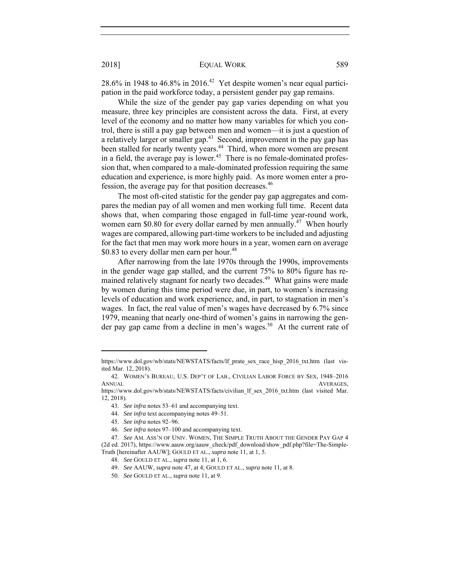28.6% in 1948 to 46.8% in 2016.<sup>42</sup> Yet despite women's near equal participation in the paid workforce today, a persistent gender pay gap remains.

While the size of the gender pay gap varies depending on what you measure, three key principles are consistent across the data. First, at every level of the economy and no matter how many variables for which you control, there is still a pay gap between men and women—it is just a question of a relatively larger or smaller gap.43 Second, improvement in the pay gap has been stalled for nearly twenty years.<sup>44</sup> Third, when more women are present in a field, the average pay is lower.<sup>45</sup> There is no female-dominated profession that, when compared to a male-dominated profession requiring the same education and experience, is more highly paid. As more women enter a profession, the average pay for that position decreases.<sup>46</sup>

The most oft-cited statistic for the gender pay gap aggregates and compares the median pay of all women and men working full time. Recent data shows that, when comparing those engaged in full-time year-round work, women earn \$0.80 for every dollar earned by men annually.<sup>47</sup> When hourly wages are compared, allowing part-time workers to be included and adjusting for the fact that men may work more hours in a year, women earn on average \$0.83 to every dollar men earn per hour.<sup>48</sup>

After narrowing from the late 1970s through the 1990s, improvements in the gender wage gap stalled, and the current 75% to 80% figure has remained relatively stagnant for nearly two decades.<sup>49</sup> What gains were made by women during this time period were due, in part, to women's increasing levels of education and work experience, and, in part, to stagnation in men's wages. In fact, the real value of men's wages have decreased by 6.7% since 1979, meaning that nearly one-third of women's gains in narrowing the gender pay gap came from a decline in men's wages.<sup>50</sup> At the current rate of

https://www.dol.gov/wb/stats/NEWSTATS/facts/lf\_prate\_sex\_race\_hisp\_2016\_txt.htm (last\_visited Mar. 12, 2018).

 <sup>42.</sup> WOMEN'S BUREAU, U.S. DEP'T OF LAB., CIVILIAN LABOR FORCE BY SEX, 1948–2016 ANNUAL AVERAGES,

https://www.dol.gov/wb/stats/NEWSTATS/facts/civilian\_lf\_sex\_2016\_txt.htm (last visited Mar. 12, 2018).

 <sup>43.</sup> *See infra* notes 53–61 and accompanying text.

 <sup>44.</sup> *See infra* text accompanying notes 49–51.

 <sup>45.</sup> *See infra* notes 92–96.

 <sup>46.</sup> *See infra* notes 97–100 and accompanying text.

 <sup>47.</sup> *See* AM. ASS'N OF UNIV. WOMEN, THE SIMPLE TRUTH ABOUT THE GENDER PAY GAP 4 (2d ed. 2017), https://www.aauw.org/aauw\_check/pdf\_download/show\_pdf.php?file=The-Simple-Truth [hereinafter AAUW]; GOULD ET AL., *supra* note 11, at 1, 5.

 <sup>48.</sup> *See* GOULD ET AL., *supra* note 11, at 1, 6.

 <sup>49.</sup> *See* AAUW, *supra* note 47, at 4; GOULD ET AL., *supra* note 11, at 8.

 <sup>50.</sup> *See* GOULD ET AL., *supra* note 11, at 9.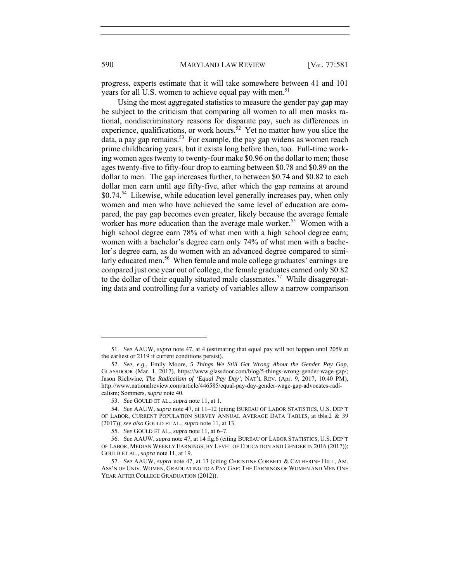progress, experts estimate that it will take somewhere between 41 and 101 years for all U.S. women to achieve equal pay with men.<sup>51</sup>

Using the most aggregated statistics to measure the gender pay gap may be subject to the criticism that comparing all women to all men masks rational, nondiscriminatory reasons for disparate pay, such as differences in experience, qualifications, or work hours.<sup>52</sup> Yet no matter how you slice the data, a pay gap remains.<sup>53</sup> For example, the pay gap widens as women reach prime childbearing years, but it exists long before then, too. Full-time working women ages twenty to twenty-four make \$0.96 on the dollar to men; those ages twenty-five to fifty-four drop to earning between \$0.78 and \$0.89 on the dollar to men. The gap increases further, to between \$0.74 and \$0.82 to each dollar men earn until age fifty-five, after which the gap remains at around \$0.74.<sup>54</sup> Likewise, while education level generally increases pay, when only women and men who have achieved the same level of education are compared, the pay gap becomes even greater, likely because the average female worker has *more* education than the average male worker.<sup>55</sup> Women with a high school degree earn 78% of what men with a high school degree earn; women with a bachelor's degree earn only 74% of what men with a bachelor's degree earn, as do women with an advanced degree compared to similarly educated men.<sup>56</sup> When female and male college graduates' earnings are compared just one year out of college, the female graduates earned only \$0.82 to the dollar of their equally situated male classmates.<sup>57</sup> While disaggregating data and controlling for a variety of variables allow a narrow comparison

 <sup>51.</sup> *See* AAUW, *supra* note 47, at 4 (estimating that equal pay will not happen until 2059 at the earliest or 2119 if current conditions persist).

 <sup>52.</sup> *See, e.g.*, Emily Moore, *5 Things We Still Get Wrong About the Gender Pay Gap*, GLASSDOOR (Mar. 1, 2017), https://www.glassdoor.com/blog/5-things-wrong-gender-wage-gap/; Jason Richwine, *The Radicalism of 'Equal Pay Day'*, NAT'L REV. (Apr. 9, 2017, 10:40 PM), http://www.nationalreview.com/article/446585/equal-pay-day-gender-wage-gap-advocates-radicalism; Sommers, *supra* note 40.

 <sup>53.</sup> *See* GOULD ET AL., *supra* note 11, at 1.

 <sup>54.</sup> *See* AAUW, *supra* note 47, at 11–12 (citing BUREAU OF LABOR STATISTICS, U.S. DEP'T OF LABOR, CURRENT POPULATION SURVEY ANNUAL AVERAGE DATA TABLES, at tbls.2 & 39 (2017)); *see also* GOULD ET AL., *supra* note 11, at 13.

 <sup>55.</sup> *See* GOULD ET AL., *supra* note 11, at 6–7.

 <sup>56.</sup> *See* AAUW, *supra* note 47, at 14 fig.6 (citing BUREAU OF LABOR STATISTICS, U.S. DEP'T OF LABOR, MEDIAN WEEKLY EARNINGS, BY LEVEL OF EDUCATION AND GENDER IN 2016 (2017)); GOULD ET AL., *supra* note 11, at 19.

 <sup>57.</sup> *See* AAUW, *supra* note 47, at 13 (citing CHRISTINE CORBETT & CATHERINE HILL, AM. ASS'N OF UNIV. WOMEN, GRADUATING TO A PAY GAP: THE EARNINGS OF WOMEN AND MEN ONE YEAR AFTER COLLEGE GRADUATION (2012)).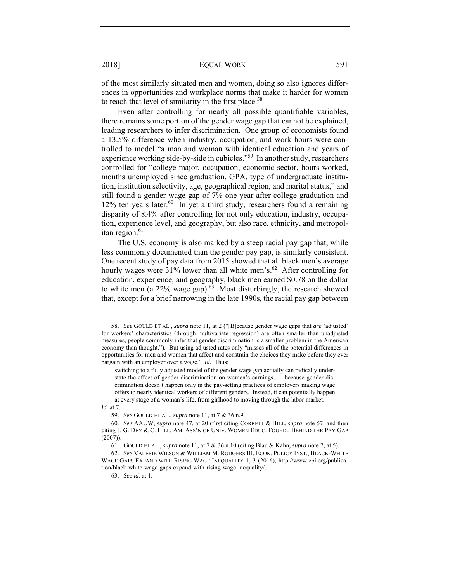of the most similarly situated men and women, doing so also ignores differences in opportunities and workplace norms that make it harder for women to reach that level of similarity in the first place.<sup>58</sup>

Even after controlling for nearly all possible quantifiable variables, there remains some portion of the gender wage gap that cannot be explained, leading researchers to infer discrimination. One group of economists found a 13.5% difference when industry, occupation, and work hours were controlled to model "a man and woman with identical education and years of experience working side-by-side in cubicles."<sup>59</sup> In another study, researchers controlled for "college major, occupation, economic sector, hours worked, months unemployed since graduation, GPA, type of undergraduate institution, institution selectivity, age, geographical region, and marital status," and still found a gender wage gap of 7% one year after college graduation and  $12\%$  ten years later.<sup>60</sup> In yet a third study, researchers found a remaining disparity of 8.4% after controlling for not only education, industry, occupation, experience level, and geography, but also race, ethnicity, and metropolitan region.<sup>61</sup>

The U.S. economy is also marked by a steep racial pay gap that, while less commonly documented than the gender pay gap, is similarly consistent. One recent study of pay data from 2015 showed that all black men's average hourly wages were  $31\%$  lower than all white men's.<sup>62</sup> After controlling for education, experience, and geography, black men earned \$0.78 on the dollar to white men (a 22% wage gap).<sup>63</sup> Most disturbingly, the research showed that, except for a brief narrowing in the late 1990s, the racial pay gap between

 <sup>58.</sup> *See* GOULD ET AL., *supra* note 11, at 2 ("[B]ecause gender wage gaps that *are* 'adjusted' for workers' characteristics (through multivariate regression) are often smaller than unadjusted measures, people commonly infer that gender discrimination is a smaller problem in the American economy than thought."). But using adjusted rates only "misses all of the potential differences in opportunities for men and women that affect and constrain the choices they make before they ever bargain with an employer over a wage." *Id.* Thus:

switching to a fully adjusted model of the gender wage gap actually can radically understate the effect of gender discrimination on women's earnings . . . because gender discrimination doesn't happen only in the pay-setting practices of employers making wage offers to nearly identical workers of different genders. Instead, it can potentially happen at every stage of a woman's life, from girlhood to moving through the labor market.

*Id.* at 7.

 <sup>59.</sup> *See* GOULD ET AL., *supra* note 11, at 7 & 36 n.9.

 <sup>60.</sup> *See* AAUW, *supra* note 47, at 20 (first citing CORBETT & HILL, *supra* note 57; and then citing J. G. DEY & C. HILL, AM. ASS'N OF UNIV. WOMEN EDUC. FOUND., BEHIND THE PAY GAP (2007)).

 <sup>61.</sup> GOULD ET AL., *supra* note 11, at 7 & 36 n.10 (citing Blau & Kahn, *supra* note 7, at 5).

 <sup>62.</sup> *See* VALERIE WILSON & WILLIAM M. RODGERS III, ECON. POLICY INST., BLACK-WHITE WAGE GAPS EXPAND WITH RISING WAGE INEQUALITY 1, 3 (2016), http://www.epi.org/publication/black-white-wage-gaps-expand-with-rising-wage-inequality/.

 <sup>63.</sup> *See id.* at 1.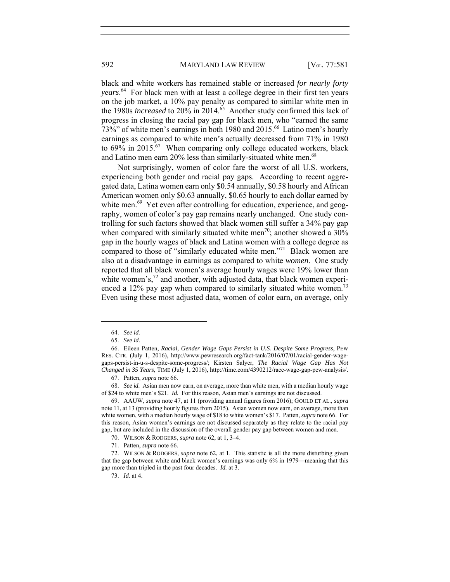black and white workers has remained stable or increased *for nearly forty years*. 64 For black men with at least a college degree in their first ten years on the job market, a 10% pay penalty as compared to similar white men in the 1980s *increased* to 20% in 2014.<sup>65</sup> Another study confirmed this lack of progress in closing the racial pay gap for black men, who "earned the same 73%" of white men's earnings in both 1980 and 2015.<sup>66</sup> Latino men's hourly earnings as compared to white men's actually decreased from 71% in 1980 to  $69\%$  in 2015.<sup>67</sup> When comparing only college educated workers, black and Latino men earn 20% less than similarly-situated white men.<sup>68</sup>

Not surprisingly, women of color fare the worst of all U.S. workers, experiencing both gender and racial pay gaps. According to recent aggregated data, Latina women earn only \$0.54 annually, \$0.58 hourly and African American women only \$0.63 annually, \$0.65 hourly to each dollar earned by white men.<sup>69</sup> Yet even after controlling for education, experience, and geography, women of color's pay gap remains nearly unchanged. One study controlling for such factors showed that black women still suffer a 34% pay gap when compared with similarly situated white men<sup>70</sup>; another showed a  $30\%$ gap in the hourly wages of black and Latina women with a college degree as compared to those of "similarly educated white men."<sup>71</sup> Black women are also at a disadvantage in earnings as compared to white *women*. One study reported that all black women's average hourly wages were 19% lower than white women's, $^{72}$  and another, with adjusted data, that black women experienced a 12% pay gap when compared to similarly situated white women.<sup>73</sup> Even using these most adjusted data, women of color earn, on average, only

 $\overline{a}$ 

 68. *See id.* Asian men now earn, on average, more than white men, with a median hourly wage of \$24 to white men's \$21. *Id.* For this reason, Asian men's earnings are not discussed.

 69. AAUW, *supra* note 47, at 11 (providing annual figures from 2016); GOULD ET AL., *supra* note 11, at 13 (providing hourly figures from 2015). Asian women now earn, on average, more than white women, with a median hourly wage of \$18 to white women's \$17. Patten, *supra* note 66. For this reason, Asian women's earnings are not discussed separately as they relate to the racial pay gap, but are included in the discussion of the overall gender pay gap between women and men.

70. WILSON & RODGERS, *supra* note 62, at 1, 3–4.

 72. WILSON & RODGERS, *supra* note 62, at 1. This statistic is all the more disturbing given that the gap between white and black women's earnings was only 6% in 1979—meaning that this gap more than tripled in the past four decades. *Id.* at 3.

73. *Id.* at 4.

 <sup>64.</sup> *See id.*

 <sup>65.</sup> *See id.*

 <sup>66.</sup> Eileen Patten, *Racial, Gender Wage Gaps Persist in U.S. Despite Some Progress*, PEW RES. CTR. (July 1, 2016), http://www.pewresearch.org/fact-tank/2016/07/01/racial-gender-wagegaps-persist-in-u-s-despite-some-progress/; Kirsten Salyer, *The Racial Wage Gap Has Not Changed in 35 Years*, TIME (July 1, 2016), http://time.com/4390212/race-wage-gap-pew-analysis/.

 <sup>67.</sup> Patten, *supra* note 66.

 <sup>71.</sup> Patten, *supra* note 66.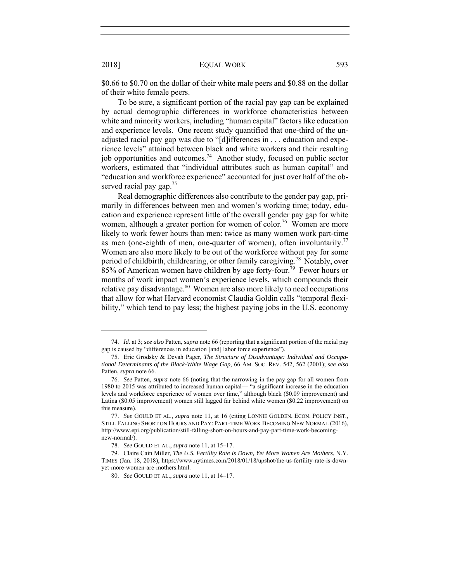\$0.66 to \$0.70 on the dollar of their white male peers and \$0.88 on the dollar of their white female peers.

To be sure, a significant portion of the racial pay gap can be explained by actual demographic differences in workforce characteristics between white and minority workers, including "human capital" factors like education and experience levels. One recent study quantified that one-third of the unadjusted racial pay gap was due to "[d]ifferences in . . . education and experience levels" attained between black and white workers and their resulting job opportunities and outcomes.<sup>74</sup> Another study, focused on public sector workers, estimated that "individual attributes such as human capital" and "education and workforce experience" accounted for just over half of the observed racial pay gap.<sup>75</sup>

Real demographic differences also contribute to the gender pay gap, primarily in differences between men and women's working time; today, education and experience represent little of the overall gender pay gap for white women, although a greater portion for women of color.<sup>76</sup> Women are more likely to work fewer hours than men: twice as many women work part-time as men (one-eighth of men, one-quarter of women), often involuntarily.<sup>77</sup> Women are also more likely to be out of the workforce without pay for some period of childbirth, childrearing, or other family caregiving.<sup>78</sup> Notably, over  $85\%$  of American women have children by age forty-four.<sup>79</sup> Fewer hours or months of work impact women's experience levels, which compounds their relative pay disadvantage.<sup>80</sup> Women are also more likely to need occupations that allow for what Harvard economist Claudia Goldin calls "temporal flexibility," which tend to pay less; the highest paying jobs in the U.S. economy

 <sup>74.</sup> *Id.* at 3; *see also* Patten, *supra* note 66 (reporting that a significant portion of the racial pay gap is caused by "differences in education [and] labor force experience").

 <sup>75.</sup> Eric Grodsky & Devah Pager, *The Structure of Disadvantage: Individual and Occupational Determinants of the Black-White Wage Gap*, 66 AM. SOC. REV. 542, 562 (2001); *see also* Patten, *supra* note 66.

 <sup>76.</sup> *See* Patten, *supra* note 66 (noting that the narrowing in the pay gap for all women from 1980 to 2015 was attributed to increased human capital— "a significant increase in the education levels and workforce experience of women over time," although black (\$0.09 improvement) and Latina (\$0.05 improvement) women still lagged far behind white women (\$0.22 improvement) on this measure).

 <sup>77.</sup> *See* GOULD ET AL., *supra* note 11, at 16 (citing LONNIE GOLDEN, ECON. POLICY INST., STILL FALLING SHORT ON HOURS AND PAY: PART-TIME WORK BECOMING NEW NORMAL (2016), http://www.epi.org/publication/still-falling-short-on-hours-and-pay-part-time-work-becomingnew-normal/).

 <sup>78.</sup> *See* GOULD ET AL., *supra* note 11, at 15–17.

 <sup>79.</sup> Claire Cain Miller, *The U.S. Fertility Rate Is Down, Yet More Women Are Mothers*, N.Y. TIMES (Jan. 18, 2018), https://www.nytimes.com/2018/01/18/upshot/the-us-fertility-rate-is-downyet-more-women-are-mothers.html.

 <sup>80.</sup> *See* GOULD ET AL., *supra* note 11, at 14–17.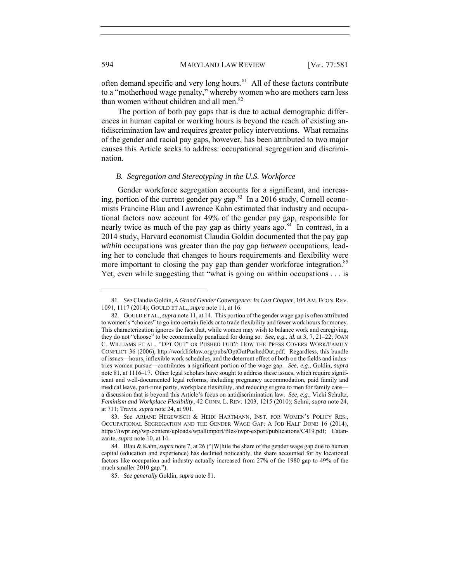often demand specific and very long hours. $81$  All of these factors contribute to a "motherhood wage penalty," whereby women who are mothers earn less than women without children and all men.<sup>82</sup>

The portion of both pay gaps that is due to actual demographic differences in human capital or working hours is beyond the reach of existing antidiscrimination law and requires greater policy interventions. What remains of the gender and racial pay gaps, however, has been attributed to two major causes this Article seeks to address: occupational segregation and discrimination.

#### *B. Segregation and Stereotyping in the U.S. Workforce*

Gender workforce segregation accounts for a significant, and increasing, portion of the current gender pay gap. $83$  In a 2016 study, Cornell economists Francine Blau and Lawrence Kahn estimated that industry and occupational factors now account for 49% of the gender pay gap, responsible for nearly twice as much of the pay gap as thirty years ago. $84$  In contrast, in a 2014 study, Harvard economist Claudia Goldin documented that the pay gap *within* occupations was greater than the pay gap *between* occupations, leading her to conclude that changes to hours requirements and flexibility were more important to closing the pay gap than gender workforce integration.<sup>85</sup> Yet, even while suggesting that "what is going on within occupations . . . is

<sup>81</sup>*. See* Claudia Goldin, *A Grand Gender Convergence: Its Last Chapter*, 104 AM. ECON.REV. 1091, 1117 (2014); GOULD ET AL., *supra* note 11, at 16.

 <sup>82.</sup> GOULD ET AL., *supra* note 11, at 14. This portion of the gender wage gap is often attributed to women's "choices" to go into certain fields or to trade flexibility and fewer work hours for money. This characterization ignores the fact that, while women may wish to balance work and caregiving, they do not "choose" to be economically penalized for doing so. *See, e.g.*, *id.* at 3, 7, 21–22; JOAN C. WILLIAMS ET AL., "OPT OUT" OR PUSHED OUT?: HOW THE PRESS COVERS WORK/FAMILY CONFLICT 36 (2006), http://worklifelaw.org/pubs/OptOutPushedOut.pdf. Regardless, this bundle of issues—hours, inflexible work schedules, and the deterrent effect of both on the fields and industries women pursue—contributes a significant portion of the wage gap. *See, e.g.*, Goldin, *supra* note 81, at 1116–17. Other legal scholars have sought to address these issues, which require significant and well-documented legal reforms, including pregnancy accommodation, paid family and medical leave, part-time parity, workplace flexibility, and reducing stigma to men for family care a discussion that is beyond this Article's focus on antidiscrimination law. *See, e.g.*, Vicki Schultz, *Feminism and Workplace Flexibility*, 42 CONN. L. REV. 1203, 1215 (2010); Selmi, *supra* note 24, at 711; Travis, *supra* note 24, at 901.

 <sup>83.</sup> *See* ARIANE HEGEWISCH & HEIDI HARTMANN, INST. FOR WOMEN'S POLICY RES., OCCUPATIONAL SEGREGATION AND THE GENDER WAGE GAP: A JOB HALF DONE 16 (2014), https://iwpr.org/wp-content/uploads/wpallimport/files/iwpr-export/publications/C419.pdf; Catanzarite, *supra* note 10, at 14.

 <sup>84.</sup> Blau & Kahn, *supra* note 7, at 26 ("[W]hile the share of the gender wage gap due to human capital (education and experience) has declined noticeably, the share accounted for by locational factors like occupation and industry actually increased from 27% of the 1980 gap to 49% of the much smaller 2010 gap.").

 <sup>85.</sup> *See generally* Goldin, *supra* note 81.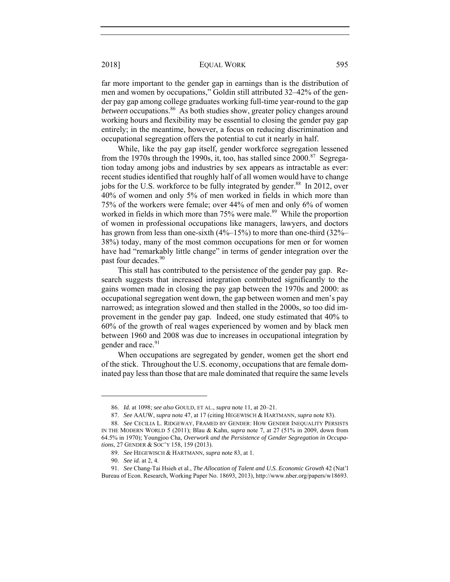far more important to the gender gap in earnings than is the distribution of men and women by occupations," Goldin still attributed 32–42% of the gender pay gap among college graduates working full-time year-round to the gap *between* occupations.<sup>86</sup> As both studies show, greater policy changes around working hours and flexibility may be essential to closing the gender pay gap entirely; in the meantime, however, a focus on reducing discrimination and occupational segregation offers the potential to cut it nearly in half.

While, like the pay gap itself, gender workforce segregation lessened from the 1970s through the 1990s, it, too, has stalled since  $2000$ .<sup>87</sup> Segregation today among jobs and industries by sex appears as intractable as ever: recent studies identified that roughly half of all women would have to change jobs for the U.S. workforce to be fully integrated by gender.<sup>88</sup> In 2012, over 40% of women and only 5% of men worked in fields in which more than 75% of the workers were female; over 44% of men and only 6% of women worked in fields in which more than 75% were male.<sup>89</sup> While the proportion of women in professional occupations like managers, lawyers, and doctors has grown from less than one-sixth (4%–15%) to more than one-third (32%– 38%) today, many of the most common occupations for men or for women have had "remarkably little change" in terms of gender integration over the past four decades.<sup>90</sup>

This stall has contributed to the persistence of the gender pay gap. Research suggests that increased integration contributed significantly to the gains women made in closing the pay gap between the 1970s and 2000: as occupational segregation went down, the gap between women and men's pay narrowed; as integration slowed and then stalled in the 2000s, so too did improvement in the gender pay gap. Indeed, one study estimated that 40% to 60% of the growth of real wages experienced by women and by black men between 1960 and 2008 was due to increases in occupational integration by gender and race.<sup>91</sup>

When occupations are segregated by gender, women get the short end of the stick. Throughout the U.S. economy, occupations that are female dominated pay less than those that are male dominated that require the same levels

 <sup>86.</sup> *Id.* at 1098; *see also* GOULD, ET AL., *supra* note 11, at 20–21.

 <sup>87.</sup> *See* AAUW, *supra* note 47, at 17 (citing HEGEWISCH & HARTMANN, *supra* note 83).

 <sup>88.</sup> *See* CECILIA L. RIDGEWAY, FRAMED BY GENDER: HOW GENDER INEQUALITY PERSISTS IN THE MODERN WORLD 5 (2011); Blau & Kahn, *supra* note 7, at 27 (51% in 2009, down from 64.5% in 1970); Youngjoo Cha, *Overwork and the Persistence of Gender Segregation in Occupations*, 27 GENDER & SOC'Y 158, 159 (2013).

 <sup>89.</sup> *See* HEGEWISCH & HARTMANN, *supra* note 83, at 1.

 <sup>90.</sup> *See id.* at 2, 4.

 <sup>91.</sup> *See* Chang-Tai Hsieh et al., *The Allocation of Talent and U.S. Economic Growth* 42 (Nat'l Bureau of Econ. Research, Working Paper No. 18693, 2013), http://www.nber.org/papers/w18693.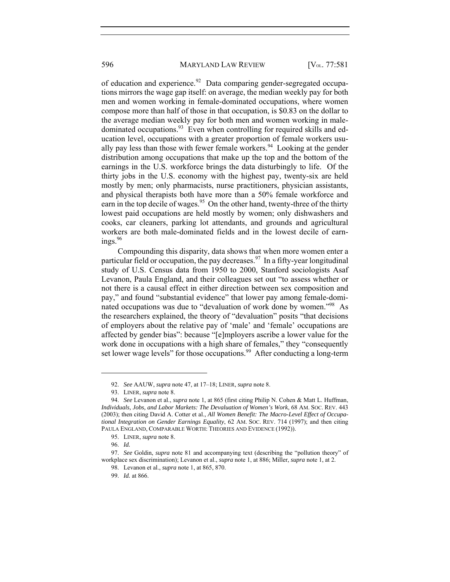596 MARYLAND LAW REVIEW [V<sub>OL.</sub> 77:581]

of education and experience.<sup>92</sup> Data comparing gender-segregated occupations mirrors the wage gap itself: on average, the median weekly pay for both men and women working in female-dominated occupations, where women compose more than half of those in that occupation, is \$0.83 on the dollar to the average median weekly pay for both men and women working in maledominated occupations.<sup>93</sup> Even when controlling for required skills and education level, occupations with a greater proportion of female workers usually pay less than those with fewer female workers.<sup>94</sup> Looking at the gender distribution among occupations that make up the top and the bottom of the earnings in the U.S. workforce brings the data disturbingly to life. Of the thirty jobs in the U.S. economy with the highest pay, twenty-six are held mostly by men; only pharmacists, nurse practitioners, physician assistants, and physical therapists both have more than a 50% female workforce and earn in the top decile of wages.<sup>95</sup> On the other hand, twenty-three of the thirty lowest paid occupations are held mostly by women; only dishwashers and cooks, car cleaners, parking lot attendants, and grounds and agricultural workers are both male-dominated fields and in the lowest decile of earn $ins.96$ 

Compounding this disparity, data shows that when more women enter a particular field or occupation, the pay decreases.<sup>97</sup> In a fifty-year longitudinal study of U.S. Census data from 1950 to 2000, Stanford sociologists Asaf Levanon, Paula England, and their colleagues set out "to assess whether or not there is a causal effect in either direction between sex composition and pay," and found "substantial evidence" that lower pay among female-dominated occupations was due to "devaluation of work done by women."<sup>98</sup> As the researchers explained, the theory of "devaluation" posits "that decisions of employers about the relative pay of 'male' and 'female' occupations are affected by gender bias": because "[e]mployers ascribe a lower value for the work done in occupations with a high share of females," they "consequently set lower wage levels" for those occupations.<sup>99</sup> After conducting a long-term

 <sup>92.</sup> *See* AAUW, *supra* note 47, at 17–18; LINER, *supra* note 8.

 <sup>93.</sup> LINER, *supra* note 8.

 <sup>94.</sup> *See* Levanon et al., *supra* note 1, at 865 (first citing Philip N. Cohen & Matt L. Huffman, *Individuals, Jobs, and Labor Markets: The Devaluation of Women's Work*, 68 AM. SOC. REV. 443 (2003); then citing David A. Cotter et al., *All Women Benefit: The Macro-Level Effect of Occupational Integration on Gender Earnings Equality*, 62 AM. SOC. REV. 714 (1997); and then citing PAULA ENGLAND, COMPARABLE WORTH: THEORIES AND EVIDENCE (1992)).

 <sup>95.</sup> LINER, *supra* note 8.

 <sup>96.</sup> *Id.*

 <sup>97.</sup> *See* Goldin, *supra* note 81 and accompanying text (describing the "pollution theory" of workplace sex discrimination); Levanon et al., *supra* note 1, at 886; Miller, *supra* note 1, at 2.

 <sup>98.</sup> Levanon et al., *supra* note 1, at 865, 870.

 <sup>99.</sup> *Id.* at 866.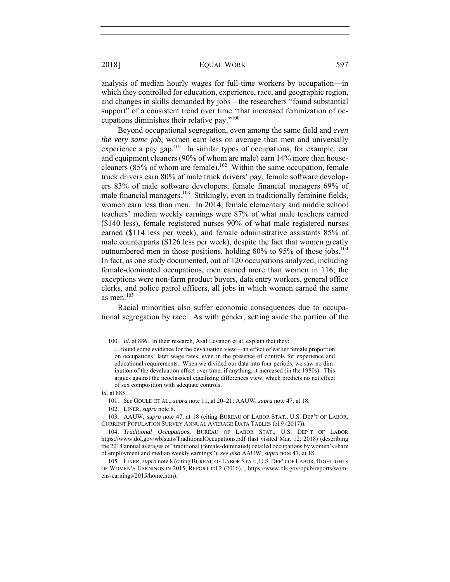analysis of median hourly wages for full-time workers by occupation—in which they controlled for education, experience, race, and geographic region, and changes in skills demanded by jobs—the researchers "found substantial support" of a consistent trend over time "that increased feminization of occupations diminishes their relative pay."100

Beyond occupational segregation, even among the same field and *even the very same job*, women earn less on average than men and universally experience a pay gap.<sup>101</sup> In similar types of occupations, for example, car and equipment cleaners (90% of whom are male) earn 14% more than housecleaners (85% of whom are female).<sup>102</sup> Within the same occupation, female truck drivers earn 80% of male truck drivers' pay; female software developers 83% of male software developers; female financial managers 69% of male financial managers.<sup>103</sup> Strikingly, even in traditionally feminine fields, women earn less than men. In 2014, female elementary and middle school teachers' median weekly earnings were 87% of what male teachers earned (\$140 less), female registered nurses 90% of what male registered nurses earned (\$114 less per week), and female administrative assistants 85% of male counterparts (\$126 less per week), despite the fact that women greatly outnumbered men in those positions, holding 80% to 95% of those jobs.<sup>104</sup> In fact, as one study documented, out of 120 occupations analyzed, including female-dominated occupations, men earned more than women in 116; the exceptions were non-farm product buyers, data entry workers, general office clerks, and police patrol officers, all jobs in which women earned the same as men.105

Racial minorities also suffer economic consequences due to occupational segregation by race. As with gender, setting aside the portion of the

*Id.* at 885.

 <sup>100.</sup> *Id.* at 886. In their research, Asaf Levanon et al. explain that they:

<sup>…</sup>found some evidence for the devaluation view—an effect of earlier female proportion on occupations' later wage rates, even in the presence of controls for experience and educational requirements. When we divided our data into four periods, we saw no diminution of the devaluation effect over time; if anything, it increased (in the 1980s). This argues against the neoclassical equalizing differences view, which predicts no net effect of sex composition with adequate controls.

 <sup>101.</sup> *See* GOULD ET AL., *supra* note 11, at 20–21; AAUW, *supra* note 47, at 18.

 <sup>102.</sup> LINER, *supra* note 8.

 <sup>103.</sup> AAUW, *supra* note 47, at 18 (citing BUREAU OF LABOR STAT., U.S. DEP'T OF LABOR, CURRENT POPULATION SURVEY ANNUAL AVERAGE DATA TABLES tbl.9 (2017)).

 <sup>104.</sup> *Traditional Occupations*, BUREAU OF LABOR STAT., U.S. DEP'T OF LABOR https://www.dol.gov/wb/stats/TraditionalOccupations.pdf (last visited Mar. 12, 2018) (describing the 2014 annual averages of "traditional (female-dominated) detailed occupations by women's share of employment and median weekly earnings"); *see also* AAUW, *supra* note 47, at 18.

 <sup>105.</sup> LINER, *supra* note 8 (citing BUREAU OF LABOR STAT., U.S. DEP'T OF LABOR, HIGHLIGHTS OF WOMEN'S EARNINGS IN 2015, REPORT tbl.2 (2016), , https://www.bls.gov/opub/reports/womens-earnings/2015/home.htm).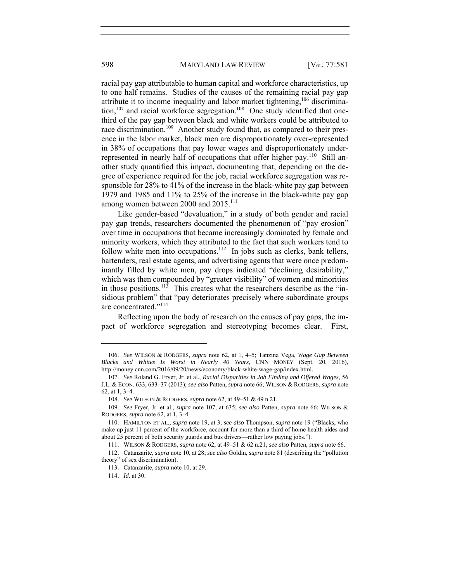racial pay gap attributable to human capital and workforce characteristics, up to one half remains. Studies of the causes of the remaining racial pay gap attribute it to income inequality and labor market tightening,<sup>106</sup> discrimination,<sup>107</sup> and racial workforce segregation.<sup>108</sup> One study identified that onethird of the pay gap between black and white workers could be attributed to race discrimination.<sup>109</sup> Another study found that, as compared to their presence in the labor market, black men are disproportionately over-represented in 38% of occupations that pay lower wages and disproportionately underrepresented in nearly half of occupations that offer higher pay.<sup>110</sup> Still another study quantified this impact, documenting that, depending on the degree of experience required for the job, racial workforce segregation was responsible for 28% to 41% of the increase in the black-white pay gap between 1979 and 1985 and 11% to 25% of the increase in the black-white pay gap among women between 2000 and 2015.<sup>111</sup>

Like gender-based "devaluation," in a study of both gender and racial pay gap trends, researchers documented the phenomenon of "pay erosion" over time in occupations that became increasingly dominated by female and minority workers, which they attributed to the fact that such workers tend to follow white men into occupations.<sup>112</sup> In jobs such as clerks, bank tellers, bartenders, real estate agents, and advertising agents that were once predominantly filled by white men, pay drops indicated "declining desirability," which was then compounded by "greater visibility" of women and minorities in those positions.<sup>113</sup> This creates what the researchers describe as the "insidious problem" that "pay deteriorates precisely where subordinate groups are concentrated."114

Reflecting upon the body of research on the causes of pay gaps, the impact of workforce segregation and stereotyping becomes clear. First,

 <sup>106.</sup> *See* WILSON & RODGERS, *supra* note 62, at 1, 4–5; Tanzina Vega, *Wage Gap Between Blacks and Whites Is Worst in Nearly 40 Years*, CNN MONEY (Sept. 20, 2016), http://money.cnn.com/2016/09/20/news/economy/black-white-wage-gap/index.html.

 <sup>107.</sup> *See* Roland G. Fryer, Jr. et al., *Racial Disparities in Job Finding and Offered Wages*, 56 J.L. & ECON. 633, 633–37 (2013); *see also* Patten, *supra* note 66; WILSON & RODGERS, *supra* note 62, at 1, 3–4.

 <sup>108.</sup> *See* WILSON & RODGERS, *supra* note 62, at 49–51 & 49 n.21.

 <sup>109.</sup> *See* Fryer, Jr. et al., *supra* note 107, at 635; *see also* Patten, *supra* note 66; WILSON & RODGERS, *supra* note 62, at 1, 3–4.

 <sup>110.</sup> HAMILTON ET AL., *supra* note 19, at 3; *see also* Thompson, *supra* note 19 ("Blacks, who make up just 11 percent of the workforce, account for more than a third of home health aides and about 25 percent of both security guards and bus drivers—rather low paying jobs.").

 <sup>111.</sup> WILSON & RODGERS, *supra* note 62, at 49–51 & 62 n.21; *see also* Patten, *supra* note 66.

 <sup>112.</sup> Catanzarite, *supra* note 10, at 28; *see also* Goldin, *supra* note 81 (describing the "pollution theory" of sex discrimination).

 <sup>113.</sup> Catanzarite, *supra* note 10, at 29.

 <sup>114.</sup> *Id.* at 30.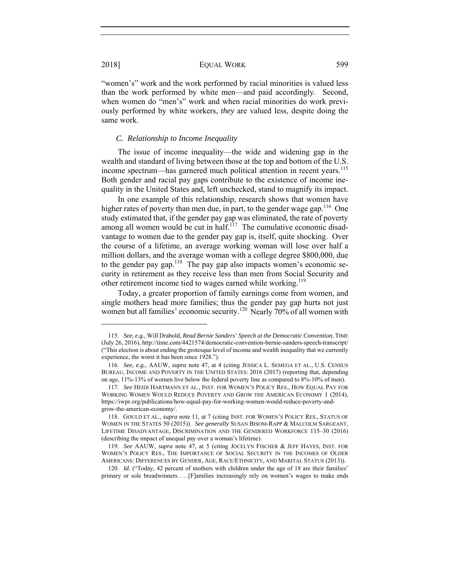"women's" work and the work performed by racial minorities is valued less than the work performed by white men—and paid accordingly. Second, when women do "men's" work and when racial minorities do work previously performed by white workers, *they* are valued less, despite doing the same work.

# *C. Relationship to Income Inequality*

The issue of income inequality—the wide and widening gap in the wealth and standard of living between those at the top and bottom of the U.S. income spectrum—has garnered much political attention in recent years.<sup>115</sup> Both gender and racial pay gaps contribute to the existence of income inequality in the United States and, left unchecked, stand to magnify its impact.

In one example of this relationship, research shows that women have higher rates of poverty than men due, in part, to the gender wage gap.<sup>116</sup> One study estimated that, if the gender pay gap was eliminated, the rate of poverty among all women would be cut in half. $1^{17}$  The cumulative economic disadvantage to women due to the gender pay gap is, itself, quite shocking. Over the course of a lifetime, an average working woman will lose over half a million dollars, and the average woman with a college degree \$800,000, due to the gender pay gap.118 The pay gap also impacts women's economic security in retirement as they receive less than men from Social Security and other retirement income tied to wages earned while working.<sup>119</sup>

Today, a greater proportion of family earnings come from women, and single mothers head more families; thus the gender pay gap hurts not just women but all families' economic security.<sup>120</sup> Nearly 70% of all women with

 <sup>115.</sup> *See, e.g.*, Will Drabold, *Read Bernie Sanders' Speech at the Democratic Convention*, TIME (July 26, 2016), http://time.com/4421574/democratic-convention-bernie-sanders-speech-transcript/ ("This election is about ending the grotesque level of income and wealth inequality that we currently experience, the worst it has been since 1928.").

 <sup>116.</sup> *See, e.g.*, AAUW, *supra* note 47, at 4 (citing JESSICA L. SEMEGA ET AL., U.S. CENSUS BUREAU, INCOME AND POVERTY IN THE UNITED STATES: 2016 (2017) (reporting that, depending on age, 11%-13% of women live below the federal poverty line as compared to 8%-10% of men).

 <sup>117.</sup> *See* HEIDI HARTMANN ET AL., INST. FOR WOMEN'S POLICY RES., HOW EQUAL PAY FOR WORKING WOMEN WOULD REDUCE POVERTY AND GROW THE AMERICAN ECONOMY 1 (2014), https://iwpr.org/publications/how-equal-pay-for-working-women-would-reduce-poverty-andgrow-the-american-economy/.

 <sup>118.</sup> GOULD ET AL., *supra* note 11, at 7 (citing INST. FOR WOMEN'S POLICY RES., STATUS OF WOMEN IN THE STATES 50 (2015)). *See generally* SUSAN BISOM-RAPP & MALCOLM SARGEANT, LIFETIME DISADVANTAGE, DISCRIMINATION AND THE GENDERED WORKFORCE 115–30 (2016) (describing the impact of unequal pay over a woman's lifetime).

 <sup>119.</sup> *See* AAUW, *supra* note 47, at 5 (citing JOCELYN FISCHER & JEFF HAYES, INST. FOR WOMEN'S POLICY RES., THE IMPORTANCE OF SOCIAL SECURITY IN THE INCOMES OF OLDER AMERICANS: DIFFERENCES BY GENDER, AGE, RACE/ETHNICITY, AND MARITAL STATUS (2013)).

 <sup>120.</sup> *Id.* ("Today, 42 percent of mothers with children under the age of 18 are their families' primary or sole breadwinners. . . .[F]amilies increasingly rely on women's wages to make ends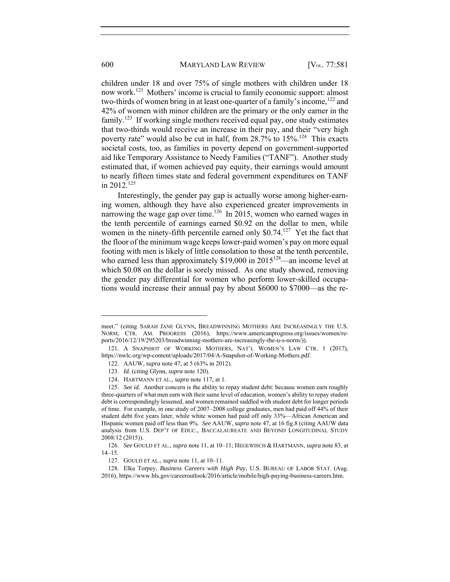children under 18 and over 75% of single mothers with children under 18 now work.<sup>121</sup> Mothers' income is crucial to family economic support: almost two-thirds of women bring in at least one-quarter of a family's income,<sup>122</sup> and 42% of women with minor children are the primary or the only earner in the  $family.<sup>123</sup>$  If working single mothers received equal pay, one study estimates that two-thirds would receive an increase in their pay, and their "very high poverty rate" would also be cut in half, from 28.7% to 15%.<sup>124</sup> This exacts societal costs, too, as families in poverty depend on government-supported aid like Temporary Assistance to Needy Families ("TANF"). Another study estimated that, if women achieved pay equity, their earnings would amount to nearly fifteen times state and federal government expenditures on TANF in 2012.<sup>125</sup>

Interestingly, the gender pay gap is actually worse among higher-earning women, although they have also experienced greater improvements in narrowing the wage gap over time.<sup>126</sup> In 2015, women who earned wages in the tenth percentile of earnings earned \$0.92 on the dollar to men, while women in the ninety-fifth percentile earned only \$0.74<sup>127</sup> Yet the fact that the floor of the minimum wage keeps lower-paid women's pay on more equal footing with men is likely of little consolation to those at the tenth percentile, who earned less than approximately \$19,000 in 2015<sup>128</sup>—an income level at which \$0.08 on the dollar is sorely missed. As one study showed, removing the gender pay differential for women who perform lower-skilled occupations would increase their annual pay by about \$6000 to \$7000—as the re-

meet." (citing SARAH JANE GLYNN, BREADWINNING MOTHERS ARE INCREASINGLY THE U.S. NORM, CTR. AM. PROGRESS (2016), https://www.americanprogress.org/issues/women/reports/2016/12/19/295203/breadwinning-mothers-are-increasingly-the-u-s-norm/)).

 <sup>121.</sup> A SNAPSHOT OF WORKING MOTHERS, NAT'L WOMEN'S LAW CTR. 1 (2017), https://nwlc.org/wp-content/uploads/2017/04/A-Snapshot-of-Working-Mothers.pdf.

 <sup>122.</sup> AAUW, *supra* note 47, at 5 (63% in 2012).

 <sup>123.</sup> *Id.* (citing Glynn, *supra* note 120).

 <sup>124.</sup> HARTMANN ET AL., *supra* note 117, at 1.

 <sup>125.</sup> *See id.* Another concern is the ability to repay student debt: because women earn roughly three-quarters of what men earn with their same level of education, women's ability to repay student debt is correspondingly lessened, and women remained saddled with student debt for longer periods of time. For example, in one study of 2007–2008 college graduates, men had paid off 44% of their student debt five years later, while white women had paid off only 33%—African American and Hispanic women paid off less than 9%. *See* AAUW, *supra* note 47, at 16 fig.8 (citing AAUW data analysis from U.S. DEP'T OF EDUC., BACCALAUREATE AND BEYOND LONGITUDINAL STUDY 2008/12 (2015)).

 <sup>126.</sup> *See* GOULD ET AL., *supra* note 11, at 10–11; HEGEWISCH & HARTMANN, *supra* note 83, at 14–15.

 <sup>127.</sup> GOULD ET AL., *supra* note 11, at 10–11.

 <sup>128.</sup> Elka Torpey, *Business Careers with High Pay*, U.S. BUREAU OF LABOR STAT. (Aug. 2016), https://www.bls.gov/careeroutlook/2016/article/mobile/high-paying-business-careers.htm.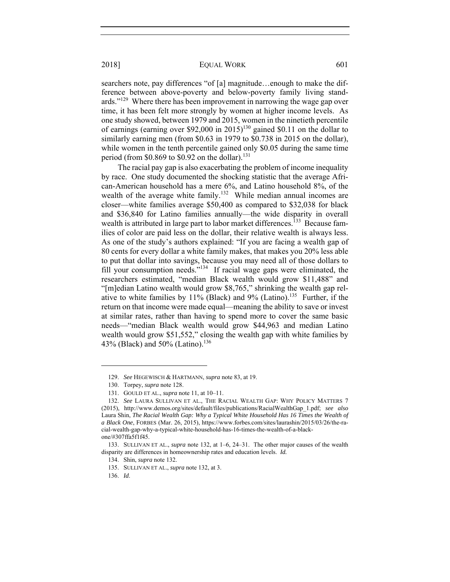searchers note, pay differences "of [a] magnitude…enough to make the difference between above-poverty and below-poverty family living standards."<sup>129</sup> Where there has been improvement in narrowing the wage gap over time, it has been felt more strongly by women at higher income levels. As one study showed, between 1979 and 2015, women in the ninetieth percentile of earnings (earning over \$92,000 in 2015)<sup>130</sup> gained \$0.11 on the dollar to similarly earning men (from \$0.63 in 1979 to \$0.738 in 2015 on the dollar), while women in the tenth percentile gained only \$0.05 during the same time period (from \$0.869 to \$0.92 on the dollar). $^{131}$ 

The racial pay gap is also exacerbating the problem of income inequality by race. One study documented the shocking statistic that the average African-American household has a mere 6%, and Latino household 8%, of the wealth of the average white family.<sup>132</sup> While median annual incomes are closer—white families average \$50,400 as compared to \$32,038 for black and \$36,840 for Latino families annually—the wide disparity in overall wealth is attributed in large part to labor market differences.<sup>133</sup> Because families of color are paid less on the dollar, their relative wealth is always less. As one of the study's authors explained: "If you are facing a wealth gap of 80 cents for every dollar a white family makes, that makes you 20% less able to put that dollar into savings, because you may need all of those dollars to fill your consumption needs."134 If racial wage gaps were eliminated, the researchers estimated, "median Black wealth would grow \$11,488" and "[m]edian Latino wealth would grow \$8,765," shrinking the wealth gap relative to white families by  $11\%$  (Black) and 9% (Latino).<sup>135</sup> Further, if the return on that income were made equal—meaning the ability to save or invest at similar rates, rather than having to spend more to cover the same basic needs—"median Black wealth would grow \$44,963 and median Latino wealth would grow \$51,552," closing the wealth gap with white families by 43% (Black) and 50% (Latino).<sup>136</sup>

136. *Id*.

 <sup>129.</sup> *See* HEGEWISCH & HARTMANN, *supra* note 83, at 19.

 <sup>130.</sup> Torpey, *supra* note 128.

 <sup>131.</sup> GOULD ET AL., *supra* note 11, at 10–11.

 <sup>132.</sup> *See* LAURA SULLIVAN ET AL., THE RACIAL WEALTH GAP: WHY POLICY MATTERS 7 (2015), http://www.demos.org/sites/default/files/publications/RacialWealthGap\_1.pdf; *see also* Laura Shin, *The Racial Wealth Gap: Why a Typical White Household Has 16 Times the Wealth of a Black One*, FORBES (Mar. 26, 2015), https://www.forbes.com/sites/laurashin/2015/03/26/the-racial-wealth-gap-why-a-typical-white-household-has-16-times-the-wealth-of-a-blackone/#307ffa5f1f45.

 <sup>133.</sup> SULLIVAN ET AL., *supra* note 132, at 1–6, 24–31. The other major causes of the wealth disparity are differences in homeownership rates and education levels. *Id.* 

 <sup>134.</sup> Shin, *supra* note 132.

 <sup>135.</sup> SULLIVAN ET AL., *supra* note 132, at 3.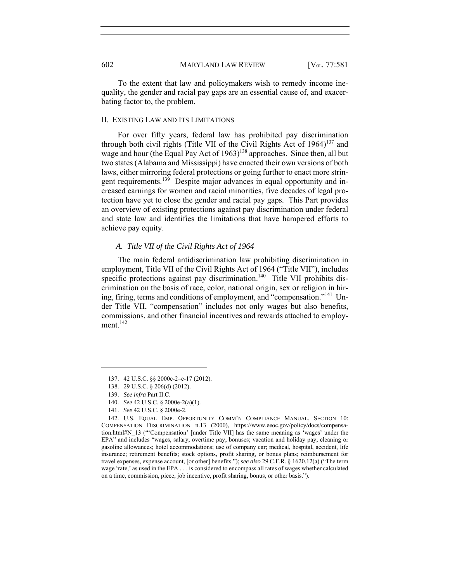To the extent that law and policymakers wish to remedy income inequality, the gender and racial pay gaps are an essential cause of, and exacerbating factor to, the problem.

#### II. EXISTING LAW AND ITS LIMITATIONS

For over fifty years, federal law has prohibited pay discrimination through both civil rights (Title VII of the Civil Rights Act of  $1964$ )<sup>137</sup> and wage and hour (the Equal Pay Act of 1963)<sup>138</sup> approaches. Since then, all but two states (Alabama and Mississippi) have enacted their own versions of both laws, either mirroring federal protections or going further to enact more stringent requirements.<sup>139</sup> Despite major advances in equal opportunity and increased earnings for women and racial minorities, five decades of legal protection have yet to close the gender and racial pay gaps. This Part provides an overview of existing protections against pay discrimination under federal and state law and identifies the limitations that have hampered efforts to achieve pay equity.

# *A. Title VII of the Civil Rights Act of 1964*

The main federal antidiscrimination law prohibiting discrimination in employment, Title VII of the Civil Rights Act of 1964 ("Title VII"), includes specific protections against pay discrimination.<sup>140</sup> Title VII prohibits discrimination on the basis of race, color, national origin, sex or religion in hiring, firing, terms and conditions of employment, and "compensation."141 Under Title VII, "compensation" includes not only wages but also benefits, commissions, and other financial incentives and rewards attached to employment. $142$ 

 <sup>137. 42</sup> U.S.C. §§ 2000e-2–e-17 (2012).

 <sup>138. 29</sup> U.S.C. § 206(d) (2012).

 <sup>139.</sup> *See infra* Part II.C.

 <sup>140.</sup> *See* 42 U.S.C. § 2000e-2(a)(1).

 <sup>141.</sup> *See* 42 U.S.C. § 2000e-2.

 <sup>142.</sup> U.S. EQUAL EMP. OPPORTUNITY COMM'N COMPLIANCE MANUAL, SECTION 10: COMPENSATION DISCRIMINATION n.13 (2000), https://www.eeoc.gov/policy/docs/compensation.html#N\_13 ("'Compensation' [under Title VII] has the same meaning as 'wages' under the EPA" and includes "wages, salary, overtime pay; bonuses; vacation and holiday pay; cleaning or gasoline allowances; hotel accommodations; use of company car; medical, hospital, accident, life insurance; retirement benefits; stock options, profit sharing, or bonus plans; reimbursement for travel expenses, expense account, [or other] benefits."); *see also* 29 C.F.R. § 1620.12(a) ("The term wage 'rate,' as used in the EPA . . . is considered to encompass all rates of wages whether calculated on a time, commission, piece, job incentive, profit sharing, bonus, or other basis.").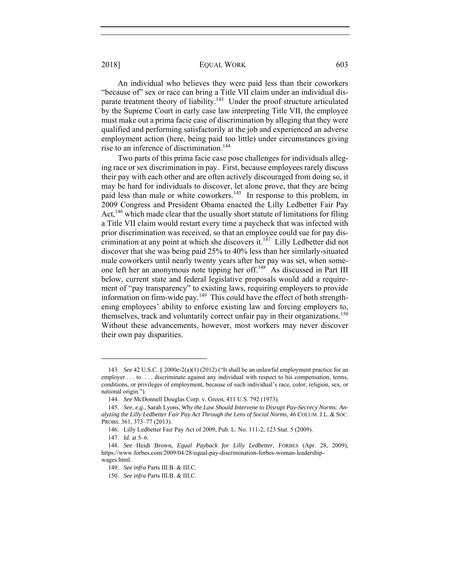An individual who believes they were paid less than their coworkers "because of" sex or race can bring a Title VII claim under an individual disparate treatment theory of liability.<sup>143</sup> Under the proof structure articulated by the Supreme Court in early case law interpreting Title VII, the employee must make out a prima facie case of discrimination by alleging that they were qualified and performing satisfactorily at the job and experienced an adverse employment action (here, being paid too little) under circumstances giving rise to an inference of discrimination.<sup>144</sup>

Two parts of this prima facie case pose challenges for individuals alleging race or sex discrimination in pay. First, because employees rarely discuss their pay with each other and are often actively discouraged from doing so, it may be hard for individuals to discover, let alone prove, that they are being paid less than male or white coworkers.<sup>145</sup> In response to this problem, in 2009 Congress and President Obama enacted the Lilly Ledbetter Fair Pay Act,<sup>146</sup> which made clear that the usually short statute of limitations for filing a Title VII claim would restart every time a paycheck that was infected with prior discrimination was received, so that an employee could sue for pay discrimination at any point at which she discovers it.<sup>147</sup> Lilly Ledbetter did not discover that she was being paid 25% to 40% less than her similarly-situated male coworkers until nearly twenty years after her pay was set, when someone left her an anonymous note tipping her off.<sup>148</sup> As discussed in Part III below, current state and federal legislative proposals would add a requirement of "pay transparency" to existing laws, requiring employers to provide information on firm-wide pay.<sup>149</sup> This could have the effect of both strengthening employees' ability to enforce existing law and forcing employers to, themselves, track and voluntarily correct unfair pay in their organizations.<sup>150</sup> Without these advancements, however, most workers may never discover their own pay disparities.

 <sup>143.</sup> *See* 42 U.S.C. § 2000e-2(a)(1) (2012) ("It shall be an unlawful employment practice for an employer . . . to . . . discriminate against any individual with respect to his compensation, terms, conditions, or privileges of employment, because of such individual's race, color, religion, sex, or national origin.").

 <sup>144.</sup> *See* McDonnell Douglas Corp. v. Green, 411 U.S. 792 (1973).

 <sup>145.</sup> *See, e.g.*, Sarah Lyons, *Why the Law Should Intervene to Disrupt Pay-Secrecy Norms: Analyzing the Lilly Ledbetter Fair Pay Act Through the Lens of Social Norms*, 46 COLUM.J.L. & SOC. PROBS. 361, 373–77 (2013).

 <sup>146.</sup> Lilly Ledbetter Fair Pay Act of 2009, Pub. L. No. 111-2, 123 Stat. 5 (2009).

 <sup>147.</sup> *Id.* at 5–6.

 <sup>148.</sup> *See* Heidi Brown, *Equal Payback for Lilly Ledbetter*, FORBES (Apr. 28, 2009), https://www.forbes.com/2009/04/28/equal-pay-discrimination-forbes-woman-leadershipwages.html.

 <sup>149.</sup> *See infra* Parts III.B. & III.C.

 <sup>150.</sup> *See infra* Parts III.B. & III.C.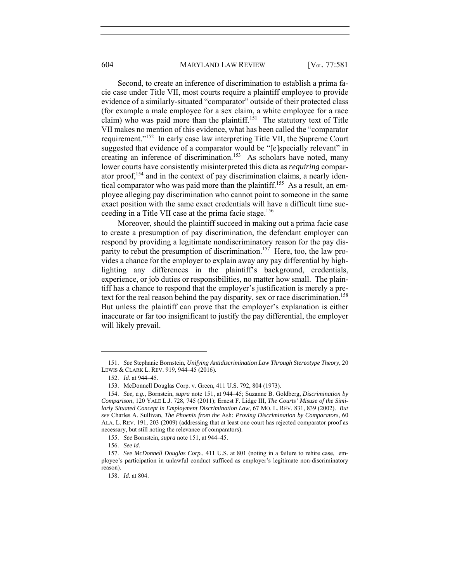604 MARYLAND LAW REVIEW [V<sub>OL</sub>. 77:581]

Second, to create an inference of discrimination to establish a prima facie case under Title VII, most courts require a plaintiff employee to provide evidence of a similarly-situated "comparator" outside of their protected class (for example a male employee for a sex claim, a white employee for a race claim) who was paid more than the plaintiff.<sup>151</sup> The statutory text of Title VII makes no mention of this evidence, what has been called the "comparator requirement."152 In early case law interpreting Title VII, the Supreme Court suggested that evidence of a comparator would be "[e]specially relevant" in creating an inference of discrimination.<sup>153</sup> As scholars have noted, many lower courts have consistently misinterpreted this dicta as *requiring* comparator proof,<sup>154</sup> and in the context of pay discrimination claims, a nearly identical comparator who was paid more than the plaintiff.<sup>155</sup> As a result, an employee alleging pay discrimination who cannot point to someone in the same exact position with the same exact credentials will have a difficult time succeeding in a Title VII case at the prima facie stage.<sup>156</sup>

Moreover, should the plaintiff succeed in making out a prima facie case to create a presumption of pay discrimination, the defendant employer can respond by providing a legitimate nondiscriminatory reason for the pay disparity to rebut the presumption of discrimination.<sup>157</sup> Here, too, the law provides a chance for the employer to explain away any pay differential by highlighting any differences in the plaintiff's background, credentials, experience, or job duties or responsibilities, no matter how small. The plaintiff has a chance to respond that the employer's justification is merely a pretext for the real reason behind the pay disparity, sex or race discrimination.<sup>158</sup> But unless the plaintiff can prove that the employer's explanation is either inaccurate or far too insignificant to justify the pay differential, the employer will likely prevail.

 <sup>151.</sup> *See* Stephanie Bornstein, *Unifying Antidiscrimination Law Through Stereotype Theory*, 20 LEWIS & CLARK L. REV. 919, 944–45 (2016).

 <sup>152.</sup> *Id.* at 944–45.

 <sup>153.</sup> McDonnell Douglas Corp. v. Green, 411 U.S. 792, 804 (1973).

 <sup>154.</sup> *See, e.g.*, Bornstein, *supra* note 151, at 944–45; Suzanne B. Goldberg, *Discrimination by Comparison*, 120 YALE L.J. 728, 745 (2011); Ernest F. Lidge III, *The Courts' Misuse of the Similarly Situated Concept in Employment Discrimination Law*, 67 MO. L. REV. 831, 839 (2002). *But see* Charles A. Sullivan, *The Phoenix from the* Ash*: Proving Discrimination by Comparators*, 60 ALA. L. REV. 191, 203 (2009) (addressing that at least one court has rejected comparator proof as necessary, but still noting the relevance of comparators).

 <sup>155.</sup> *See* Bornstein, *supra* note 151, at 944–45.

 <sup>156.</sup> *See id.*

 <sup>157.</sup> *See McDonnell Douglas Corp.*, 411 U.S. at 801 (noting in a failure to rehire case, employee's participation in unlawful conduct sufficed as employer's legitimate non-discriminatory reason).

 <sup>158.</sup> *Id.* at 804.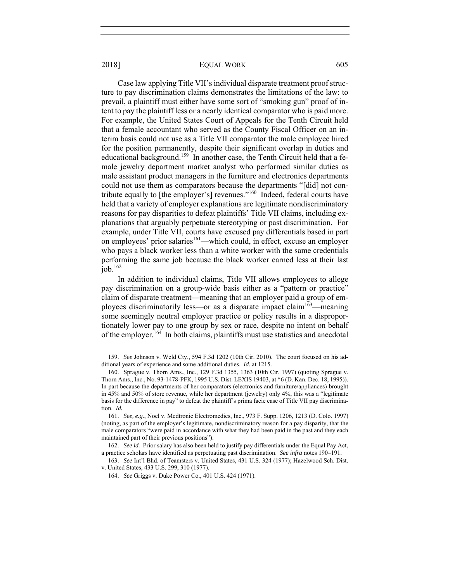Case law applying Title VII's individual disparate treatment proof structure to pay discrimination claims demonstrates the limitations of the law: to prevail, a plaintiff must either have some sort of "smoking gun" proof of intent to pay the plaintiff less or a nearly identical comparator who is paid more. For example, the United States Court of Appeals for the Tenth Circuit held that a female accountant who served as the County Fiscal Officer on an interim basis could not use as a Title VII comparator the male employee hired for the position permanently, despite their significant overlap in duties and educational background.<sup>159</sup> In another case, the Tenth Circuit held that a female jewelry department market analyst who performed similar duties as male assistant product managers in the furniture and electronics departments could not use them as comparators because the departments "[did] not contribute equally to [the employer's] revenues."160 Indeed, federal courts have held that a variety of employer explanations are legitimate nondiscriminatory reasons for pay disparities to defeat plaintiffs' Title VII claims, including explanations that arguably perpetuate stereotyping or past discrimination. For example, under Title VII, courts have excused pay differentials based in part on employees' prior salaries<sup>161</sup>—which could, in effect, excuse an employer who pays a black worker less than a white worker with the same credentials performing the same job because the black worker earned less at their last job. $162$ 

In addition to individual claims, Title VII allows employees to allege pay discrimination on a group-wide basis either as a "pattern or practice" claim of disparate treatment—meaning that an employer paid a group of employees discriminatorily less—or as a disparate impact claim<sup>163</sup>—meaning some seemingly neutral employer practice or policy results in a disproportionately lower pay to one group by sex or race, despite no intent on behalf of the employer.<sup>164</sup> In both claims, plaintiffs must use statistics and anecdotal

 <sup>159.</sup> *See* Johnson v. Weld Cty., 594 F.3d 1202 (10th Cir. 2010). The court focused on his additional years of experience and some additional duties. *Id.* at 1215.

 <sup>160.</sup> Sprague v. Thorn Ams., Inc., 129 F.3d 1355, 1363 (10th Cir. 1997) (quoting Sprague v. Thorn Ams., Inc., No. 93-1478-PFK, 1995 U.S. Dist. LEXIS 19403, at \*6 (D. Kan. Dec. 18, 1995)). In part because the departments of her comparators (electronics and furniture/appliances) brought in 45% and 50% of store revenue, while her department (jewelry) only 4%, this was a "legitimate basis for the difference in pay" to defeat the plaintiff's prima facie case of Title VII pay discrimination. *Id.* 

 <sup>161.</sup> *See, e.g.*, Noel v. Medtronic Electromedics, Inc., 973 F. Supp. 1206, 1213 (D. Colo. 1997) (noting, as part of the employer's legitimate, nondiscriminatory reason for a pay disparity, that the male comparators "were paid in accordance with what they had been paid in the past and they each maintained part of their previous positions").

 <sup>162.</sup> *See id.* Prior salary has also been held to justify pay differentials under the Equal Pay Act, a practice scholars have identified as perpetuating past discrimination. *See infra* notes 190–191.

 <sup>163.</sup> *See* Int'l Bhd. of Teamsters v. United States, 431 U.S. 324 (1977); Hazelwood Sch. Dist. v. United States, 433 U.S. 299, 310 (1977).

 <sup>164.</sup> *See* Griggs v. Duke Power Co., 401 U.S. 424 (1971).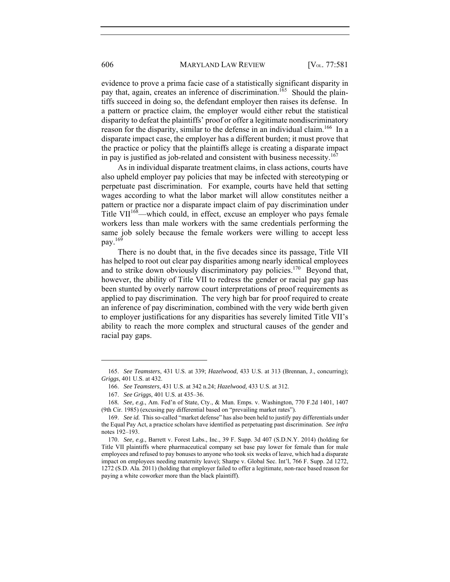evidence to prove a prima facie case of a statistically significant disparity in pay that, again, creates an inference of discrimination.<sup>165</sup> Should the plaintiffs succeed in doing so, the defendant employer then raises its defense. In a pattern or practice claim, the employer would either rebut the statistical disparity to defeat the plaintiffs' proof or offer a legitimate nondiscriminatory reason for the disparity, similar to the defense in an individual claim.<sup>166</sup> In a disparate impact case, the employer has a different burden; it must prove that the practice or policy that the plaintiffs allege is creating a disparate impact in pay is justified as job-related and consistent with business necessity.<sup>167</sup>

As in individual disparate treatment claims, in class actions, courts have also upheld employer pay policies that may be infected with stereotyping or perpetuate past discrimination. For example, courts have held that setting wages according to what the labor market will allow constitutes neither a pattern or practice nor a disparate impact claim of pay discrimination under Title VII<sup>168</sup>—which could, in effect, excuse an employer who pays female workers less than male workers with the same credentials performing the same job solely because the female workers were willing to accept less pay. $169$ 

There is no doubt that, in the five decades since its passage, Title VII has helped to root out clear pay disparities among nearly identical employees and to strike down obviously discriminatory pay policies.<sup>170</sup> Beyond that, however, the ability of Title VII to redress the gender or racial pay gap has been stunted by overly narrow court interpretations of proof requirements as applied to pay discrimination. The very high bar for proof required to create an inference of pay discrimination, combined with the very wide berth given to employer justifications for any disparities has severely limited Title VII's ability to reach the more complex and structural causes of the gender and racial pay gaps.

 <sup>165.</sup> *See Teamsters*, 431 U.S. at 339; *Hazelwood*, 433 U.S. at 313 (Brennan, J., concurring); *Griggs*, 401 U.S. at 432.

 <sup>166.</sup> *See Teamsters*, 431 U.S. at 342 n.24; *Hazelwood,* 433 U.S. at 312.

 <sup>167.</sup> *See Griggs,* 401 U.S. at 435–36.

<sup>168</sup>*. See, e.g.*, Am. Fed'n of State, Cty., & Mun. Emps. v. Washington, 770 F.2d 1401, 1407 (9th Cir. 1985) (excusing pay differential based on "prevailing market rates").

 <sup>169.</sup> *See id.* This so-called "market defense" has also been held to justify pay differentials under the Equal Pay Act, a practice scholars have identified as perpetuating past discrimination. *See infra* notes 192–193.

 <sup>170.</sup> *See, e.g.*, Barrett v. Forest Labs., Inc., 39 F. Supp. 3d 407 (S.D.N.Y. 2014) (holding for Title VII plaintiffs where pharmaceutical company set base pay lower for female than for male employees and refused to pay bonuses to anyone who took six weeks of leave, which had a disparate impact on employees needing maternity leave); Sharpe v. Global Sec. Int'l, 766 F. Supp. 2d 1272, 1272 (S.D. Ala. 2011) (holding that employer failed to offer a legitimate, non-race based reason for paying a white coworker more than the black plaintiff).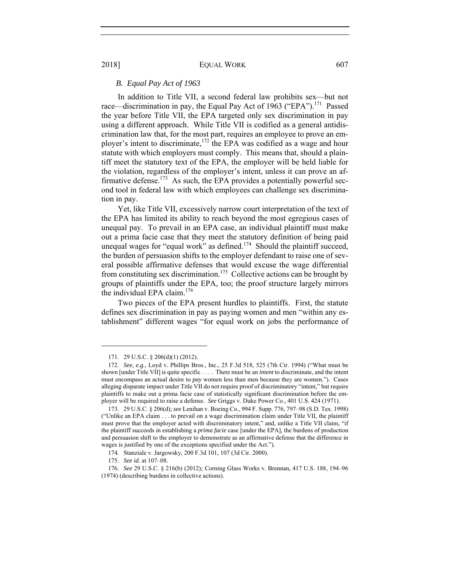# *B. Equal Pay Act of 1963*

In addition to Title VII, a second federal law prohibits sex—but not race—discrimination in pay, the Equal Pay Act of 1963 ("EPA").<sup>171</sup> Passed the year before Title VII, the EPA targeted only sex discrimination in pay using a different approach. While Title VII is codified as a general antidiscrimination law that, for the most part, requires an employee to prove an employer's intent to discriminate,<sup>172</sup> the EPA was codified as a wage and hour statute with which employers must comply. This means that, should a plaintiff meet the statutory text of the EPA, the employer will be held liable for the violation, regardless of the employer's intent, unless it can prove an affirmative defense.<sup>173</sup> As such, the EPA provides a potentially powerful second tool in federal law with which employees can challenge sex discrimination in pay.

Yet, like Title VII, excessively narrow court interpretation of the text of the EPA has limited its ability to reach beyond the most egregious cases of unequal pay. To prevail in an EPA case, an individual plaintiff must make out a prima facie case that they meet the statutory definition of being paid unequal wages for "equal work" as defined. $174$  Should the plaintiff succeed, the burden of persuasion shifts to the employer defendant to raise one of several possible affirmative defenses that would excuse the wage differential from constituting sex discrimination.<sup>175</sup> Collective actions can be brought by groups of plaintiffs under the EPA, too; the proof structure largely mirrors the individual EPA claim.<sup>176</sup>

Two pieces of the EPA present hurdles to plaintiffs. First, the statute defines sex discrimination in pay as paying women and men "within any establishment" different wages "for equal work on jobs the performance of

 <sup>171. 29</sup> U.S.C. § 206(d)(1) (2012).

 <sup>172.</sup> *See, e.g.*, Loyd v. Phillips Bros., Inc., 25 F.3d 518, 525 (7th Cir. 1994) ("What must be shown [under Title VII] is quite specific . . . . There must be an *intent* to discriminate, and the intent must encompass an actual desire to *pay* women less than men because they are women."). Cases alleging disparate impact under Title VII do not require proof of discriminatory "intent," but require plaintiffs to make out a prima facie case of statistically significant discrimination before the employer will be required to raise a defense. *See* Griggs v. Duke Power Co., 401 U.S. 424 (1971).

 <sup>173. 29</sup> U.S.C. § 206(d); *see* Lenihan v. Boeing Co., 994 F. Supp. 776, 797–98 (S.D. Tex. 1998) ("Unlike an EPA claim . . . to prevail on a wage discrimination claim under Title VII, the plaintiff must prove that the employer acted with discriminatory intent," and, unlike a Title VII claim, "if the plaintiff succeeds in establishing a *prima facie* case [under the EPA], the burdens of production and persuasion shift to the employer to demonstrate as an affirmative defense that the difference in wages is justified by one of the exceptions specified under the Act.").

 <sup>174.</sup> Stanziale v. Jargowsky, 200 F.3d 101, 107 (3d Cir. 2000).

 <sup>175.</sup> *See id.* at 107–08.

 <sup>176.</sup> *See* 29 U.S.C. § 216(b) (2012)*;* Corning Glass Works v. Brennan, 417 U.S. 188, 194–96 (1974) (describing burdens in collective actions).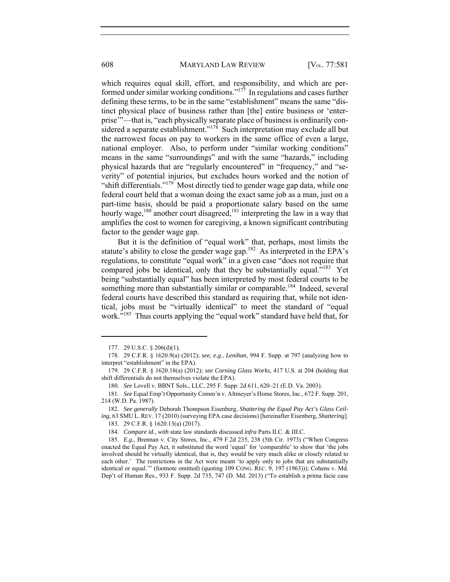608 MARYLAND LAW REVIEW [V<sub>OL</sub>. 77:581]

which requires equal skill, effort, and responsibility, and which are performed under similar working conditions."<sup>177</sup> In regulations and cases further defining these terms, to be in the same "establishment" means the same "distinct physical place of business rather than [the] entire business or 'enterprise'"—that is, "each physically separate place of business is ordinarily considered a separate establishment."<sup>178</sup> Such interpretation may exclude all but the narrowest focus on pay to workers in the same office of even a large, national employer. Also, to perform under "similar working conditions" means in the same "surroundings" and with the same "hazards," including physical hazards that are "regularly encountered" in "frequency," and "severity" of potential injuries, but excludes hours worked and the notion of "shift differentials."<sup>179</sup> Most directly tied to gender wage gap data, while one federal court held that a woman doing the exact same job as a man, just on a part-time basis, should be paid a proportionate salary based on the same hourly wage,<sup>180</sup> another court disagreed,<sup>181</sup> interpreting the law in a way that amplifies the cost to women for caregiving, a known significant contributing factor to the gender wage gap.

But it is the definition of "equal work" that, perhaps, most limits the statute's ability to close the gender wage gap.<sup>182</sup> As interpreted in the EPA's regulations, to constitute "equal work" in a given case "does not require that compared jobs be identical, only that they be substantially equal."<sup>183</sup> Yet being "substantially equal" has been interpreted by most federal courts to be something more than substantially similar or comparable.<sup>184</sup> Indeed, several federal courts have described this standard as requiring that, while not identical, jobs must be "virtually identical" to meet the standard of "equal work."<sup>185</sup> Thus courts applying the "equal work" standard have held that, for

 <sup>177. 29</sup> U.S.C. § 206(d)(1)*.*

 <sup>178. 29</sup> C.F.R. § 1620.9(a) (2012); *see, e.g.*, *Lenihan*, 994 F. Supp. at 797 (analyzing how to interpret "establishment" in the EPA).

 <sup>179. 29</sup> C.F.R. § 1620.18(a) (2012); *see Corning Glass Works*, 417 U.S. at 204 (holding that shift differentials do not themselves violate the EPA).

<sup>180</sup>*. See* Lovell v. BBNT Sols., LLC, 295 F. Supp. 2d 611, 620–21 (E.D. Va. 2003).

 <sup>181.</sup> *See* Equal Emp't Opportunity Comm'n v. Altmeyer's Home Stores, Inc., 672 F. Supp. 201, 214 (W.D. Pa. 1987).

 <sup>182.</sup> *See generally* Deborah Thompson Eisenberg, *Shattering the Equal Pay Act's Glass Ceiling*, 63 SMU L. REV. 17 (2010) (surveying EPA case decisions) [hereinafter Eisenberg, *Shattering*].

 <sup>183. 29</sup> C.F.R. § 1620.13(a) (2017).

 <sup>184.</sup> *Compare id.*, *with* state law standards discussed *infra* Parts II.C. & III.C.

 <sup>185.</sup> *E.g.*, Brennan v. City Stores, Inc., 479 F.2d 235, 238 (5th Cir. 1973) ("When Congress enacted the Equal Pay Act, it substituted the word 'equal' for 'comparable' to show that 'the jobs involved should be virtually identical, that is, they would be very much alike or closely related to each other.' The restrictions in the Act were meant 'to apply only to jobs that are substantially identical or equal.'" (footnote omitted) (quoting 109 CONG. REC. 9, 197 (1963))); Cohens v. Md. Dep't of Human Res., 933 F. Supp. 2d 735, 747 (D. Md. 2013) ("To establish a prima facie case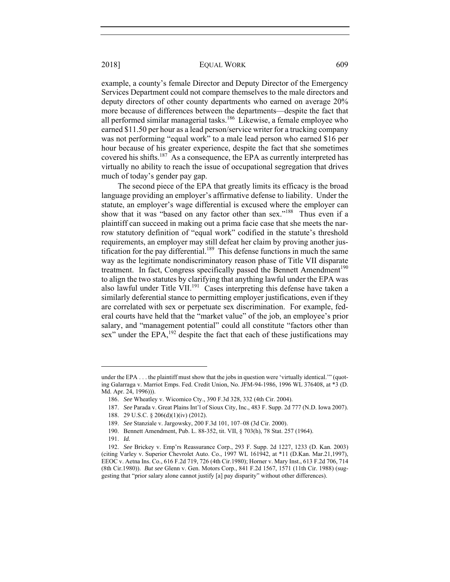example, a county's female Director and Deputy Director of the Emergency Services Department could not compare themselves to the male directors and deputy directors of other county departments who earned on average 20% more because of differences between the departments—despite the fact that all performed similar managerial tasks.<sup>186</sup> Likewise, a female employee who earned \$11.50 per hour as a lead person/service writer for a trucking company was not performing "equal work" to a male lead person who earned \$16 per hour because of his greater experience, despite the fact that she sometimes covered his shifts.<sup>187</sup> As a consequence, the EPA as currently interpreted has virtually no ability to reach the issue of occupational segregation that drives much of today's gender pay gap.

The second piece of the EPA that greatly limits its efficacy is the broad language providing an employer's affirmative defense to liability. Under the statute, an employer's wage differential is excused where the employer can show that it was "based on any factor other than sex."188 Thus even if a plaintiff can succeed in making out a prima facie case that she meets the narrow statutory definition of "equal work" codified in the statute's threshold requirements, an employer may still defeat her claim by proving another justification for the pay differential.<sup>189</sup> This defense functions in much the same way as the legitimate nondiscriminatory reason phase of Title VII disparate treatment. In fact, Congress specifically passed the Bennett Amendment<sup>190</sup> to align the two statutes by clarifying that anything lawful under the EPA was also lawful under Title VII.<sup>191</sup> Cases interpreting this defense have taken a similarly deferential stance to permitting employer justifications, even if they are correlated with sex or perpetuate sex discrimination. For example, federal courts have held that the "market value" of the job, an employee's prior salary, and "management potential" could all constitute "factors other than sex" under the EPA, $^{192}$  despite the fact that each of these justifications may

under the EPA . . . the plaintiff must show that the jobs in question were 'virtually identical.'" (quoting Galarraga v. Marriot Emps. Fed. Credit Union, No. JFM-94-1986, 1996 WL 376408, at \*3 (D. Md. Apr. 24, 1996))).

 <sup>186.</sup> *See* Wheatley v. Wicomico Cty., 390 F.3d 328, 332 (4th Cir. 2004).

 <sup>187.</sup> *See* Parada v. Great Plains Int'l of Sioux City, Inc., 483 F. Supp. 2d 777 (N.D. Iowa 2007). 188. 29 U.S.C. § 206(d)(1)(iv) (2012).

 <sup>189.</sup> *See* Stanziale v. Jargowsky, 200 F.3d 101, 107–08 (3d Cir. 2000).

 <sup>190.</sup> Bennett Amendment, Pub. L. 88-352, tit. VII, § 703(h), 78 Stat. 257 (1964).

 <sup>191.</sup> *Id.*

 <sup>192.</sup> *See* Brickey v. Emp'rs Reassurance Corp., 293 F. Supp. 2d 1227, 1233 (D. Kan. 2003) (citing Varley v. Superior Chevrolet Auto. Co., 1997 WL 161942, at \*11 (D.Kan. Mar.21,1997), EEOC v. Aetna Ins. Co., 616 F.2d 719, 726 (4th Cir.1980); Horner v. Mary Inst., 613 F.2d 706, 714 (8th Cir.1980)). *But see* Glenn v. Gen. Motors Corp., 841 F.2d 1567, 1571 (11th Cir. 1988) (suggesting that "prior salary alone cannot justify [a] pay disparity" without other differences).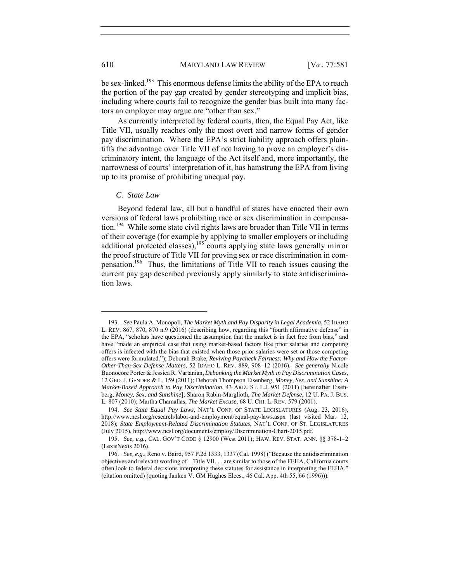be sex-linked.<sup>193</sup> This enormous defense limits the ability of the EPA to reach the portion of the pay gap created by gender stereotyping and implicit bias, including where courts fail to recognize the gender bias built into many factors an employer may argue are "other than sex."

As currently interpreted by federal courts, then, the Equal Pay Act, like Title VII, usually reaches only the most overt and narrow forms of gender pay discrimination. Where the EPA's strict liability approach offers plaintiffs the advantage over Title VII of not having to prove an employer's discriminatory intent, the language of the Act itself and, more importantly, the narrowness of courts' interpretation of it, has hamstrung the EPA from living up to its promise of prohibiting unequal pay.

#### *C. State Law*

Beyond federal law, all but a handful of states have enacted their own versions of federal laws prohibiting race or sex discrimination in compensation.<sup>194</sup> While some state civil rights laws are broader than Title VII in terms of their coverage (for example by applying to smaller employers or including additional protected classes), $195$  courts applying state laws generally mirror the proof structure of Title VII for proving sex or race discrimination in compensation.196 Thus, the limitations of Title VII to reach issues causing the current pay gap described previously apply similarly to state antidiscrimination laws.

 <sup>193.</sup> *See* Paula A. Monopoli, *The Market Myth and Pay Disparity in Legal Academia*, 52 IDAHO L. REV. 867, 870, 870 n.9 (2016) (describing how, regarding this "fourth affirmative defense" in the EPA, "scholars have questioned the assumption that the market is in fact free from bias," and have "made an empirical case that using market-based factors like prior salaries and competing offers is infected with the bias that existed when those prior salaries were set or those competing offers were formulated."); Deborah Brake, *Reviving Paycheck Fairness: Why and How the Factor-Other-Than-Sex Defense Matters*, 52 IDAHO L. REV. 889, 908–12 (2016). *See generally* Nicole Buonocore Porter & Jessica R. Vartanian, *Debunking the Market Myth in Pay Discrimination Cases*, 12 GEO. J. GENDER & L. 159 (2011); Deborah Thompson Eisenberg, *Money, Sex, and Sunshine: A Market-Based Approach to Pay Discrimination*, 43 ARIZ. ST. L.J. 951 (2011) [hereinafter Eisenberg, *Money, Sex, and Sunshine*]; Sharon Rabin-Marglioth, *The Market Defense*, 12 U. PA. J. BUS. L. 807 (2010); Martha Chamallas, *The Market Excuse*, 68 U. CHI. L. REV. 579 (2001).

 <sup>194.</sup> *See State Equal Pay Laws*, NAT'L CONF. OF STATE LEGISLATURES (Aug. 23, 2016), http://www.ncsl.org/research/labor-and-employment/equal-pay-laws.aspx (last visited Mar. 12, 2018); *State Employment-Related Discrimination Statutes*, NAT'L CONF. OF ST. LEGISLATURES (July 2015), http://www.ncsl.org/documents/employ/Discrimination-Chart-2015.pdf.

 <sup>195.</sup> *See, e.g.*, CAL. GOV'T CODE § 12900 (West 2011); HAW. REV. STAT. ANN. §§ 378-1–2 (LexisNexis 2016).

 <sup>196.</sup> *See, e.g.*, Reno v. Baird, 957 P.2d 1333, 1337 (Cal. 1998) ("Because the antidiscrimination objectives and relevant wording of…Title VII. . . are similar to those of the FEHA, California courts often look to federal decisions interpreting these statutes for assistance in interpreting the FEHA." (citation omitted) (quoting Janken V. GM Hughes Elecs., 46 Cal. App. 4th 55, 66 (1996))).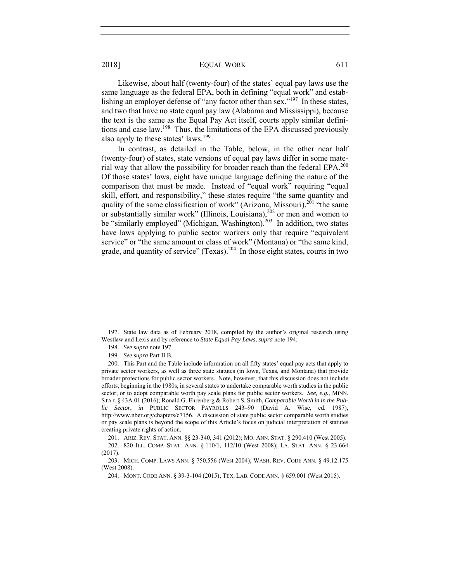Likewise, about half (twenty-four) of the states' equal pay laws use the same language as the federal EPA, both in defining "equal work" and establishing an employer defense of "any factor other than sex."<sup>197</sup> In these states, and two that have no state equal pay law (Alabama and Mississippi), because the text is the same as the Equal Pay Act itself, courts apply similar definitions and case law.198 Thus, the limitations of the EPA discussed previously also apply to these states' laws.<sup>199</sup>

In contrast, as detailed in the Table, below, in the other near half (twenty-four) of states, state versions of equal pay laws differ in some material way that allow the possibility for broader reach than the federal EPA.<sup>200</sup> Of those states' laws, eight have unique language defining the nature of the comparison that must be made. Instead of "equal work" requiring "equal skill, effort, and responsibility," these states require "the same quantity and quality of the same classification of work" (Arizona, Missouri),  $2^{01}$  "the same or substantially similar work" (Illinois, Louisiana), $2^{02}$  or men and women to be "similarly employed" (Michigan, Washington).<sup>203</sup> In addition, two states have laws applying to public sector workers only that require "equivalent service" or "the same amount or class of work" (Montana) or "the same kind, grade, and quantity of service" (Texas).<sup>204</sup> In those eight states, courts in two

 <sup>197.</sup> State law data as of February 2018, compiled by the author's original research using Westlaw and Lexis and by reference to *State Equal Pay Laws*, *supra* note 194.

 <sup>198.</sup> *See supra* note 197.

 <sup>199.</sup> *See supra* Part II.B.

 <sup>200.</sup> This Part and the Table include information on all fifty states' equal pay acts that apply to private sector workers, as well as three state statutes (in Iowa, Texas, and Montana) that provide broader protections for public sector workers. Note, however, that this discussion does not include efforts, beginning in the 1980s, in several states to undertake comparable worth studies in the public sector, or to adopt comparable worth pay scale plans for public sector workers. *See, e.g.,* MINN. STAT. § 43A.01 (2016); Ronald G. Ehrenberg & Robert S. Smith, *Comparable Worth in in the Public Sector*, *in* PUBLIC SECTOR PAYROLLS 243–90 (David A. Wise, ed. 1987), http://www.nber.org/chapters/c7156. A discussion of state public sector comparable worth studies or pay scale plans is beyond the scope of this Article's focus on judicial interpretation of statutes creating private rights of action.

 <sup>201.</sup> ARIZ. REV. STAT. ANN. §§ 23-340, 341 (2012); MO. ANN. STAT. § 290.410 (West 2005).

 <sup>202. 820</sup> ILL. COMP. STAT. ANN. § 110/1, 112/10 (West 2008); LA. STAT. ANN. § 23:664 (2017).

 <sup>203.</sup> MICH. COMP. LAWS ANN. § 750.556 (West 2004); WASH. REV. CODE ANN. § 49.12.175 (West 2008).

 <sup>204.</sup> MONT. CODE ANN. § 39-3-104 (2015); TEX. LAB. CODE ANN. § 659.001 (West 2015).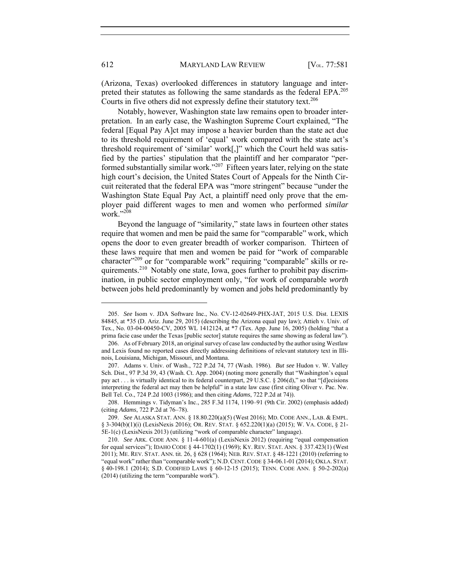(Arizona, Texas) overlooked differences in statutory language and interpreted their statutes as following the same standards as the federal EPA.<sup>205</sup> Courts in five others did not expressly define their statutory text.<sup>206</sup>

Notably, however, Washington state law remains open to broader interpretation. In an early case, the Washington Supreme Court explained, "The federal [Equal Pay A]ct may impose a heavier burden than the state act due to its threshold requirement of 'equal' work compared with the state act's threshold requirement of 'similar' work[,]" which the Court held was satisfied by the parties' stipulation that the plaintiff and her comparator "performed substantially similar work."207 Fifteen years later, relying on the state high court's decision, the United States Court of Appeals for the Ninth Circuit reiterated that the federal EPA was "more stringent" because "under the Washington State Equal Pay Act, a plaintiff need only prove that the employer paid different wages to men and women who performed *similar* work."208

Beyond the language of "similarity," state laws in fourteen other states require that women and men be paid the same for "comparable" work, which opens the door to even greater breadth of worker comparison. Thirteen of these laws require that men and women be paid for "work of comparable character"<sup>209</sup> or for "comparable work" requiring "comparable" skills or requirements.<sup>210</sup> Notably one state, Iowa, goes further to prohibit pay discrimination, in public sector employment only, "for work of comparable *worth*  between jobs held predominantly by women and jobs held predominantly by

 <sup>205.</sup> *See* Isom v. JDA Software Inc., No. CV-12-02649-PHX-JAT, 2015 U.S. Dist. LEXIS 84845, at \*35 (D. Ariz. June 29, 2015) (describing the Arizona equal pay law); Attieh v. Univ. of Tex., No. 03-04-00450-CV, 2005 WL 1412124, at \*7 (Tex. App. June 16, 2005) (holding "that a prima facie case under the Texas [public sector] statute requires the same showing as federal law").

 <sup>206.</sup> As of February 2018, an original survey of case law conducted by the author using Westlaw and Lexis found no reported cases directly addressing definitions of relevant statutory text in Illinois, Louisiana, Michigan, Missouri, and Montana.

 <sup>207.</sup> Adams v. Univ. of Wash., 722 P.2d 74, 77 (Wash. 1986). *But see* Hudon v. W. Valley Sch. Dist., 97 P.3d 39, 43 (Wash. Ct. App. 2004) (noting more generally that "Washington's equal pay act . . . is virtually identical to its federal counterpart, 29 U.S.C. § 206(d)," so that "[d]ecisions interpreting the federal act may then be helpful" in a state law case (first citing Oliver v. Pac. Nw. Bell Tel. Co., 724 P.2d 1003 (1986); and then citing *Adams*, 722 P.2d at 74)).

 <sup>208.</sup> Hemmings v. Tidyman's Inc., 285 F.3d 1174, 1190–91 (9th Cir. 2002) (emphasis added) (citing *Adams*, 722 P.2d at 76–78).

 <sup>209.</sup> *See* ALASKA STAT. ANN. § 18.80.220(a)(5) (West 2016); MD. CODE ANN., LAB. & EMPL. § 3-304(b)(1)(i) (LexisNexis 2016); OR. REV. STAT. § 652.220(1)(a) (2015); W. VA. CODE, § 21- 5E-1(c) (LexisNexis 2013) (utilizing "work of comparable character" language).

 <sup>210.</sup> *See* ARK. CODE ANN. § 11-4-601(a) (LexisNexis 2012) (requiring "equal compensation for equal services"); IDAHO CODE § 44-1702(1) (1969); KY. REV. STAT. ANN. § 337.423(1) (West 2011); ME. REV. STAT. ANN. tit. 26, § 628 (1964); NEB. REV. STAT. § 48-1221 (2010) (referring to "equal work" rather than "comparable work"); N.D.CENT.CODE § 34-06.1-01 (2014); OKLA. STAT. § 40-198.1 (2014); S.D. CODIFIED LAWS § 60-12-15 (2015); TENN. CODE ANN. § 50-2-202(a) (2014) (utilizing the term "comparable work").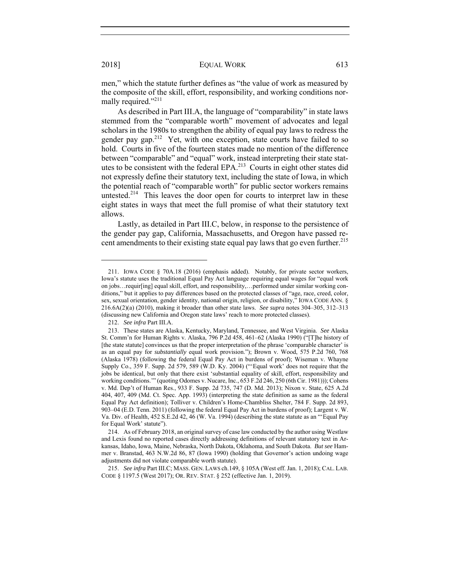men," which the statute further defines as "the value of work as measured by the composite of the skill, effort, responsibility, and working conditions normally required."<sup>211</sup>

As described in Part III.A, the language of "comparability" in state laws stemmed from the "comparable worth" movement of advocates and legal scholars in the 1980s to strengthen the ability of equal pay laws to redress the gender pay gap. $2^{12}$  Yet, with one exception, state courts have failed to so hold. Courts in five of the fourteen states made no mention of the difference between "comparable" and "equal" work, instead interpreting their state statutes to be consistent with the federal EPA.213 Courts in eight other states did not expressly define their statutory text, including the state of Iowa, in which the potential reach of "comparable worth" for public sector workers remains untested.<sup>214</sup> This leaves the door open for courts to interpret law in these eight states in ways that meet the full promise of what their statutory text allows.

Lastly, as detailed in Part III.C, below, in response to the persistence of the gender pay gap, California, Massachusetts, and Oregon have passed recent amendments to their existing state equal pay laws that go even further.<sup>215</sup>

 215. *See infra* Part III.C; MASS. GEN. LAWS ch.149, § 105A (West eff. Jan. 1, 2018); CAL. LAB. CODE § 1197.5 (West 2017); OR. REV. STAT. § 252 (effective Jan. 1, 2019).

 <sup>211.</sup> IOWA CODE § 70A.18 (2016) (emphasis added). Notably, for private sector workers, Iowa's statute uses the traditional Equal Pay Act language requiring equal wages for "equal work on jobs…requir[ing] equal skill, effort, and responsibility,…performed under similar working conditions," but it applies to pay differences based on the protected classes of "age, race, creed, color, sex, sexual orientation, gender identity, national origin, religion, or disability," IOWA CODE ANN. § 216.6A(2)(a) (2010), making it broader than other state laws. *See supra* notes 304–305, 312–313 (discussing new California and Oregon state laws' reach to more protected classes).

 <sup>212.</sup> *See infra* Part III.A.

 <sup>213.</sup> These states are Alaska, Kentucky, Maryland, Tennessee, and West Virginia. *See* Alaska St. Comm'n for Human Rights v. Alaska, 796 P.2d 458, 461–62 (Alaska 1990) ("[T]he history of [the state statute] convinces us that the proper interpretation of the phrase 'comparable character' is as an equal pay for *substantially* equal work provision."); Brown v. Wood, 575 P.2d 760, 768 (Alaska 1978) (following the federal Equal Pay Act in burdens of proof); Wiseman v. Whayne Supply Co., 359 F. Supp. 2d 579, 589 (W.D. Ky. 2004) ("'Equal work' does not require that the jobs be identical, but only that there exist 'substantial equality of skill, effort, responsibility and working conditions.'" (quoting Odomes v. Nucare, Inc., 653 F.2d 246, 250 (6th Cir. 1981))); Cohens v. Md. Dep't of Human Res., 933 F. Supp. 2d 735, 747 (D. Md. 2013); Nixon v. State, 625 A.2d 404, 407, 409 (Md. Ct. Spec. App. 1993) (interpreting the state definition as same as the federal Equal Pay Act definition); Tolliver v. Children's Home-Chambliss Shelter, 784 F. Supp. 2d 893, 903–04 (E.D. Tenn. 2011) (following the federal Equal Pay Act in burdens of proof); Largent v. W. Va. Div. of Health, 452 S.E.2d 42, 46 (W. Va. 1994) (describing the state statute as an "'Equal Pay for Equal Work' statute").

 <sup>214.</sup> As of February 2018, an original survey of case law conducted by the author using Westlaw and Lexis found no reported cases directly addressing definitions of relevant statutory text in Arkansas, Idaho, Iowa, Maine, Nebraska, North Dakota, Oklahoma, and South Dakota. *But see* Hammer v. Branstad, 463 N.W.2d 86, 87 (Iowa 1990) (holding that Governor's action undoing wage adjustments did not violate comparable worth statute).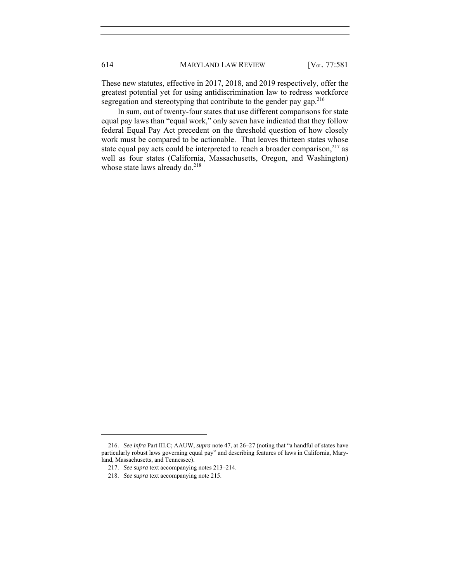These new statutes, effective in 2017, 2018, and 2019 respectively, offer the greatest potential yet for using antidiscrimination law to redress workforce segregation and stereotyping that contribute to the gender pay gap.<sup>216</sup>

In sum, out of twenty-four states that use different comparisons for state equal pay laws than "equal work," only seven have indicated that they follow federal Equal Pay Act precedent on the threshold question of how closely work must be compared to be actionable. That leaves thirteen states whose state equal pay acts could be interpreted to reach a broader comparison, $^{217}$  as well as four states (California, Massachusetts, Oregon, and Washington) whose state laws already do.<sup>218</sup>

 <sup>216.</sup> *See infra* Part III.C; AAUW, *supra* note 47, at 26–27 (noting that "a handful of states have particularly robust laws governing equal pay" and describing features of laws in California, Maryland, Massachusetts, and Tennessee).

 <sup>217.</sup> *See supra* text accompanying notes 213–214.

 <sup>218.</sup> *See supra* text accompanying note 215.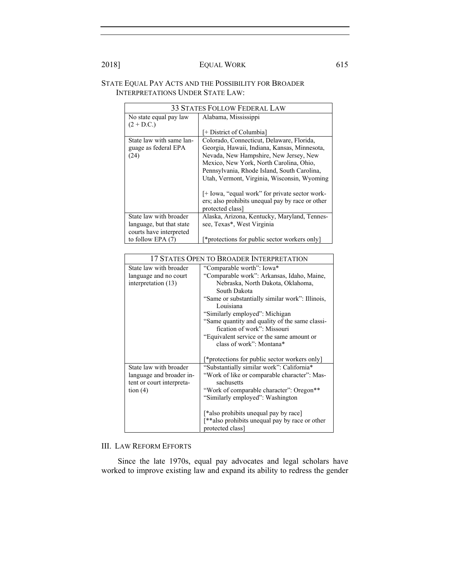#### 33 STATES FOLLOW FEDERAL LAW No state equal pay law  $(2 + D.C.)$ Alabama, Mississippi [+ District of Columbia] State law with same language as federal EPA (24) Colorado, Connecticut, Delaware, Florida, Georgia, Hawaii, Indiana, Kansas, Minnesota, Nevada, New Hampshire, New Jersey, New Mexico, New York, North Carolina, Ohio, Pennsylvania, Rhode Island, South Carolina, Utah, Vermont, Virginia, Wisconsin, Wyoming [+ Iowa, "equal work" for private sector workers; also prohibits unequal pay by race or other protected class] State law with broader language, but that state courts have interpreted to follow EPA (7) Alaska, Arizona, Kentucky, Maryland, Tennessee, Texas\*, West Virginia [\*protections for public sector workers only]

# STATE EQUAL PAY ACTS AND THE POSSIBILITY FOR BROADER INTERPRETATIONS UNDER STATE LAW:

| 17 STATES OPEN TO BROADER INTERPRETATION                                                      |                                                                                                                                                                                          |
|-----------------------------------------------------------------------------------------------|------------------------------------------------------------------------------------------------------------------------------------------------------------------------------------------|
| State law with broader                                                                        | "Comparable worth": Iowa*                                                                                                                                                                |
| language and no court<br>interpretation (13)                                                  | "Comparable work": Arkansas, Idaho, Maine,<br>Nebraska, North Dakota, Oklahoma,<br>South Dakota<br>"Same or substantially similar work": Illinois,                                       |
|                                                                                               | Louisiana                                                                                                                                                                                |
|                                                                                               | "Similarly employed": Michigan<br>"Same quantity and quality of the same classi-<br>fication of work": Missouri<br>"Equivalent service or the same amount or<br>class of work": Montana* |
|                                                                                               | [*protections for public sector workers only]                                                                                                                                            |
| State law with broader<br>language and broader in-<br>tent or court interpreta-<br>tion $(4)$ | "Substantially similar work": California*<br>"Work of like or comparable character": Mas-<br>sachusetts<br>"Work of comparable character": Oregon**<br>"Similarly employed": Washington  |
|                                                                                               | [*also prohibits unequal pay by race]<br>[**also prohibits unequal pay by race or other<br>protected class]                                                                              |

#### III. LAW REFORM EFFORTS

Since the late 1970s, equal pay advocates and legal scholars have worked to improve existing law and expand its ability to redress the gender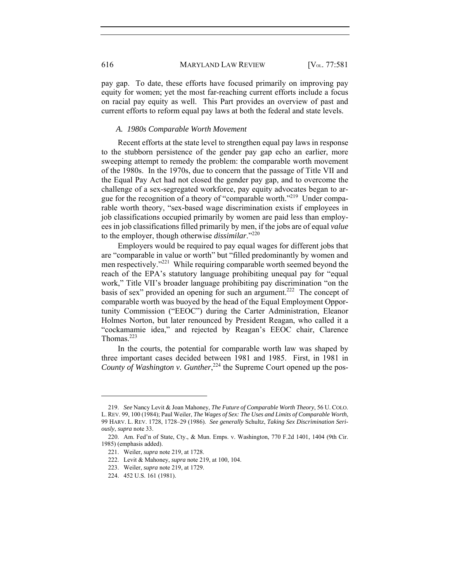#### 616 MARYLAND LAW REVIEW [V<sub>OL.</sub> 77:581]

pay gap. To date, these efforts have focused primarily on improving pay equity for women; yet the most far-reaching current efforts include a focus on racial pay equity as well. This Part provides an overview of past and current efforts to reform equal pay laws at both the federal and state levels.

# *A. 1980s Comparable Worth Movement*

Recent efforts at the state level to strengthen equal pay laws in response to the stubborn persistence of the gender pay gap echo an earlier, more sweeping attempt to remedy the problem: the comparable worth movement of the 1980s. In the 1970s, due to concern that the passage of Title VII and the Equal Pay Act had not closed the gender pay gap, and to overcome the challenge of a sex-segregated workforce, pay equity advocates began to argue for the recognition of a theory of "comparable worth."219 Under comparable worth theory, "sex-based wage discrimination exists if employees in job classifications occupied primarily by women are paid less than employees in job classifications filled primarily by men, if the jobs are of equal *value* to the employer, though otherwise *dissimilar*."220

Employers would be required to pay equal wages for different jobs that are "comparable in value or worth" but "filled predominantly by women and men respectively."<sup>221</sup> While requiring comparable worth seemed beyond the reach of the EPA's statutory language prohibiting unequal pay for "equal work," Title VII's broader language prohibiting pay discrimination "on the basis of sex" provided an opening for such an argument.<sup>222</sup> The concept of comparable worth was buoyed by the head of the Equal Employment Opportunity Commission ("EEOC") during the Carter Administration, Eleanor Holmes Norton, but later renounced by President Reagan, who called it a "cockamamie idea," and rejected by Reagan's EEOC chair, Clarence Thomas. $223$ 

In the courts, the potential for comparable worth law was shaped by three important cases decided between 1981 and 1985. First, in 1981 in County of Washington v. Gunther,<sup>224</sup> the Supreme Court opened up the pos-

 <sup>219.</sup> *See* Nancy Levit & Joan Mahoney, *The Future of Comparable Worth Theory*, 56 U. COLO. L. REV. 99, 100 (1984); Paul Weiler, *The Wages of Sex: The Uses and Limits of Comparable Worth*, 99 HARV. L. REV. 1728, 1728–29 (1986). *See generally* Schultz, *Taking Sex Discrimination Seriously*, *supra* note 33.

 <sup>220.</sup> Am. Fed'n of State, Cty., & Mun. Emps. v. Washington, 770 F.2d 1401, 1404 (9th Cir. 1985) (emphasis added).

 <sup>221.</sup> Weiler, *supra* note 219, at 1728.

 <sup>222.</sup> Levit & Mahoney, *supra* note 219, at 100, 104.

 <sup>223.</sup> Weiler, *supra* note 219, at 1729.

 <sup>224. 452</sup> U.S. 161 (1981).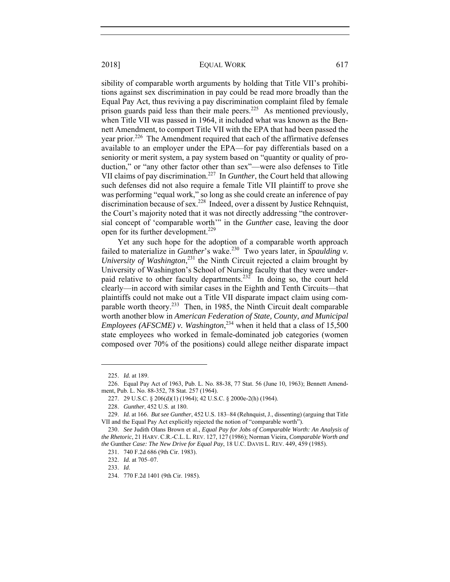sibility of comparable worth arguments by holding that Title VII's prohibitions against sex discrimination in pay could be read more broadly than the Equal Pay Act, thus reviving a pay discrimination complaint filed by female prison guards paid less than their male peers.<sup>225</sup> As mentioned previously, when Title VII was passed in 1964, it included what was known as the Bennett Amendment, to comport Title VII with the EPA that had been passed the year prior.<sup>226</sup> The Amendment required that each of the affirmative defenses available to an employer under the EPA—for pay differentials based on a seniority or merit system, a pay system based on "quantity or quality of production," or "any other factor other than sex"—were also defenses to Title VII claims of pay discrimination.227 In *Gunther*, the Court held that allowing such defenses did not also require a female Title VII plaintiff to prove she was performing "equal work," so long as she could create an inference of pay discrimination because of sex.228 Indeed, over a dissent by Justice Rehnquist, the Court's majority noted that it was not directly addressing "the controversial concept of 'comparable worth'" in the *Gunther* case, leaving the door open for its further development.<sup>229</sup>

Yet any such hope for the adoption of a comparable worth approach failed to materialize in *Gunther*'s wake.<sup>230</sup> Two years later, in *Spaulding v. University of Washington*, 231 the Ninth Circuit rejected a claim brought by University of Washington's School of Nursing faculty that they were underpaid relative to other faculty departments.<sup>232</sup> In doing so, the court held clearly—in accord with similar cases in the Eighth and Tenth Circuits—that plaintiffs could not make out a Title VII disparate impact claim using comparable worth theory.<sup>233</sup> Then, in 1985, the Ninth Circuit dealt comparable worth another blow in *American Federation of State, County, and Municipal Employees (AFSCME) v. Washington*, 234 when it held that a class of 15,500 state employees who worked in female-dominated job categories (women composed over 70% of the positions) could allege neither disparate impact

 <sup>225.</sup> *Id.* at 189.

 <sup>226.</sup> Equal Pay Act of 1963, Pub. L. No. 88-38, 77 Stat. 56 (June 10, 1963); Bennett Amendment, Pub. L. No. 88-352, 78 Stat. 257 (1964).

 <sup>227. 29</sup> U.S.C. § 206(d)(1) (1964); 42 U.S.C. § 2000e-2(h) (1964).

 <sup>228.</sup> *Gunther*, 452 U.S. at 180.

 <sup>229.</sup> *Id.* at 166. *But see Gunther*, 452 U.S. 183–84 (Rehnquist, J., dissenting) (arguing that Title VII and the Equal Pay Act explicitly rejected the notion of "comparable worth").

 <sup>230.</sup> *See* Judith Olans Brown et al., *Equal Pay for Jobs of Comparable Worth: An Analysis of the Rhetoric*, 21 HARV. C.R.-C.L. L. REV. 127, 127 (1986); Norman Vieira, *Comparable Worth and the* Gunther *Case: The New Drive for Equal Pay*, 18 U.C. DAVIS L. REV. 449, 459 (1985).

 <sup>231. 740</sup> F.2d 686 (9th Cir. 1983).

 <sup>232.</sup> *Id.* at 705–07.

 <sup>233.</sup> *Id*.

 <sup>234. 770</sup> F.2d 1401 (9th Cir. 1985).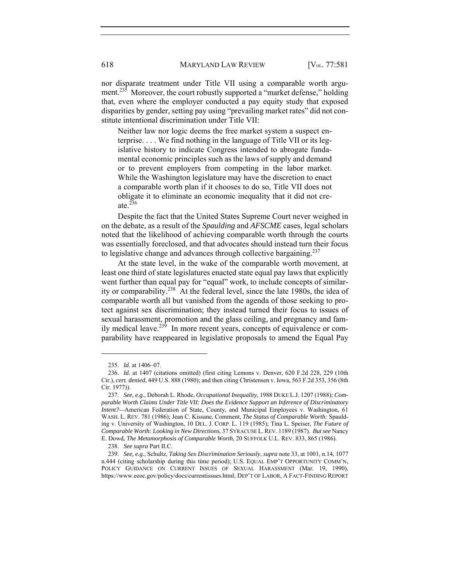nor disparate treatment under Title VII using a comparable worth argument.<sup>235</sup> Moreover, the court robustly supported a "market defense," holding that, even where the employer conducted a pay equity study that exposed disparities by gender, setting pay using "prevailing market rates" did not constitute intentional discrimination under Title VII:

Neither law nor logic deems the free market system a suspect enterprise. . . . We find nothing in the language of Title VII or its legislative history to indicate Congress intended to abrogate fundamental economic principles such as the laws of supply and demand or to prevent employers from competing in the labor market. While the Washington legislature may have the discretion to enact a comparable worth plan if it chooses to do so, Title VII does not obligate it to eliminate an economic inequality that it did not create. $236$ 

Despite the fact that the United States Supreme Court never weighed in on the debate, as a result of the *Spaulding* and *AFSCME* cases, legal scholars noted that the likelihood of achieving comparable worth through the courts was essentially foreclosed, and that advocates should instead turn their focus to legislative change and advances through collective bargaining. $237$ 

At the state level, in the wake of the comparable worth movement, at least one third of state legislatures enacted state equal pay laws that explicitly went further than equal pay for "equal" work, to include concepts of similarity or comparability.238 At the federal level, since the late 1980s, the idea of comparable worth all but vanished from the agenda of those seeking to protect against sex discrimination; they instead turned their focus to issues of sexual harassment, promotion and the glass ceiling, and pregnancy and family medical leave.<sup>239</sup> In more recent years, concepts of equivalence or comparability have reappeared in legislative proposals to amend the Equal Pay

 <sup>235.</sup> *Id.* at 1406–07.

 <sup>236.</sup> *Id.* at 1407 (citations omitted) (first citing Lemons v. Denver, 620 F.2d 228, 229 (10th Cir.), *cert. denied*, 449 U.S. 888 (1980); and then citing Christensen v. Iowa, 563 F.2d 353, 356 (8th Cir. 1977)).

 <sup>237.</sup> *See, e.g.*, Deborah L. Rhode, *Occupational Inequality*, 1988 DUKE L.J. 1207 (1988); *Comparable Worth Claims Under Title VII: Does the Evidence Support an Inference of Discriminatory Intent?—American Federation of State, County, and Municipal Employees v. Washington, 61* WASH. L. REV. 781 (1986); Jean C. Kissane, Comment, *The Status of Comparable Worth:* Spaulding v. University of Washington, 10 DEL. J. CORP. L. 119 (1985); Tina L. Speiser, *The Future of Comparable Worth: Looking in New Directions*, 37 SYRACUSE L.REV. 1189 (1987). *But see* Nancy E. Dowd, *The Metamorphosis of Comparable Worth*, 20 SUFFOLK U.L. REV. 833, 865 (1986).

 <sup>238.</sup> *See supra* Part II.C.

 <sup>239.</sup> *See, e.g.*, Schultz, *Taking Sex Discrimination Seriously*, *supra* note 33, at 1001, n.14, 1077 n.444 (citing scholarship during this time period); U.S. EQUAL EMP'T OPPORTUNITY COMM'N, POLICY GUIDANCE ON CURRENT ISSUES OF SEXUAL HARASSMENT (Mar. 19, 1990), https://www.eeoc.gov/policy/docs/currentissues.html; DEP'T OF LABOR, A FACT-FINDING REPORT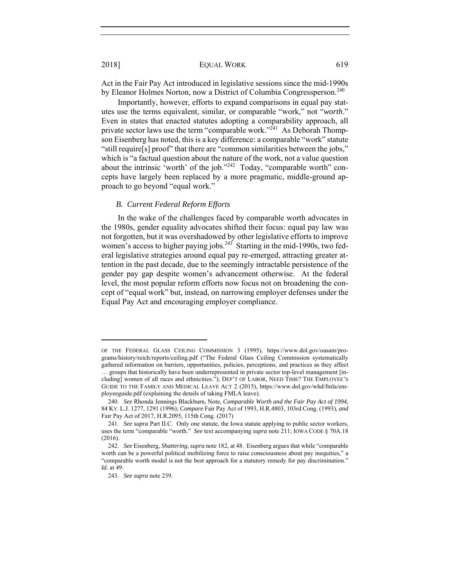Act in the Fair Pay Act introduced in legislative sessions since the mid-1990s by Eleanor Holmes Norton, now a District of Columbia Congressperson.<sup>240</sup>

Importantly, however, efforts to expand comparisons in equal pay statutes use the terms equivalent, similar, or comparable "work," not "*worth*." Even in states that enacted statutes adopting a comparability approach, all private sector laws use the term "comparable work."<sup>241</sup> As Deborah Thompson Eisenberg has noted, this is a key difference: a comparable "work" statute "still require[s] proof" that there are "common similarities between the jobs," which is "a factual question about the nature of the work, not a value question about the intrinsic 'worth' of the job."<sup>242</sup> Today, "comparable worth" concepts have largely been replaced by a more pragmatic, middle-ground approach to go beyond "equal work."

#### *B. Current Federal Reform Efforts*

In the wake of the challenges faced by comparable worth advocates in the 1980s, gender equality advocates shifted their focus: equal pay law was not forgotten, but it was overshadowed by other legislative efforts to improve women's access to higher paying jobs.<sup>243</sup> Starting in the mid-1990s, two federal legislative strategies around equal pay re-emerged, attracting greater attention in the past decade, due to the seemingly intractable persistence of the gender pay gap despite women's advancement otherwise. At the federal level, the most popular reform efforts now focus not on broadening the concept of "equal work" but, instead, on narrowing employer defenses under the Equal Pay Act and encouraging employer compliance.

OF THE FEDERAL GLASS CEILING COMMISSION 3 (1995), https://www.dol.gov/oasam/programs/history/reich/reports/ceiling.pdf ("The Federal Glass Ceiling Commission systematically gathered information on barriers, opportunities, policies, perceptions, and practices as they affect … groups that historically have been underrepresented in private sector top-level management [including] women of all races and ethnicities."); DEP'T OF LABOR, NEED TIME? THE EMPLOYEE'S GUIDE TO THE FAMILY AND MEDICAL LEAVE ACT 2 (2015), https://www.dol.gov/whd/fmla/employeeguide.pdf (explaining the details of taking FMLA leave).

 <sup>240.</sup> *See* Rhonda Jennings Blackburn, Note, *Comparable Worth and the Fair Pay Act of 1994*, 84 KY. L.J. 1277, 1291 (1996); *Compare* Fair Pay Act of 1993, H.R.4803, 103rd Cong. (1993), *and* Fair Pay Act of 2017, H.R.2095, 115th Cong. (2017)

 <sup>241.</sup> *See supra* Part II.C. Only one statute, the Iowa statute applying to public sector workers, uses the term "comparable "worth." *See* text accompanying *supra* note 211; IOWA CODE § 70A.18 (2016).

 <sup>242.</sup> *See* Eisenberg, *Shattering*, *supra* note 182, at 48. Eisenberg argues that while "comparable worth can be a powerful political mobilizing force to raise consciousness about pay inequities," a "comparable worth model is not the best approach for a statutory remedy for pay discrimination." *Id.* at 49.

 <sup>243.</sup> *See supra* note 239.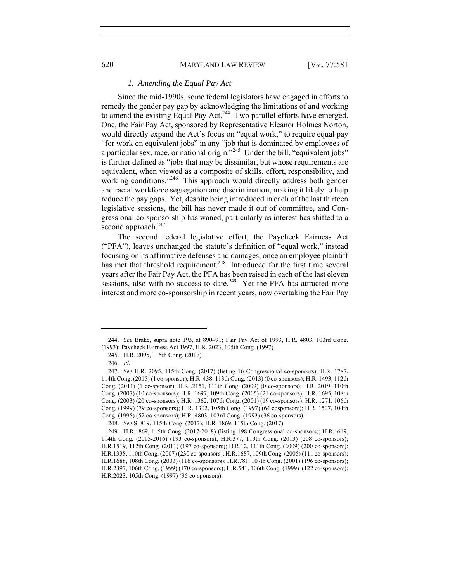#### *1. Amending the Equal Pay Act*

Since the mid-1990s, some federal legislators have engaged in efforts to remedy the gender pay gap by acknowledging the limitations of and working to amend the existing Equal Pay Act.<sup>244</sup> Two parallel efforts have emerged. One, the Fair Pay Act, sponsored by Representative Eleanor Holmes Norton, would directly expand the Act's focus on "equal work," to require equal pay "for work on equivalent jobs" in any "job that is dominated by employees of a particular sex, race, or national origin."245 Under the bill, "equivalent jobs" is further defined as "jobs that may be dissimilar, but whose requirements are equivalent, when viewed as a composite of skills, effort, responsibility, and working conditions."<sup>246</sup> This approach would directly address both gender and racial workforce segregation and discrimination, making it likely to help reduce the pay gaps. Yet, despite being introduced in each of the last thirteen legislative sessions, the bill has never made it out of committee, and Congressional co-sponsorship has waned, particularly as interest has shifted to a second approach.<sup>247</sup>

The second federal legislative effort, the Paycheck Fairness Act ("PFA"), leaves unchanged the statute's definition of "equal work," instead focusing on its affirmative defenses and damages, once an employee plaintiff has met that threshold requirement.<sup>248</sup> Introduced for the first time several years after the Fair Pay Act, the PFA has been raised in each of the last eleven sessions, also with no success to date.<sup>249</sup> Yet the PFA has attracted more interest and more co-sponsorship in recent years, now overtaking the Fair Pay

 $\overline{a}$ 

248. *See* S. 819, 115th Cong. (2017); H.R. 1869, 115th Cong. (2017).

 <sup>244.</sup> *See* Brake, supra note 193, at 890–91; Fair Pay Act of 1993, H.R. 4803, 103rd Cong. (1993); Paycheck Fairness Act 1997, H.R. 2023, 105th Cong. (1997).

 <sup>245.</sup> H.R. 2095, 115th Cong. (2017).

 <sup>246.</sup> *Id.*

 <sup>247.</sup> *See* H.R. 2095, 115th Cong. (2017) (listing 16 Congressional co-sponsors); H.R. 1787, 114th Cong. (2015) (1 co-sponsor); H.R. 438, 113th Cong. (2013) (0 co-sponsors); H.R. 1493, 112th Cong. (2011) (1 co-sponsor); H.R .2151, 111th Cong. (2009) (0 co-sponsors); H.R. 2019, 110th Cong. (2007) (10 co-sponsors); H.R. 1697, 109th Cong. (2005) (21 co-sponsors); H.R. 1695, 108th Cong. (2003) (20 co-sponsors); H.R. 1362, 107th Cong. (2001) (19 co-sponsors); H.R. 1271, 106th Cong. (1999) (79 co-sponsors); H.R. 1302, 105th Cong. (1997) (64 cosponsors); H.R. 1507, 104th Cong. (1995) (52 co-sponsors); H.R. 4803, 103rd Cong. (1993) (36 co-sponsors).

 <sup>249.</sup> H.R.1869, 115th Cong. (2017-2018) (listing 198 Congressional co-sponsors); H.R.1619, 114th Cong. (2015-2016) (193 co-sponsors); H.R.377, 113th Cong. (2013) (208 co-sponsors); H.R.1519, 112th Cong. (2011) (197 co-sponsors); H.R.12, 111th Cong. (2009) (200 co-sponsors); H.R.1338, 110th Cong. (2007) (230 co-sponsors); H.R.1687, 109th Cong. (2005) (111 co-sponsors); H.R.1688, 108th Cong. (2003) (116 co-sponsors); H.R.781, 107th Cong. (2001) (196 co-sponsors); H.R.2397, 106th Cong. (1999) (170 co-sponsors); H.R.541, 106th Cong. (1999) (122 co-sponsors); H.R.2023, 105th Cong. (1997) (95 co-sponsors).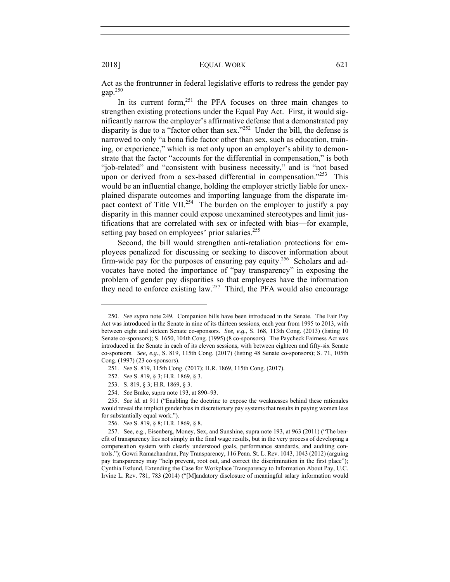Act as the frontrunner in federal legislative efforts to redress the gender pay gap. $250$ 

In its current form, $251$  the PFA focuses on three main changes to strengthen existing protections under the Equal Pay Act. First, it would significantly narrow the employer's affirmative defense that a demonstrated pay disparity is due to a "factor other than sex."<sup>252</sup> Under the bill, the defense is narrowed to only "a bona fide factor other than sex, such as education, training, or experience," which is met only upon an employer's ability to demonstrate that the factor "accounts for the differential in compensation," is both "job-related" and "consistent with business necessity," and is "not based upon or derived from a sex-based differential in compensation."<sup>253</sup> This would be an influential change, holding the employer strictly liable for unexplained disparate outcomes and importing language from the disparate impact context of Title VII.<sup>254</sup> The burden on the employer to justify a pay disparity in this manner could expose unexamined stereotypes and limit justifications that are correlated with sex or infected with bias—for example, setting pay based on employees' prior salaries.<sup>255</sup>

Second, the bill would strengthen anti-retaliation protections for employees penalized for discussing or seeking to discover information about firm-wide pay for the purposes of ensuring pay equity.<sup>256</sup> Scholars and advocates have noted the importance of "pay transparency" in exposing the problem of gender pay disparities so that employees have the information they need to enforce existing law.<sup>257</sup> Third, the PFA would also encourage

252. *See* S. 819, § 3; H.R. 1869, § 3.

 <sup>250.</sup> *See supra* note 249*.* Companion bills have been introduced in the Senate. The Fair Pay Act was introduced in the Senate in nine of its thirteen sessions, each year from 1995 to 2013, with between eight and sixteen Senate co-sponsors. *See, e.g.*, S. 168, 113th Cong. (2013) (listing 10 Senate co-sponsors); S. 1650, 104th Cong. (1995) (8 co-sponsors). The Paycheck Fairness Act was introduced in the Senate in each of its eleven sessions, with between eighteen and fifty-six Senate co-sponsors. *See, e.g.*, S. 819, 115th Cong. (2017) (listing 48 Senate co-sponsors); S. 71, 105th Cong. (1997) (23 co-sponsors).

 <sup>251.</sup> *See* S. 819, 115th Cong. (2017); H.R. 1869, 115th Cong. (2017).

 <sup>253.</sup> S. 819, § 3; H.R. 1869, § 3.

 <sup>254.</sup> *See* Brake, supra note 193, at 890–93.

 <sup>255.</sup> *See id.* at 911 ("Enabling the doctrine to expose the weaknesses behind these rationales would reveal the implicit gender bias in discretionary pay systems that results in paying women less for substantially equal work.").

 <sup>256.</sup> *See* S. 819, § 8; H.R. 1869, § 8.

 <sup>257.</sup> See, e.g., Eisenberg, Money, Sex, and Sunshine, supra note 193, at 963 (2011) ("The benefit of transparency lies not simply in the final wage results, but in the very process of developing a compensation system with clearly understood goals, performance standards, and auditing controls."); Gowri Ramachandran, Pay Transparency, 116 Penn. St. L. Rev. 1043, 1043 (2012) (arguing pay transparency may "help prevent, root out, and correct the discrimination in the first place"); Cynthia Estlund, Extending the Case for Workplace Transparency to Information About Pay, U.C. Irvine L. Rev. 781, 783 (2014) ("[M]andatory disclosure of meaningful salary information would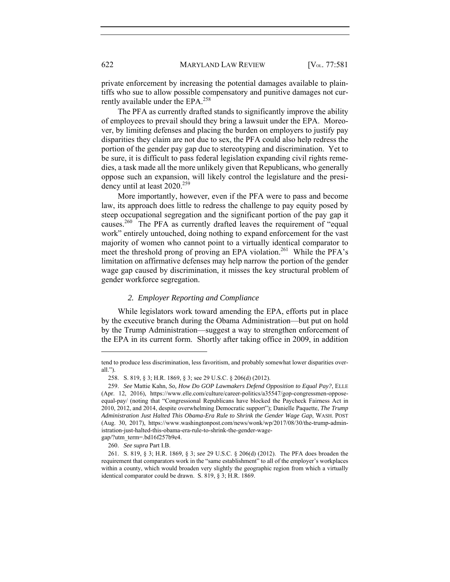private enforcement by increasing the potential damages available to plaintiffs who sue to allow possible compensatory and punitive damages not currently available under the EPA.<sup>258</sup>

The PFA as currently drafted stands to significantly improve the ability of employees to prevail should they bring a lawsuit under the EPA. Moreover, by limiting defenses and placing the burden on employers to justify pay disparities they claim are not due to sex, the PFA could also help redress the portion of the gender pay gap due to stereotyping and discrimination. Yet to be sure, it is difficult to pass federal legislation expanding civil rights remedies, a task made all the more unlikely given that Republicans, who generally oppose such an expansion, will likely control the legislature and the presidency until at least 2020.<sup>259</sup>

More importantly, however, even if the PFA were to pass and become law, its approach does little to redress the challenge to pay equity posed by steep occupational segregation and the significant portion of the pay gap it causes.<sup>260</sup> The PFA as currently drafted leaves the requirement of "equal" work" entirely untouched, doing nothing to expand enforcement for the vast majority of women who cannot point to a virtually identical comparator to meet the threshold prong of proving an EPA violation.<sup>261</sup> While the PFA's limitation on affirmative defenses may help narrow the portion of the gender wage gap caused by discrimination, it misses the key structural problem of gender workforce segregation.

#### *2. Employer Reporting and Compliance*

While legislators work toward amending the EPA, efforts put in place by the executive branch during the Obama Administration—but put on hold by the Trump Administration—suggest a way to strengthen enforcement of the EPA in its current form. Shortly after taking office in 2009, in addition

tend to produce less discrimination, less favoritism, and probably somewhat lower disparities overall.").

 <sup>258.</sup> S. 819, § 3; H.R. 1869, § 3; see 29 U.S.C. § 206(d) (2012).

 <sup>259.</sup> *See* Mattie Kahn, *So, How Do GOP Lawmakers Defend Opposition to Equal Pay?*, ELLE (Apr. 12, 2016), https://www.elle.com/culture/career-politics/a35547/gop-congressmen-opposeequal-pay/ (noting that "Congressional Republicans have blocked the Paycheck Fairness Act in 2010, 2012, and 2014, despite overwhelming Democratic support"); Danielle Paquette, *The Trump Administration Just Halted This Obama-Era Rule to Shrink the Gender Wage Gap*, WASH. POST (Aug. 30, 2017), https://www.washingtonpost.com/news/wonk/wp/2017/08/30/the-trump-administration-just-halted-this-obama-era-rule-to-shrink-the-gender-wage-

gap/?utm\_term=.bd16f257b9e4.

 <sup>260.</sup> *See supra* Part I.B.

 <sup>261.</sup> S. 819, § 3; H.R. 1869, § 3; *see* 29 U.S.C. § 206(d) (2012). The PFA does broaden the requirement that comparators work in the "same establishment" to all of the employer's workplaces within a county, which would broaden very slightly the geographic region from which a virtually identical comparator could be drawn. S. 819, § 3; H.R. 1869.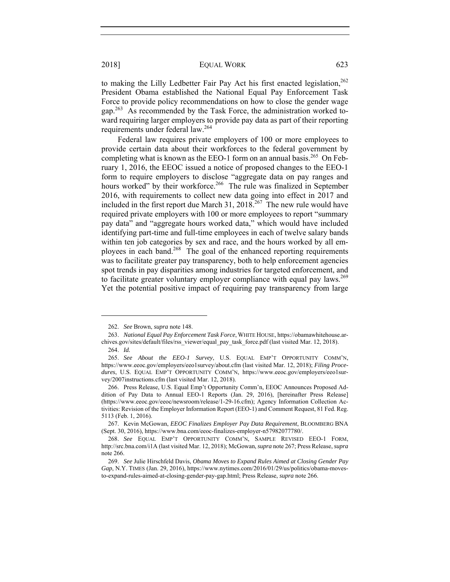to making the Lilly Ledbetter Fair Pay Act his first enacted legislation,<sup>262</sup> President Obama established the National Equal Pay Enforcement Task Force to provide policy recommendations on how to close the gender wage gap.<sup>263</sup> As recommended by the Task Force, the administration worked toward requiring larger employers to provide pay data as part of their reporting requirements under federal law.<sup>264</sup>

Federal law requires private employers of 100 or more employees to provide certain data about their workforces to the federal government by completing what is known as the EEO-1 form on an annual basis.<sup>265</sup> On February 1, 2016, the EEOC issued a notice of proposed changes to the EEO-1 form to require employers to disclose "aggregate data on pay ranges and hours worked" by their workforce.<sup>266</sup> The rule was finalized in September 2016, with requirements to collect new data going into effect in 2017 and included in the first report due March 31, 2018.<sup>267</sup> The new rule would have required private employers with 100 or more employees to report "summary pay data" and "aggregate hours worked data," which would have included identifying part-time and full-time employees in each of twelve salary bands within ten job categories by sex and race, and the hours worked by all employees in each band.<sup>268</sup> The goal of the enhanced reporting requirements was to facilitate greater pay transparency, both to help enforcement agencies spot trends in pay disparities among industries for targeted enforcement, and to facilitate greater voluntary employer compliance with equal pay laws.<sup>269</sup> Yet the potential positive impact of requiring pay transparency from large

 <sup>262.</sup> *See* Brown, *supra* note 148.

 <sup>263.</sup> *National Equal Pay Enforcement Task Force*, WHITE HOUSE, https://obamawhitehouse.archives.gov/sites/default/files/rss\_viewer/equal\_pay\_task\_force.pdf (last visited Mar. 12, 2018).

 <sup>264.</sup> *Id.*

 <sup>265.</sup> *See About the EEO-1 Survey*, U.S. EQUAL EMP'T OPPORTUNITY COMM'N, https://www.eeoc.gov/employers/eeo1survey/about.cfm (last visited Mar. 12, 2018); *Filing Procedures*, U.S. EQUAL EMP'T OPPORTUNITY COMM'N, https://www.eeoc.gov/employers/eeo1survey/2007instructions.cfm (last visited Mar. 12, 2018).

 <sup>266.</sup> Press Release, U.S. Equal Emp't Opportunity Comm'n, EEOC Announces Proposed Addition of Pay Data to Annual EEO-1 Reports (Jan. 29, 2016), [hereinafter Press Release] (https://www.eeoc.gov/eeoc/newsroom/release/1-29-16.cfm); Agency Information Collection Activities: Revision of the Employer Information Report (EEO-1) and Comment Request, 81 Fed. Reg. 5113 (Feb. 1, 2016).

 <sup>267.</sup> Kevin McGowan, *EEOC Finalizes Employer Pay Data Requirement*, BLOOMBERG BNA (Sept. 30, 2016), https://www.bna.com/eeoc-finalizes-employer-n57982077780/.

 <sup>268.</sup> *See* EQUAL EMP'T OPPORTUNITY COMM'N, SAMPLE REVISED EEO-1 FORM, http://src.bna.com/i1A (last visited Mar. 12, 2018); McGowan, *supra* note 267; Press Release, *supra* note 266.

 <sup>269.</sup> *See* Julie Hirschfeld Davis, *Obama Moves to Expand Rules Aimed at Closing Gender Pay Gap*, N.Y. TIMES (Jan. 29, 2016), https://www.nytimes.com/2016/01/29/us/politics/obama-movesto-expand-rules-aimed-at-closing-gender-pay-gap.html; Press Release, *supra* note 266.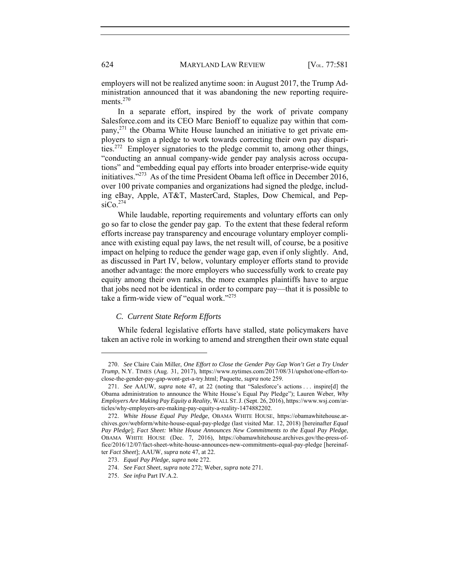employers will not be realized anytime soon: in August 2017, the Trump Administration announced that it was abandoning the new reporting requirements.<sup>270</sup>

In a separate effort, inspired by the work of private company Salesforce.com and its CEO Marc Benioff to equalize pay within that company,271 the Obama White House launched an initiative to get private employers to sign a pledge to work towards correcting their own pay disparities.<sup>272</sup> Employer signatories to the pledge commit to, among other things, "conducting an annual company-wide gender pay analysis across occupations" and "embedding equal pay efforts into broader enterprise-wide equity initiatives."273 As of the time President Obama left office in December 2016, over 100 private companies and organizations had signed the pledge, including eBay, Apple, AT&T, MasterCard, Staples, Dow Chemical, and Pep- $\rm siCo.$ <sup>274</sup>

While laudable, reporting requirements and voluntary efforts can only go so far to close the gender pay gap. To the extent that these federal reform efforts increase pay transparency and encourage voluntary employer compliance with existing equal pay laws, the net result will, of course, be a positive impact on helping to reduce the gender wage gap, even if only slightly. And, as discussed in Part IV, below, voluntary employer efforts stand to provide another advantage: the more employers who successfully work to create pay equity among their own ranks, the more examples plaintiffs have to argue that jobs need not be identical in order to compare pay—that it is possible to take a firm-wide view of "equal work."<sup>275</sup>

# *C. Current State Reform Efforts*

While federal legislative efforts have stalled, state policymakers have taken an active role in working to amend and strengthen their own state equal

 <sup>270.</sup> *See* Claire Cain Miller, *One Effort to Close the Gender Pay Gap Won't Get a Try Under Trump*, N.Y. TIMES (Aug. 31, 2017), https://www.nytimes.com/2017/08/31/upshot/one-effort-toclose-the-gender-pay-gap-wont-get-a-try.html; Paquette, *supra* note 259.

 <sup>271.</sup> *See* AAUW, *supra* note 47, at 22 (noting that "Salesforce's actions . . . inspire[d] the Obama administration to announce the White House's Equal Pay Pledge"); Lauren Weber, *Why Employers Are Making Pay Equity a Reality*, WALL ST.J. (Sept. 26, 2016), https://www.wsj.com/articles/why-employers-are-making-pay-equity-a-reality-1474882202.

 <sup>272.</sup> *White House Equal Pay Pledge*, OBAMA WHITE HOUSE, https://obamawhitehouse.archives.gov/webform/white-house-equal-pay-pledge (last visited Mar. 12, 2018) [hereinafter *Equal Pay Pledge*]; *Fact Sheet: White House Announces New Commitments to the Equal Pay Pledge*, OBAMA WHITE HOUSE (Dec. 7, 2016), https://obamawhitehouse.archives.gov/the-press-office/2016/12/07/fact-sheet-white-house-announces-new-commitments-equal-pay-pledge [hereinafter *Fact Sheet*]; AAUW, *supra* note 47, at 22.

 <sup>273.</sup> *Equal Pay Pledge*, *supra* note 272.

 <sup>274.</sup> *See Fact Sheet*, *supra* note 272; Weber, *supra* note 271.

 <sup>275.</sup> *See infra* Part IV.A.2.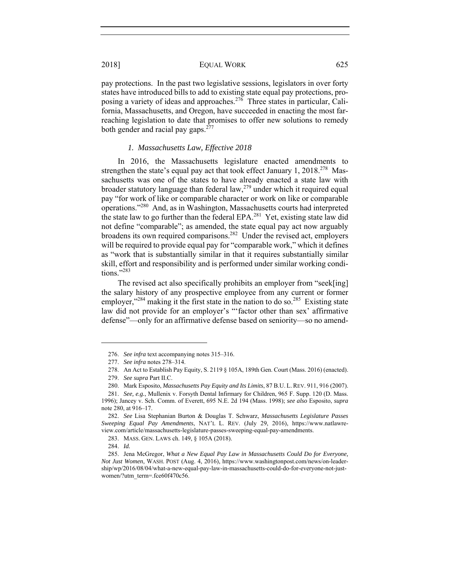pay protections. In the past two legislative sessions, legislators in over forty states have introduced bills to add to existing state equal pay protections, proposing a variety of ideas and approaches.<sup>276</sup> Three states in particular, California, Massachusetts, and Oregon, have succeeded in enacting the most farreaching legislation to date that promises to offer new solutions to remedy both gender and racial pay gaps.<sup>277</sup>

# *1. Massachusetts Law, Effective 2018*

In 2016, the Massachusetts legislature enacted amendments to strengthen the state's equal pay act that took effect January 1,  $2018.^{278}$  Massachusetts was one of the states to have already enacted a state law with broader statutory language than federal law, $^{279}$  under which it required equal pay "for work of like or comparable character or work on like or comparable operations."280 And, as in Washington, Massachusetts courts had interpreted the state law to go further than the federal EPA.<sup>281</sup> Yet, existing state law did not define "comparable"; as amended, the state equal pay act now arguably broadens its own required comparisons.<sup>282</sup> Under the revised act, employers will be required to provide equal pay for "comparable work," which it defines as "work that is substantially similar in that it requires substantially similar skill, effort and responsibility and is performed under similar working conditions."283

The revised act also specifically prohibits an employer from "seek[ing] the salary history of any prospective employee from any current or former employer,"<sup>284</sup> making it the first state in the nation to do so.<sup>285</sup> Existing state law did not provide for an employer's "'factor other than sex' affirmative defense"—only for an affirmative defense based on seniority—so no amend-

 <sup>276.</sup> *See infra* text accompanying notes 315–316.

 <sup>277.</sup> *See infra* notes 278–314.

 <sup>278.</sup> An Act to Establish Pay Equity, S. 2119 § 105A, 189th Gen. Court (Mass. 2016) (enacted).

 <sup>279.</sup> *See supra* Part II.C.

 <sup>280.</sup> Mark Esposito, *Massachusetts Pay Equity and Its Limits*, 87 B.U. L. REV. 911, 916 (2007).

 <sup>281.</sup> *See, e.g.*, Mullenix v. Forsyth Dental Infirmary for Children, 965 F. Supp. 120 (D. Mass. 1996); Jancey v. Sch. Comm. of Everett, 695 N.E. 2d 194 (Mass. 1998); *see also* Esposito, *supra*  note 280, at 916–17.

 <sup>282.</sup> *See* Lisa Stephanian Burton & Douglas T. Schwarz, *Massachusetts Legislature Passes Sweeping Equal Pay Amendments*, NAT'L L. REV. (July 29, 2016), https://www.natlawreview.com/article/massachusetts-legislature-passes-sweeping-equal-pay-amendments.

 <sup>283.</sup> MASS. GEN. LAWS ch. 149, § 105A (2018).

 <sup>284.</sup> *Id.* 

 <sup>285.</sup> Jena McGregor, *What a New Equal Pay Law in Massachusetts Could Do for Everyone, Not Just Women*, WASH. POST (Aug. 4, 2016), https://www.washingtonpost.com/news/on-leadership/wp/2016/08/04/what-a-new-equal-pay-law-in-massachusetts-could-do-for-everyone-not-justwomen/?utm\_term=.fce60f470c56.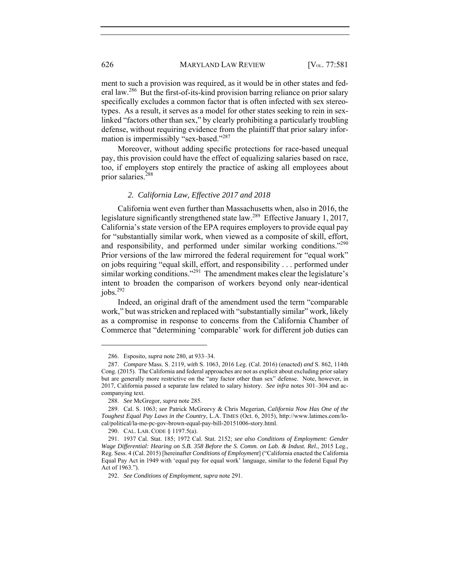# 626 MARYLAND LAW REVIEW [V<sub>OL.</sub> 77:581]

ment to such a provision was required, as it would be in other states and federal law.<sup>286</sup> But the first-of-its-kind provision barring reliance on prior salary specifically excludes a common factor that is often infected with sex stereotypes. As a result, it serves as a model for other states seeking to rein in sexlinked "factors other than sex," by clearly prohibiting a particularly troubling defense, without requiring evidence from the plaintiff that prior salary information is impermissibly "sex-based."<sup>287</sup>

Moreover, without adding specific protections for race-based unequal pay, this provision could have the effect of equalizing salaries based on race, too, if employers stop entirely the practice of asking all employees about prior salaries.<sup>288</sup>

#### *2. California Law, Effective 2017 and 2018*

California went even further than Massachusetts when, also in 2016, the legislature significantly strengthened state law.289 Effective January 1, 2017, California's state version of the EPA requires employers to provide equal pay for "substantially similar work, when viewed as a composite of skill, effort, and responsibility, and performed under similar working conditions."<sup>290</sup> Prior versions of the law mirrored the federal requirement for "equal work" on jobs requiring "equal skill, effort, and responsibility . . . performed under similar working conditions."<sup>291</sup> The amendment makes clear the legislature's intent to broaden the comparison of workers beyond only near-identical jobs.292

Indeed, an original draft of the amendment used the term "comparable work," but was stricken and replaced with "substantially similar" work, likely as a compromise in response to concerns from the California Chamber of Commerce that "determining 'comparable' work for different job duties can

 <sup>286.</sup> Esposito, *supra* note 280, at 933–34.

 <sup>287.</sup> *Compare* Mass. S. 2119, *with* S. 1063, 2016 Leg. (Cal. 2016) (enacted) *and* S. 862, 114th Cong. (2015). The California and federal approaches are not as explicit about excluding prior salary but are generally more restrictive on the "any factor other than sex" defense. Note, however, in 2017, California passed a separate law related to salary history. *See infra* notes 301–304 and accompanying text.

 <sup>288.</sup> *See* McGregor, *supra* note 285.

 <sup>289.</sup> Cal. S. 1063; *see* Patrick McGreevy & Chris Megerian, *California Now Has One of the Toughest Equal Pay Laws in the Country*, L.A. TIMES (Oct. 6, 2015), http://www.latimes.com/local/political/la-me-pc-gov-brown-equal-pay-bill-20151006-story.html.

 <sup>290.</sup> CAL. LAB. CODE § 1197.5(a).

 <sup>291. 1937</sup> Cal. Stat. 185; 1972 Cal. Stat. 2152; *see also Conditions of Employment: Gender Wage Differential: Hearing on S.B. 358 Before the S. Comm. on Lab. & Indust. Rel.*, 2015 Leg., Reg. Sess. 4 (Cal. 2015) [hereinafter *Conditions of Employment*] ("California enacted the California Equal Pay Act in 1949 with 'equal pay for equal work' language, similar to the federal Equal Pay Act of 1963.").

 <sup>292.</sup> *See Conditions of Employment*, *supra* note 291.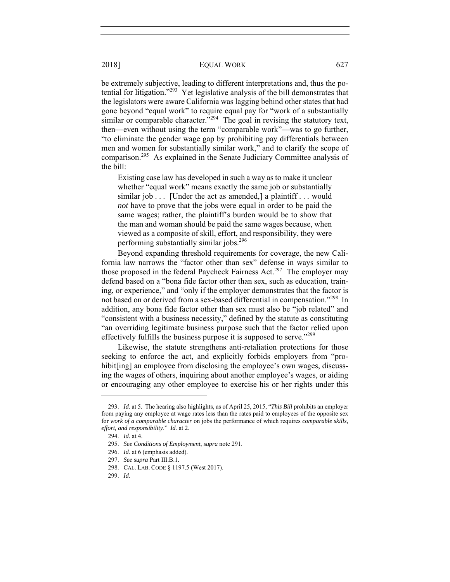be extremely subjective, leading to different interpretations and, thus the potential for litigation."<sup>293</sup> Yet legislative analysis of the bill demonstrates that the legislators were aware California was lagging behind other states that had gone beyond "equal work" to require equal pay for "work of a substantially similar or comparable character."<sup>294</sup> The goal in revising the statutory text, then—even without using the term "comparable work"—was to go further, "to eliminate the gender wage gap by prohibiting pay differentials between men and women for substantially similar work," and to clarify the scope of comparison.295 As explained in the Senate Judiciary Committee analysis of the bill:

Existing case law has developed in such a way as to make it unclear whether "equal work" means exactly the same job or substantially similar job  $\ldots$  [Under the act as amended,] a plaintiff  $\ldots$  would *not* have to prove that the jobs were equal in order to be paid the same wages; rather, the plaintiff's burden would be to show that the man and woman should be paid the same wages because, when viewed as a composite of skill, effort, and responsibility, they were performing substantially similar jobs.<sup>296</sup>

Beyond expanding threshold requirements for coverage, the new California law narrows the "factor other than sex" defense in ways similar to those proposed in the federal Paycheck Fairness Act.<sup>297</sup> The employer may defend based on a "bona fide factor other than sex, such as education, training, or experience," and "only if the employer demonstrates that the factor is not based on or derived from a sex-based differential in compensation."<sup>298</sup> In addition, any bona fide factor other than sex must also be "job related" and "consistent with a business necessity," defined by the statute as constituting "an overriding legitimate business purpose such that the factor relied upon effectively fulfills the business purpose it is supposed to serve."<sup>299</sup>

Likewise, the statute strengthens anti-retaliation protections for those seeking to enforce the act, and explicitly forbids employers from "prohibit[ing] an employee from disclosing the employee's own wages, discussing the wages of others, inquiring about another employee's wages, or aiding or encouraging any other employee to exercise his or her rights under this

 <sup>293.</sup> *Id.* at 5. The hearing also highlights, as of April 25, 2015, "*This Bill* prohibits an employer from paying any employee at wage rates less than the rates paid to employees of the opposite sex for *work of a comparable character* on jobs the performance of which requires *comparable skills, effort, and responsibility*." *Id.* at 2.

 <sup>294.</sup> *Id.* at 4.

 <sup>295.</sup> *See Conditions of Employment*, *supra* note 291.

 <sup>296.</sup> *Id.* at 6 (emphasis added).

 <sup>297.</sup> *See supra* Part III.B.1.

 <sup>298.</sup> CAL. LAB. CODE § 1197.5 (West 2017).

 <sup>299.</sup> *Id.*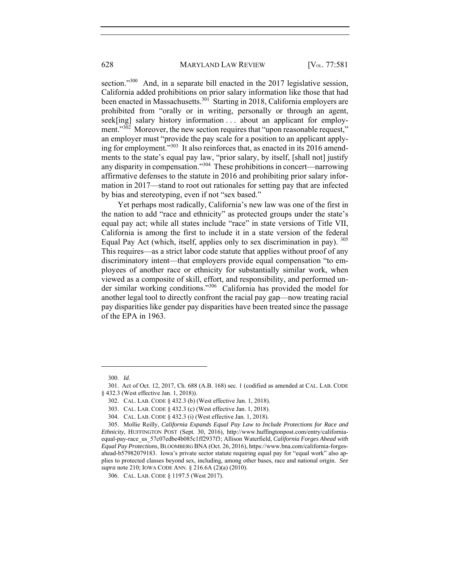section."<sup>300</sup> And, in a separate bill enacted in the 2017 legislative session, California added prohibitions on prior salary information like those that had been enacted in Massachusetts.<sup>301</sup> Starting in 2018, California employers are prohibited from "orally or in writing, personally or through an agent, seek[ing] salary history information . . . about an applicant for employment."<sup>302</sup> Moreover, the new section requires that "upon reasonable request," an employer must "provide the pay scale for a position to an applicant applying for employment."303 It also reinforces that, as enacted in its 2016 amendments to the state's equal pay law, "prior salary, by itself, [shall not] justify any disparity in compensation."304 These prohibitions in concert—narrowing affirmative defenses to the statute in 2016 and prohibiting prior salary information in 2017—stand to root out rationales for setting pay that are infected by bias and stereotyping, even if not "sex based."

Yet perhaps most radically, California's new law was one of the first in the nation to add "race and ethnicity" as protected groups under the state's equal pay act; while all states include "race" in state versions of Title VII, California is among the first to include it in a state version of the federal Equal Pay Act (which, itself, applies only to sex discrimination in pay). 305 This requires—as a strict labor code statute that applies without proof of any discriminatory intent—that employers provide equal compensation "to employees of another race or ethnicity for substantially similar work, when viewed as a composite of skill, effort, and responsibility, and performed under similar working conditions."306 California has provided the model for another legal tool to directly confront the racial pay gap—now treating racial pay disparities like gender pay disparities have been treated since the passage of the EPA in 1963.

 <sup>300.</sup> *Id*.

 <sup>301.</sup> Act of Oct. 12, 2017, Ch. 688 (A.B. 168) sec. 1 (codified as amended at CAL. LAB. CODE § 432.3 (West effective Jan. 1, 2018)).

 <sup>302.</sup> CAL. LAB. CODE § 432.3 (b) (West effective Jan. 1, 2018).

 <sup>303.</sup> CAL. LAB. CODE § 432.3 (c) (West effective Jan. 1, 2018).

 <sup>304.</sup> CAL. LAB. CODE § 432.3 (i) (West effective Jan. 1, 2018).

 <sup>305.</sup> Mollie Reilly, *California Expands Equal Pay Law to Include Protections for Race and Ethnicity*, HUFFINGTON POST (Sept. 30, 2016), http://www.huffingtonpost.com/entry/californiaequal-pay-race\_us\_57c07edbe4b085c1ff2937f3; Allison Waterfield, *California Forges Ahead with Equal Pay Protections*, BLOOMBERG BNA (Oct. 26, 2016), https://www.bna.com/california-forgesahead-b57982079183. Iowa's private sector statute requiring equal pay for "equal work" also applies to protected classes beyond sex, including, among other bases, race and national origin. *See supra* note 210; IOWA CODE ANN. § 216.6A (2)(a) (2010).

 <sup>306.</sup> CAL. LAB. CODE § 1197.5 (West 2017).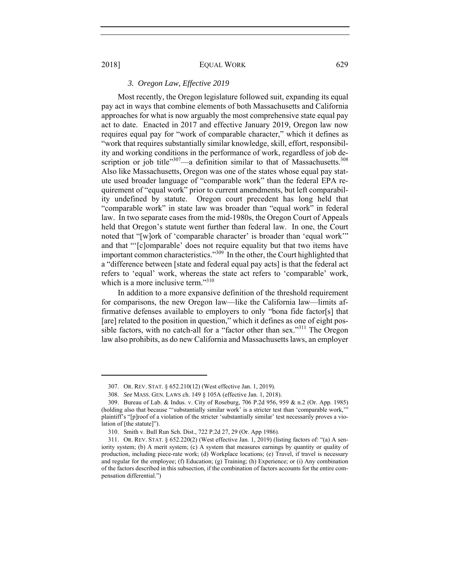# *3. Oregon Law, Effective 2019*

Most recently, the Oregon legislature followed suit, expanding its equal pay act in ways that combine elements of both Massachusetts and California approaches for what is now arguably the most comprehensive state equal pay act to date. Enacted in 2017 and effective January 2019, Oregon law now requires equal pay for "work of comparable character," which it defines as "work that requires substantially similar knowledge, skill, effort, responsibility and working conditions in the performance of work, regardless of job description or job title" $307$ —a definition similar to that of Massachusetts. $308$ Also like Massachusetts, Oregon was one of the states whose equal pay statute used broader language of "comparable work" than the federal EPA requirement of "equal work" prior to current amendments, but left comparability undefined by statute. Oregon court precedent has long held that "comparable work" in state law was broader than "equal work" in federal law. In two separate cases from the mid-1980s, the Oregon Court of Appeals held that Oregon's statute went further than federal law. In one, the Court noted that "[w]ork of 'comparable character' is broader than 'equal work'" and that "'[c]omparable' does not require equality but that two items have important common characteristics."<sup>309</sup> In the other, the Court highlighted that a "difference between [state and federal equal pay acts] is that the federal act refers to 'equal' work, whereas the state act refers to 'comparable' work, which is a more inclusive term."310

In addition to a more expansive definition of the threshold requirement for comparisons, the new Oregon law—like the California law—limits affirmative defenses available to employers to only "bona fide factor[s] that [are] related to the position in question," which it defines as one of eight possible factors, with no catch-all for a "factor other than sex."<sup>311</sup> The Oregon law also prohibits, as do new California and Massachusetts laws, an employer

 <sup>307.</sup> OR. REV. STAT. § 652.210(12) (West effective Jan. 1, 2019).

 <sup>308.</sup> *See* MASS. GEN. LAWS ch. 149 § 105A (effective Jan. 1, 2018).

 <sup>309.</sup> Bureau of Lab. & Indus. v. City of Roseburg, 706 P.2d 956, 959 & n.2 (Or. App. 1985) (holding also that because "'substantially similar work' is a stricter test than 'comparable work,'" plaintiff's "[p]roof of a violation of the stricter 'substantially similar' test necessarily proves a violation of [the statute]").

 <sup>310.</sup> Smith v. Bull Run Sch. Dist., 722 P.2d 27, 29 (Or. App 1986).

 <sup>311.</sup> OR. REV. STAT. § 652.220(2) (West effective Jan. 1, 2019) (listing factors of: "(a) A seniority system; (b) A merit system; (c) A system that measures earnings by quantity or quality of production, including piece-rate work; (d) Workplace locations; (e) Travel, if travel is necessary and regular for the employee; (f) Education; (g) Training; (h) Experience; or (i) Any combination of the factors described in this subsection, if the combination of factors accounts for the entire compensation differential.")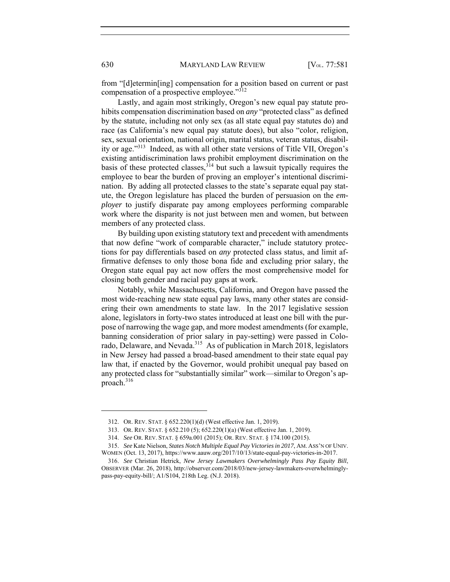from "[d]etermin[ing] compensation for a position based on current or past compensation of a prospective employee."312

Lastly, and again most strikingly, Oregon's new equal pay statute prohibits compensation discrimination based on *any* "protected class" as defined by the statute, including not only sex (as all state equal pay statutes do) and race (as California's new equal pay statute does), but also "color, religion, sex, sexual orientation, national origin, marital status, veteran status, disability or age."313 Indeed, as with all other state versions of Title VII, Oregon's existing antidiscrimination laws prohibit employment discrimination on the basis of these protected classes,  $3^{14}$  but such a lawsuit typically requires the employee to bear the burden of proving an employer's intentional discrimination. By adding all protected classes to the state's separate equal pay statute, the Oregon legislature has placed the burden of persuasion on the *employer* to justify disparate pay among employees performing comparable work where the disparity is not just between men and women, but between members of any protected class.

By building upon existing statutory text and precedent with amendments that now define "work of comparable character," include statutory protections for pay differentials based on *any* protected class status, and limit affirmative defenses to only those bona fide and excluding prior salary, the Oregon state equal pay act now offers the most comprehensive model for closing both gender and racial pay gaps at work.

Notably, while Massachusetts, California, and Oregon have passed the most wide-reaching new state equal pay laws, many other states are considering their own amendments to state law. In the 2017 legislative session alone, legislators in forty-two states introduced at least one bill with the purpose of narrowing the wage gap, and more modest amendments (for example, banning consideration of prior salary in pay-setting) were passed in Colorado, Delaware, and Nevada.315 As of publication in March 2018, legislators in New Jersey had passed a broad-based amendment to their state equal pay law that, if enacted by the Governor, would prohibit unequal pay based on any protected class for "substantially similar" work—similar to Oregon's approach.<sup>316</sup>

 <sup>312.</sup> OR. REV. STAT. § 652.220(1)(d) (West effective Jan. 1, 2019).

 <sup>313.</sup> OR. REV. STAT. § 652.210 (5); 652.220(1)(a) (West effective Jan. 1, 2019).

 <sup>314.</sup> *See* OR. REV. STAT. § 659a.001 (2015); OR. REV. STAT. § 174.100 (2015).

 <sup>315.</sup> *See* Kate Nielson, *States Notch Multiple Equal Pay Victories in 2017*, AM. ASS'N OF UNIV. WOMEN (Oct. 13, 2017), https://www.aauw.org/2017/10/13/state-equal-pay-victories-in-2017.

 <sup>316.</sup> *See* Christian Hetrick, *New Jersey Lawmakers Overwhelmingly Pass Pay Equity Bill*, OBSERVER (Mar. 26, 2018), http://observer.com/2018/03/new-jersey-lawmakers-overwhelminglypass-pay-equity-bill/; A1/S104, 218th Leg. (N.J. 2018).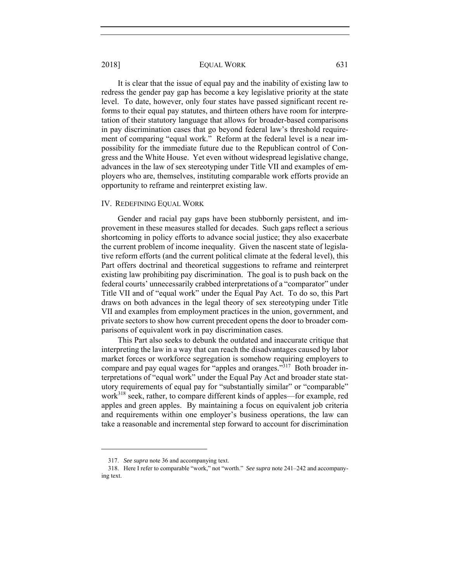It is clear that the issue of equal pay and the inability of existing law to redress the gender pay gap has become a key legislative priority at the state level. To date, however, only four states have passed significant recent reforms to their equal pay statutes, and thirteen others have room for interpretation of their statutory language that allows for broader-based comparisons in pay discrimination cases that go beyond federal law's threshold requirement of comparing "equal work." Reform at the federal level is a near impossibility for the immediate future due to the Republican control of Congress and the White House. Yet even without widespread legislative change, advances in the law of sex stereotyping under Title VII and examples of employers who are, themselves, instituting comparable work efforts provide an opportunity to reframe and reinterpret existing law.

#### IV. REDEFINING EQUAL WORK

Gender and racial pay gaps have been stubbornly persistent, and improvement in these measures stalled for decades. Such gaps reflect a serious shortcoming in policy efforts to advance social justice; they also exacerbate the current problem of income inequality. Given the nascent state of legislative reform efforts (and the current political climate at the federal level), this Part offers doctrinal and theoretical suggestions to reframe and reinterpret existing law prohibiting pay discrimination. The goal is to push back on the federal courts' unnecessarily crabbed interpretations of a "comparator" under Title VII and of "equal work" under the Equal Pay Act. To do so, this Part draws on both advances in the legal theory of sex stereotyping under Title VII and examples from employment practices in the union, government, and private sectors to show how current precedent opens the door to broader comparisons of equivalent work in pay discrimination cases.

This Part also seeks to debunk the outdated and inaccurate critique that interpreting the law in a way that can reach the disadvantages caused by labor market forces or workforce segregation is somehow requiring employers to compare and pay equal wages for "apples and oranges."<sup>317</sup> Both broader interpretations of "equal work" under the Equal Pay Act and broader state statutory requirements of equal pay for "substantially similar" or "comparable" work<sup>318</sup> seek, rather, to compare different kinds of apples—for example, red apples and green apples. By maintaining a focus on equivalent job criteria and requirements within one employer's business operations, the law can take a reasonable and incremental step forward to account for discrimination

 <sup>317.</sup> *See supra* note 36 and accompanying text.

 <sup>318.</sup> Here I refer to comparable "work," not "worth." *See supra* note 241–242 and accompanying text.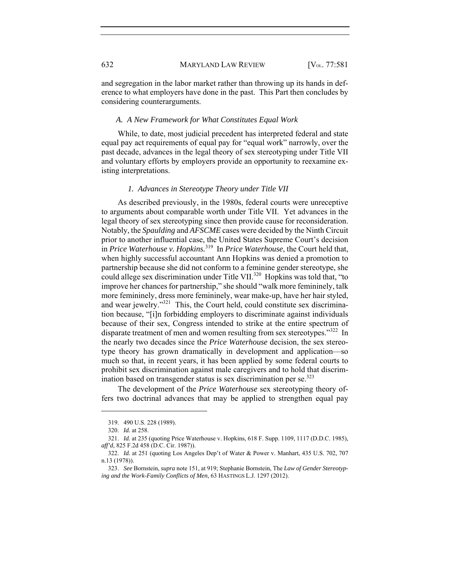and segregation in the labor market rather than throwing up its hands in deference to what employers have done in the past. This Part then concludes by considering counterarguments.

#### *A. A New Framework for What Constitutes Equal Work*

While, to date, most judicial precedent has interpreted federal and state equal pay act requirements of equal pay for "equal work" narrowly, over the past decade, advances in the legal theory of sex stereotyping under Title VII and voluntary efforts by employers provide an opportunity to reexamine existing interpretations.

# *1. Advances in Stereotype Theory under Title VII*

As described previously, in the 1980s, federal courts were unreceptive to arguments about comparable worth under Title VII. Yet advances in the legal theory of sex stereotyping since then provide cause for reconsideration. Notably, the *Spaulding* and *AFSCME* cases were decided by the Ninth Circuit prior to another influential case, the United States Supreme Court's decision in *Price Waterhouse v. Hopkins.*319 In *Price Waterhouse*, the Court held that, when highly successful accountant Ann Hopkins was denied a promotion to partnership because she did not conform to a feminine gender stereotype, she could allege sex discrimination under Title VII.<sup>320</sup> Hopkins was told that, "to improve her chances for partnership," she should "walk more femininely, talk more femininely, dress more femininely, wear make-up, have her hair styled, and wear jewelry."<sup>321</sup> This, the Court held, could constitute sex discrimination because, "[i]n forbidding employers to discriminate against individuals because of their sex, Congress intended to strike at the entire spectrum of disparate treatment of men and women resulting from sex stereotypes."<sup>322</sup> In the nearly two decades since the *Price Waterhouse* decision, the sex stereotype theory has grown dramatically in development and application—so much so that, in recent years, it has been applied by some federal courts to prohibit sex discrimination against male caregivers and to hold that discrimination based on transgender status is sex discrimination per  $se^{323}$ 

The development of the *Price Waterhouse* sex stereotyping theory offers two doctrinal advances that may be applied to strengthen equal pay

 <sup>319. 490</sup> U.S. 228 (1989).

 <sup>320.</sup> *Id.* at 258.

 <sup>321.</sup> *Id.* at 235 (quoting Price Waterhouse v. Hopkins, 618 F. Supp. 1109, 1117 (D.D.C. 1985), *aff'd*, 825 F.2d 458 (D.C. Cir. 1987)).

 <sup>322.</sup> *Id.* at 251 (quoting Los Angeles Dep't of Water & Power v. Manhart, 435 U.S. 702, 707 n.13 (1978)).

 <sup>323.</sup> *See* Bornstein, *supra* note 151, at 919; Stephanie Bornstein, The *Law of Gender Stereotyping and the Work-Family Conflicts of Men*, 63 HASTINGS L.J. 1297 (2012).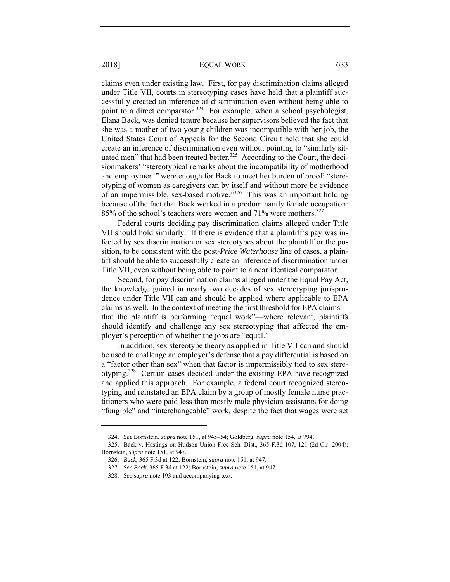claims even under existing law. First, for pay discrimination claims alleged under Title VII, courts in stereotyping cases have held that a plaintiff successfully created an inference of discrimination even without being able to point to a direct comparator.<sup>324</sup> For example, when a school psychologist, Elana Back, was denied tenure because her supervisors believed the fact that she was a mother of two young children was incompatible with her job, the United States Court of Appeals for the Second Circuit held that she could create an inference of discrimination even without pointing to "similarly situated men" that had been treated better. $325$  According to the Court, the decisionmakers' "stereotypical remarks about the incompatibility of motherhood and employment" were enough for Back to meet her burden of proof: "stereotyping of women as caregivers can by itself and without more be evidence of an impermissible, sex-based motive."326 This was an important holding because of the fact that Back worked in a predominantly female occupation: 85% of the school's teachers were women and 71% were mothers.<sup>327</sup>

Federal courts deciding pay discrimination claims alleged under Title VII should hold similarly. If there is evidence that a plaintiff's pay was infected by sex discrimination or sex stereotypes about the plaintiff or the position, to be consistent with the post-*Price Waterhouse* line of cases, a plaintiff should be able to successfully create an inference of discrimination under Title VII, even without being able to point to a near identical comparator.

Second, for pay discrimination claims alleged under the Equal Pay Act, the knowledge gained in nearly two decades of sex stereotyping jurisprudence under Title VII can and should be applied where applicable to EPA claims as well. In the context of meeting the first threshold for EPA claims that the plaintiff is performing "equal work"—where relevant, plaintiffs should identify and challenge any sex stereotyping that affected the employer's perception of whether the jobs are "equal."

In addition, sex stereotype theory as applied in Title VII can and should be used to challenge an employer's defense that a pay differential is based on a "factor other than sex" when that factor is impermissibly tied to sex stereotyping.328 Certain cases decided under the existing EPA have recognized and applied this approach. For example, a federal court recognized stereotyping and reinstated an EPA claim by a group of mostly female nurse practitioners who were paid less than mostly male physician assistants for doing "fungible" and "interchangeable" work, despite the fact that wages were set

 <sup>324.</sup> *See* Bornstein, *supra* note 151, at 945–54; Goldberg, *supra* note 154, at 794.

 <sup>325.</sup> Back v. Hastings on Hudson Union Free Sch. Dist., 365 F.3d 107, 121 (2d Cir. 2004); Bornstein, *supra* note 151, at 947.

 <sup>326.</sup> *Back*, 365 F.3d at 122; Bornstein, *supra* note 151, at 947.

 <sup>327.</sup> *See Back*, 365 F.3d at 122; Bornstein, *supra* note 151, at 947.

 <sup>328.</sup> *See supra* note 193 and accompanying text.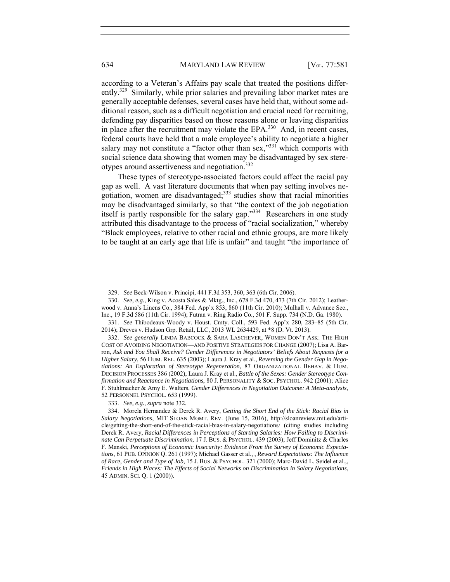according to a Veteran's Affairs pay scale that treated the positions differently.<sup>329</sup> Similarly, while prior salaries and prevailing labor market rates are generally acceptable defenses, several cases have held that, without some additional reason, such as a difficult negotiation and crucial need for recruiting, defending pay disparities based on those reasons alone or leaving disparities in place after the recruitment may violate the  $EPA$ <sup>330</sup> And, in recent cases, federal courts have held that a male employee's ability to negotiate a higher salary may not constitute a "factor other than sex," $331$  which comports with social science data showing that women may be disadvantaged by sex stereotypes around assertiveness and negotiation.332

These types of stereotype-associated factors could affect the racial pay gap as well. A vast literature documents that when pay setting involves negotiation, women are disadvantaged;333 studies show that racial minorities may be disadvantaged similarly, so that "the context of the job negotiation itself is partly responsible for the salary gap."334 Researchers in one study attributed this disadvantage to the process of "racial socialization," whereby "Black employees, relative to other racial and ethnic groups, are more likely to be taught at an early age that life is unfair" and taught "the importance of

 <sup>329.</sup> *See* Beck-Wilson v. Principi, 441 F.3d 353, 360, 363 (6th Cir. 2006).

 <sup>330.</sup> *See, e.g.*, King v. Acosta Sales & Mktg., Inc., 678 F.3d 470, 473 (7th Cir. 2012); Leatherwood v. Anna's Linens Co., 384 Fed. App'x 853, 860 (11th Cir. 2010); Mulhall v. Advance Sec., Inc., 19 F.3d 586 (11th Cir. 1994); Futran v. Ring Radio Co., 501 F. Supp. 734 (N.D. Ga. 1980).

 <sup>331.</sup> *See* Thibodeaux-Woody v. Houst. Cmty. Coll., 593 Fed. App'x 280, 283–85 (5th Cir. 2014); Dreves v. Hudson Grp. Retail, LLC, 2013 WL 2634429, at \*8 (D. Vt. 2013).

 <sup>332.</sup> *See generally* LINDA BABCOCK & SARA LASCHEVER, WOMEN DON'T ASK: THE HIGH COST OF AVOIDING NEGOTIATION—AND POSITIVE STRATEGIES FOR CHANGE (2007); Lisa A. Barron, *Ask and You Shall Receive? Gender Differences in Negotiators' Beliefs About Requests for a Higher Salary*, 56 HUM. REL. 635 (2003); Laura J. Kray et al., *Reversing the Gender Gap in Negotiations: An Exploration of Stereotype Regeneration*, 87 ORGANIZATIONAL BEHAV. & HUM. DECISION PROCESSES 386 (2002); Laura J. Kray et al., *Battle of the Sexes: Gender Stereotype Confirmation and Reactance in Negotiations*, 80 J. PERSONALITY & SOC. PSYCHOL. 942 (2001); Alice F. Stuhlmacher & Amy E. Walters, *Gender Differences in Negotiation Outcome: A Meta-analysis*, 52 PERSONNEL PSYCHOL. 653 (1999).

 <sup>333.</sup> *See, e.g.*, *supra* note 332.

 <sup>334.</sup> Morela Hernandez & Derek R. Avery, *Getting the Short End of the Stick: Racial Bias in Salary Negotiations*, MIT SLOAN MGMT. REV. (June 15, 2016), http://sloanreview.mit.edu/article/getting-the-short-end-of-the-stick-racial-bias-in-salary-negotiations/ (citing studies including Derek R. Avery, *Racial Differences in Perceptions of Starting Salaries: How Failing to Discriminate Can Perpetuate Discrimination*, 17 J. BUS. & PSYCHOL. 439 (2003); Jeff Dominitz & Charles F. Manski, *Perceptions of Economic Insecurity: Evidence From the Survey of Economic Expectations*, 61 PUB. OPINION Q. 261 (1997); Michael Gasser et al., , *Reward Expectations: The Influence of Race, Gender and Type of Job*, 15 J. BUS. & PSYCHOL. 321 (2000); Marc-David L. Seidel et al.,, *Friends in High Places: The Effects of Social Networks on Discrimination in Salary Negotiations*, 45 ADMIN. SCI. Q. 1 (2000)).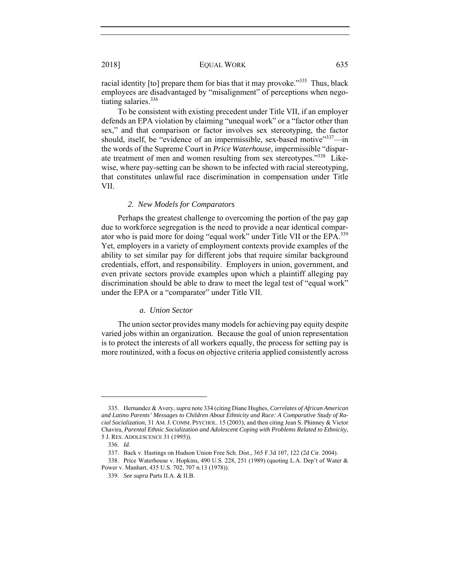racial identity [to] prepare them for bias that it may provoke."<sup>335</sup> Thus, black employees are disadvantaged by "misalignment" of perceptions when negotiating salaries.<sup>336</sup>

To be consistent with existing precedent under Title VII, if an employer defends an EPA violation by claiming "unequal work" or a "factor other than sex," and that comparison or factor involves sex stereotyping, the factor should, itself, be "evidence of an impermissible, sex-based motive"<sup>337</sup>—in the words of the Supreme Court in *Price Waterhouse*, impermissible "disparate treatment of men and women resulting from sex stereotypes."338 Likewise, where pay-setting can be shown to be infected with racial stereotyping, that constitutes unlawful race discrimination in compensation under Title VII.

#### *2. New Models for Comparators*

Perhaps the greatest challenge to overcoming the portion of the pay gap due to workforce segregation is the need to provide a near identical comparator who is paid more for doing "equal work" under Title VII or the EPA.<sup>339</sup> Yet, employers in a variety of employment contexts provide examples of the ability to set similar pay for different jobs that require similar background credentials, effort, and responsibility. Employers in union, government, and even private sectors provide examples upon which a plaintiff alleging pay discrimination should be able to draw to meet the legal test of "equal work" under the EPA or a "comparator" under Title VII.

# *a. Union Sector*

The union sector provides many models for achieving pay equity despite varied jobs within an organization. Because the goal of union representation is to protect the interests of all workers equally, the process for setting pay is more routinized, with a focus on objective criteria applied consistently across

 <sup>335.</sup> Hernandez & Avery, *supra* note 334 (citing Diane Hughes, *Correlates of African American and Latino Parents' Messages to Children About Ethnicity and Race: A Comparative Study of Racial Socialization*, 31 AM.J. COMM. PSYCHOL. 15 (2003); and then citing Jean S. Phinney & Victor Chavira, *Parental Ethnic Socialization and Adolescent Coping with Problems Related to Ethnicity*, 5 J. RES. ADOLESCENCE 31 (1995)).

 <sup>336.</sup> *Id*.

 <sup>337.</sup> Back v. Hastings on Hudson Union Free Sch. Dist., 365 F.3d 107, 122 (2d Cir. 2004).

 <sup>338.</sup> Price Waterhouse v. Hopkins, 490 U.S. 228, 251 (1989) (quoting L.A. Dep't of Water & Power v. Manhart, 435 U.S. 702, 707 n.13 (1978)).

 <sup>339.</sup> *See supra* Parts II.A. & II.B.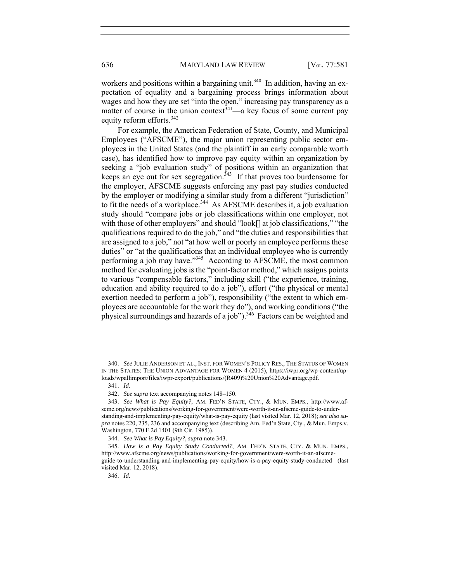636 MARYLAND LAW REVIEW [V<sub>OL.</sub> 77:581]

workers and positions within a bargaining unit.<sup>340</sup> In addition, having an expectation of equality and a bargaining process brings information about wages and how they are set "into the open," increasing pay transparency as a matter of course in the union context<sup>341</sup>—a key focus of some current pay equity reform efforts.<sup>342</sup>

For example, the American Federation of State, County, and Municipal Employees ("AFSCME"), the major union representing public sector employees in the United States (and the plaintiff in an early comparable worth case), has identified how to improve pay equity within an organization by seeking a "job evaluation study" of positions within an organization that keeps an eye out for sex segregation.<sup>343</sup> If that proves too burdensome for the employer, AFSCME suggests enforcing any past pay studies conducted by the employer or modifying a similar study from a different "jurisdiction" to fit the needs of a workplace.<sup>344</sup> As AFSCME describes it, a job evaluation study should "compare jobs or job classifications within one employer, not with those of other employers" and should "look[] at job classifications," "the qualifications required to do the job," and "the duties and responsibilities that are assigned to a job," not "at how well or poorly an employee performs these duties" or "at the qualifications that an individual employee who is currently performing a job may have."<sup>345</sup> According to AFSCME, the most common method for evaluating jobs is the "point-factor method," which assigns points to various "compensable factors," including skill ("the experience, training, education and ability required to do a job"), effort ("the physical or mental exertion needed to perform a job"), responsibility ("the extent to which employees are accountable for the work they do"), and working conditions ("the physical surroundings and hazards of a job").<sup>346</sup> Factors can be weighted and

 <sup>340.</sup> *See* JULIE ANDERSON ET AL., INST. FOR WOMEN'S POLICY RES., THE STATUS OF WOMEN IN THE STATES: THE UNION ADVANTAGE FOR WOMEN 4 (2015), https://iwpr.org/wp-content/uploads/wpallimport/files/iwpr-export/publications/(R409)%20Union%20Advantage.pdf.

 <sup>341.</sup> *Id.*

 <sup>342.</sup> *See supra* text accompanying notes 148–150.

 <sup>343.</sup> *See What is Pay Equity?*, AM. FED'N STATE, CTY., & MUN. EMPS., http://www.afscme.org/news/publications/working-for-government/were-worth-it-an-afscme-guide-to-understanding-and-implementing-pay-equity/what-is-pay-equity (last visited Mar. 12, 2018); *see also supra* notes 220, 235, 236 and accompanying text (describing Am. Fed'n State, Cty., & Mun. Emps.v. Washington, 770 F.2d 1401 (9th Cir. 1985)).

 <sup>344.</sup> *See What is Pay Equity?*, *supra* note 343.

 <sup>345.</sup> *How is a Pay Equity Study Conducted?*, AM. FED'N STATE, CTY. & MUN. EMPS., http://www.afscme.org/news/publications/working-for-government/were-worth-it-an-afscmeguide-to-understanding-and-implementing-pay-equity/how-is-a-pay-equity-study-conducted (last visited Mar. 12, 2018).

 <sup>346.</sup> *Id*.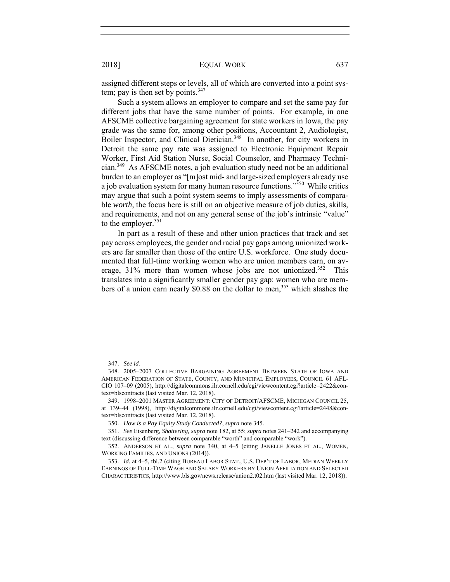assigned different steps or levels, all of which are converted into a point system; pay is then set by points. $347$ 

Such a system allows an employer to compare and set the same pay for different jobs that have the same number of points. For example, in one AFSCME collective bargaining agreement for state workers in Iowa, the pay grade was the same for, among other positions, Accountant 2, Audiologist, Boiler Inspector, and Clinical Dietician.<sup>348</sup> In another, for city workers in Detroit the same pay rate was assigned to Electronic Equipment Repair Worker, First Aid Station Nurse, Social Counselor, and Pharmacy Technician.349 As AFSCME notes, a job evaluation study need not be an additional burden to an employer as "[m]ost mid- and large-sized employers already use a job evaluation system for many human resource functions."<sup>350</sup> While critics may argue that such a point system seems to imply assessments of comparable *worth*, the focus here is still on an objective measure of job duties, skills, and requirements, and not on any general sense of the job's intrinsic "value" to the employer.<sup>351</sup>

In part as a result of these and other union practices that track and set pay across employees, the gender and racial pay gaps among unionized workers are far smaller than those of the entire U.S. workforce. One study documented that full-time working women who are union members earn, on average,  $31\%$  more than women whose jobs are not unionized.<sup>352</sup> This translates into a significantly smaller gender pay gap: women who are members of a union earn nearly  $$0.88$  on the dollar to men,<sup>353</sup> which slashes the

 <sup>347.</sup> *See id.*

 <sup>348. 2005–2007</sup> COLLECTIVE BARGAINING AGREEMENT BETWEEN STATE OF IOWA AND AMERICAN FEDERATION OF STATE, COUNTY, AND MUNICIPAL EMPLOYEES, COUNCIL 61 AFL-CIO 107–09 (2005), http://digitalcommons.ilr.cornell.edu/cgi/viewcontent.cgi?article=2422&context=blscontracts (last visited Mar. 12, 2018).

 <sup>349. 1998–2001</sup> MASTER AGREEMENT: CITY OF DETROIT/AFSCME, MICHIGAN COUNCIL 25, at 139–44 (1998), http://digitalcommons.ilr.cornell.edu/cgi/viewcontent.cgi?article=2448&context=blscontracts (last visited Mar. 12, 2018).

 <sup>350.</sup> *How is a Pay Equity Study Conducted?*, *supra* note 345.

 <sup>351.</sup> *See* Eisenberg, *Shattering, supra* note 182, at 55; *supra* notes 241–242 and accompanying text (discussing difference between comparable "worth" and comparable "work").

 <sup>352.</sup> ANDERSON ET AL., *supra* note 340, at 4–5 (citing JANELLE JONES ET AL., WOMEN, WORKING FAMILIES, AND UNIONS (2014)).

 <sup>353.</sup> *Id.* at 4–5, tbl.2 (citing BUREAU LABOR STAT., U.S. DEP'T OF LABOR, MEDIAN WEEKLY EARNINGS OF FULL-TIME WAGE AND SALARY WORKERS BY UNION AFFILIATION AND SELECTED CHARACTERISTICS, http://www.bls.gov/news.release/union2.t02.htm (last visited Mar. 12, 2018)).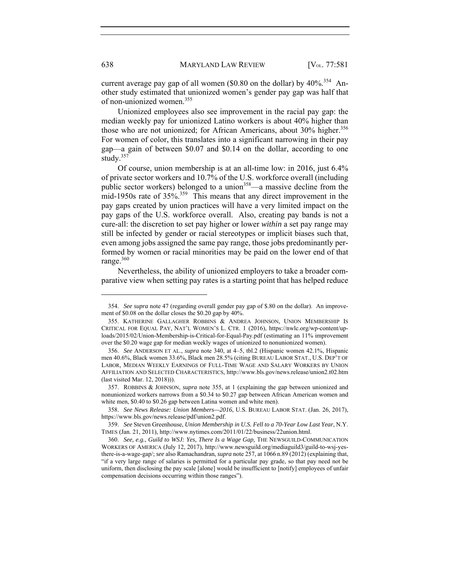current average pay gap of all women (\$0.80 on the dollar) by 40%.<sup>354</sup> Another study estimated that unionized women's gender pay gap was half that of non-unionized women.<sup>355</sup>

Unionized employees also see improvement in the racial pay gap: the median weekly pay for unionized Latino workers is about 40% higher than those who are not unionized; for African Americans, about  $30\%$  higher.<sup>356</sup> For women of color, this translates into a significant narrowing in their pay gap—a gain of between \$0.07 and \$0.14 on the dollar, according to one study.357

Of course, union membership is at an all-time low: in 2016, just 6.4% of private sector workers and 10.7% of the U.S. workforce overall (including public sector workers) belonged to a union<sup>358</sup>—a massive decline from the mid-1950s rate of 35%.<sup>359</sup> This means that any direct improvement in the pay gaps created by union practices will have a very limited impact on the pay gaps of the U.S. workforce overall. Also, creating pay bands is not a cure-all: the discretion to set pay higher or lower *within* a set pay range may still be infected by gender or racial stereotypes or implicit biases such that, even among jobs assigned the same pay range, those jobs predominantly performed by women or racial minorities may be paid on the lower end of that range.<sup>360</sup>

Nevertheless, the ability of unionized employers to take a broader comparative view when setting pay rates is a starting point that has helped reduce

 <sup>354.</sup> *See supra* note 47 (regarding overall gender pay gap of \$.80 on the dollar). An improvement of \$0.08 on the dollar closes the \$0.20 gap by 40%.

 <sup>355.</sup> KATHERINE GALLAGHER ROBBINS & ANDREA JOHNSON, UNION MEMBERSHIP IS CRITICAL FOR EQUAL PAY, NAT'L WOMEN'S L. CTR. 1 (2016), https://nwlc.org/wp-content/uploads/2015/02/Union-Membership-is-Critical-for-Equal-Pay.pdf (estimating an 11% improvement over the \$0.20 wage gap for median weekly wages of unionized to nonunionized women).

 <sup>356.</sup> *See* ANDERSON ET AL., *supra* note 340, at 4–5, tbl.2 (Hispanic women 42.1%, Hispanic men 40.6%, Black women 33.6%, Black men 28.5% (citing BUREAU LABOR STAT., U.S. DEP'T OF LABOR, MEDIAN WEEKLY EARNINGS OF FULL-TIME WAGE AND SALARY WORKERS BY UNION AFFILIATION AND SELECTED CHARACTERISTICS, http://www.bls.gov/news.release/union2.t02.htm (last visited Mar. 12, 2018))).

 <sup>357.</sup> ROBBINS & JOHNSON, *supra* note 355, at 1 (explaining the gap between unionized and nonunionized workers narrows from a \$0.34 to \$0.27 gap between African American women and white men, \$0.40 to \$0.26 gap between Latina women and white men).

 <sup>358.</sup> *See News Release: Union Members—2016*, U.S. BUREAU LABOR STAT. (Jan. 26, 2017), https://www.bls.gov/news.release/pdf/union2.pdf.

 <sup>359.</sup> *See* Steven Greenhouse, *Union Membership in U.S. Fell to a 70-Year Low Last Year*, N.Y. TIMES (Jan. 21, 2011), http://www.nytimes.com/2011/01/22/business/22union.html.

 <sup>360.</sup> *See, e.g.*, *Guild to WSJ: Yes, There Is a Wage Gap,* THE NEWSGUILD-COMMUNICATION WORKERS OF AMERICA (July 12, 2017), http://www.newsguild.org/mediaguild3/guild-to-wsj-yesthere-is-a-wage-gap/; *see* also Ramachandran, *supra* note 257, at 1066 n.89 (2012) (explaining that, "if a very large range of salaries is permitted for a particular pay grade, so that pay need not be uniform, then disclosing the pay scale [alone] would be insufficient to [notify] employees of unfair compensation decisions occurring within those ranges").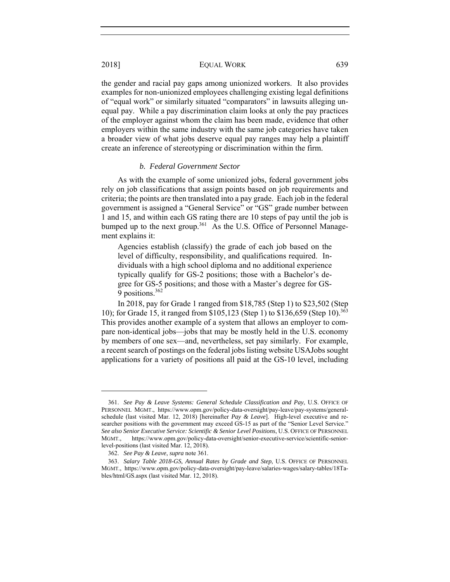the gender and racial pay gaps among unionized workers. It also provides examples for non-unionized employees challenging existing legal definitions of "equal work" or similarly situated "comparators" in lawsuits alleging unequal pay. While a pay discrimination claim looks at only the pay practices of the employer against whom the claim has been made, evidence that other employers within the same industry with the same job categories have taken a broader view of what jobs deserve equal pay ranges may help a plaintiff create an inference of stereotyping or discrimination within the firm.

# *b. Federal Government Sector*

As with the example of some unionized jobs, federal government jobs rely on job classifications that assign points based on job requirements and criteria; the points are then translated into a pay grade. Each job in the federal government is assigned a "General Service" or "GS" grade number between 1 and 15, and within each GS rating there are 10 steps of pay until the job is bumped up to the next group.<sup>361</sup> As the U.S. Office of Personnel Management explains it:

Agencies establish (classify) the grade of each job based on the level of difficulty, responsibility, and qualifications required. Individuals with a high school diploma and no additional experience typically qualify for GS-2 positions; those with a Bachelor's degree for GS-5 positions; and those with a Master's degree for GS-9 positions.<sup>362</sup>

In 2018, pay for Grade 1 ranged from \$18,785 (Step 1) to \$23,502 (Step 10); for Grade 15, it ranged from \$105,123 (Step 1) to \$136,659 (Step 10).<sup>363</sup> This provides another example of a system that allows an employer to compare non-identical jobs—jobs that may be mostly held in the U.S. economy by members of one sex—and, nevertheless, set pay similarly. For example, a recent search of postings on the federal jobs listing website USAJobs sought applications for a variety of positions all paid at the GS-10 level, including

 <sup>361.</sup> *See Pay & Leave Systems: General Schedule Classification and Pay*, U.S. OFFICE OF PERSONNEL MGMT., https://www.opm.gov/policy-data-oversight/pay-leave/pay-systems/generalschedule (last visited Mar. 12, 2018) [hereinafter *Pay & Leave*]. High-level executive and researcher positions with the government may exceed GS-15 as part of the "Senior Level Service." *See also Senior Executive Service: Scientific & Senior Level Positions*, U.S. OFFICE OF PERSONNEL MGMT., https://www.opm.gov/policy-data-oversight/senior-executive-service/scientific-seniorlevel-positions (last visited Mar. 12, 2018).

 <sup>362.</sup> *See Pay & Leave*, *supra* note 361.

 <sup>363.</sup> *Salary Table 2018-GS, Annual Rates by Grade and Step*, U.S. OFFICE OF PERSONNEL MGMT., https://www.opm.gov/policy-data-oversight/pay-leave/salaries-wages/salary-tables/18Tables/html/GS.aspx (last visited Mar. 12, 2018).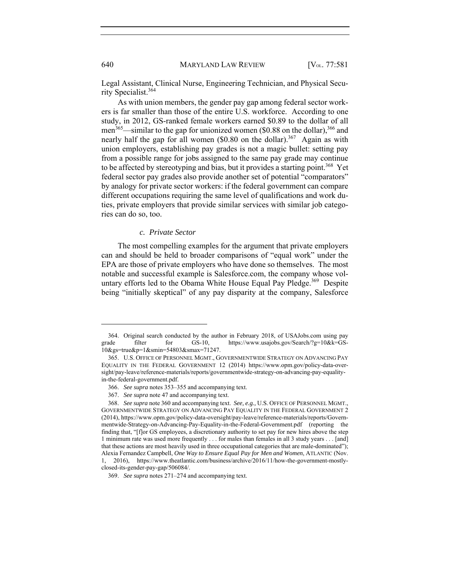640 MARYLAND LAW REVIEW [V<sub>OL.</sub> 77:581]

Legal Assistant, Clinical Nurse, Engineering Technician, and Physical Security Specialist.364

As with union members, the gender pay gap among federal sector workers is far smaller than those of the entire U.S. workforce. According to one study, in 2012, GS-ranked female workers earned \$0.89 to the dollar of all men<sup>365</sup>—similar to the gap for unionized women (\$0.88 on the dollar),  $366$  and nearly half the gap for all women  $$0.80$  on the dollar).<sup>367</sup> Again as with union employers, establishing pay grades is not a magic bullet: setting pay from a possible range for jobs assigned to the same pay grade may continue to be affected by stereotyping and bias, but it provides a starting point.<sup>368</sup> Yet federal sector pay grades also provide another set of potential "comparators" by analogy for private sector workers: if the federal government can compare different occupations requiring the same level of qualifications and work duties, private employers that provide similar services with similar job categories can do so, too.

#### *c. Private Sector*

The most compelling examples for the argument that private employers can and should be held to broader comparisons of "equal work" under the EPA are those of private employers who have done so themselves. The most notable and successful example is Salesforce.com, the company whose voluntary efforts led to the Obama White House Equal Pay Pledge.<sup>369</sup> Despite being "initially skeptical" of any pay disparity at the company, Salesforce

 <sup>364.</sup> Original search conducted by the author in February 2018, of USAJobs.com using pay grade filter for GS-10, https://www.usajobs.gov/Search/?g=10&k=GS-10&gs=true&p=1&smin=54803&smax=71247.

 <sup>365.</sup> U.S. OFFICE OF PERSONNEL MGMT., GOVERNMENTWIDE STRATEGY ON ADVANCING PAY EQUALITY IN THE FEDERAL GOVERNMENT 12 (2014) https://www.opm.gov/policy-data-oversight/pay-leave/reference-materials/reports/governmentwide-strategy-on-advancing-pay-equalityin-the-federal-government.pdf.

 <sup>366.</sup> *See supra* notes 353–355 and accompanying text.

 <sup>367.</sup> *See supra* note 47 and accompanying text.

 <sup>368.</sup> *See supra* note 360 and accompanying text. *See, e.g.,* U.S. OFFICE OF PERSONNEL MGMT., GOVERNMENTWIDE STRATEGY ON ADVANCING PAY EQUALITY IN THE FEDERAL GOVERNMENT 2 (2014), https://www.opm.gov/policy-data-oversight/pay-leave/reference-materials/reports/Governmentwide-Strategy-on-Advancing-Pay-Equality-in-the-Federal-Government.pdf (reporting the finding that, "[f]or GS employees, a discretionary authority to set pay for new hires above the step 1 minimum rate was used more frequently . . . for males than females in all 3 study years . . . [and] that these actions are most heavily used in three occupational categories that are male-dominated"); Alexia Fernandez Campbell, *One Way to Ensure Equal Pay for Men and Women*, ATLANTIC (Nov. 2016), https://www.theatlantic.com/business/archive/2016/11/how-the-government-mostlyclosed-its-gender-pay-gap/506084/.

 <sup>369.</sup> *See supra* notes 271–274 and accompanying text.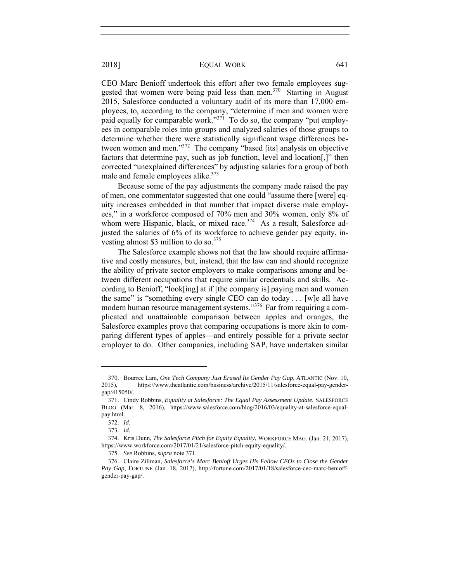CEO Marc Benioff undertook this effort after two female employees suggested that women were being paid less than men.<sup>370</sup> Starting in August 2015, Salesforce conducted a voluntary audit of its more than 17,000 employees, to, according to the company, "determine if men and women were paid equally for comparable work."<sup>371</sup> To do so, the company "put employees in comparable roles into groups and analyzed salaries of those groups to determine whether there were statistically significant wage differences between women and men."372 The company "based [its] analysis on objective factors that determine pay, such as job function, level and location[,]" then corrected "unexplained differences" by adjusting salaries for a group of both male and female employees alike.<sup>373</sup>

Because some of the pay adjustments the company made raised the pay of men, one commentator suggested that one could "assume there [were] equity increases embedded in that number that impact diverse male employees," in a workforce composed of 70% men and 30% women, only 8% of whom were Hispanic, black, or mixed race.<sup>374</sup> As a result, Salesforce adjusted the salaries of 6% of its workforce to achieve gender pay equity, investing almost \$3 million to do so. $375$ 

The Salesforce example shows not that the law should require affirmative and costly measures, but, instead, that the law can and should recognize the ability of private sector employers to make comparisons among and between different occupations that require similar credentials and skills. According to Benioff, "look[ing] at if [the company is] paying men and women the same" is "something every single CEO can do today . . . [w]e all have modern human resource management systems."<sup>376</sup> Far from requiring a complicated and unattainable comparison between apples and oranges, the Salesforce examples prove that comparing occupations is more akin to comparing different types of apples—and entirely possible for a private sector employer to do. Other companies, including SAP, have undertaken similar

 <sup>370.</sup> Bourree Lam, *One Tech Company Just Erased Its Gender Pay Gap*, ATLANTIC (Nov. 10, 2015), https://www.theatlantic.com/business/archive/2015/11/salesforce-equal-pay-gendergap/415050/.

 <sup>371.</sup> Cindy Robbins, *Equality at Salesforce: The Equal Pay Assessment Update*, SALESFORCE BLOG (Mar. 8, 2016), https://www.salesforce.com/blog/2016/03/equality-at-salesforce-equalpay.html.

 <sup>372.</sup> *Id.*

 <sup>373.</sup> *Id.*

 <sup>374.</sup> Kris Dunn, *The Salesforce Pitch for Equity Equality*, WORKFORCE MAG. (Jan. 21, 2017), https://www.workforce.com/2017/01/21/salesforce-pitch-equity-equality/.

 <sup>375.</sup> *See* Robbins, *supra* note 371.

 <sup>376.</sup> Claire Zillman, *Salesforce's Marc Benioff Urges His Fellow CEOs to Close the Gender Pay Gap*, FORTUNE (Jan. 18, 2017), http://fortune.com/2017/01/18/salesforce-ceo-marc-benioffgender-pay-gap/.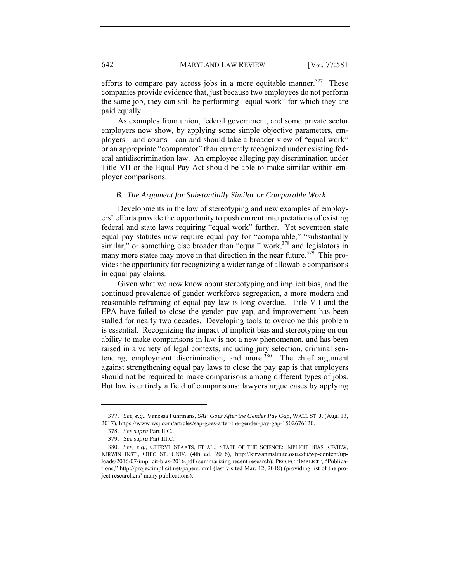efforts to compare pay across jobs in a more equitable manner.<sup>377</sup> These companies provide evidence that, just because two employees do not perform the same job, they can still be performing "equal work" for which they are paid equally.

As examples from union, federal government, and some private sector employers now show, by applying some simple objective parameters, employers—and courts—can and should take a broader view of "equal work" or an appropriate "comparator" than currently recognized under existing federal antidiscrimination law. An employee alleging pay discrimination under Title VII or the Equal Pay Act should be able to make similar within-employer comparisons.

#### *B. The Argument for Substantially Similar or Comparable Work*

Developments in the law of stereotyping and new examples of employers' efforts provide the opportunity to push current interpretations of existing federal and state laws requiring "equal work" further. Yet seventeen state equal pay statutes now require equal pay for "comparable," "substantially similar," or something else broader than "equal" work,  $378$  and legislators in many more states may move in that direction in the near future.<sup>379</sup> This provides the opportunity for recognizing a wider range of allowable comparisons in equal pay claims.

Given what we now know about stereotyping and implicit bias, and the continued prevalence of gender workforce segregation, a more modern and reasonable reframing of equal pay law is long overdue. Title VII and the EPA have failed to close the gender pay gap, and improvement has been stalled for nearly two decades. Developing tools to overcome this problem is essential. Recognizing the impact of implicit bias and stereotyping on our ability to make comparisons in law is not a new phenomenon, and has been raised in a variety of legal contexts, including jury selection, criminal sentencing, employment discrimination, and more.<sup>380</sup> The chief argument against strengthening equal pay laws to close the pay gap is that employers should not be required to make comparisons among different types of jobs. But law is entirely a field of comparisons: lawyers argue cases by applying

 <sup>377.</sup> *See, e.g.*, Vanessa Fuhrmans, *SAP Goes After the Gender Pay Gap*, WALL ST. J. (Aug. 13, 2017), https://www.wsj.com/articles/sap-goes-after-the-gender-pay-gap-1502676120.

 <sup>378.</sup> *See supra* Part II.C.

 <sup>379.</sup> *See supra* Part III.C.

 <sup>380.</sup> *See, e.g.*, CHERYL STAATS, ET AL., STATE OF THE SCIENCE: IMPLICIT BIAS REVIEW, KIRWIN INST., OHIO ST. UNIV. (4th ed. 2016), http://kirwaninstitute.osu.edu/wp-content/uploads/2016/07/implicit-bias-2016.pdf (summarizing recent research); PROJECT IMPLICIT, "Publications," http://projectimplicit.net/papers.html (last visited Mar. 12, 2018) (providing list of the project researchers' many publications).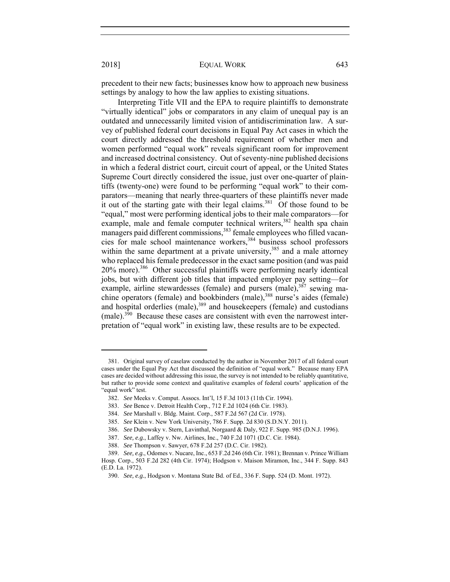precedent to their new facts; businesses know how to approach new business settings by analogy to how the law applies to existing situations.

Interpreting Title VII and the EPA to require plaintiffs to demonstrate "virtually identical" jobs or comparators in any claim of unequal pay is an outdated and unnecessarily limited vision of antidiscrimination law. A survey of published federal court decisions in Equal Pay Act cases in which the court directly addressed the threshold requirement of whether men and women performed "equal work" reveals significant room for improvement and increased doctrinal consistency. Out of seventy-nine published decisions in which a federal district court, circuit court of appeal, or the United States Supreme Court directly considered the issue, just over one-quarter of plaintiffs (twenty-one) were found to be performing "equal work" to their comparators—meaning that nearly three-quarters of these plaintiffs never made it out of the starting gate with their legal claims.<sup>381</sup> Of those found to be "equal," most were performing identical jobs to their male comparators—for example, male and female computer technical writers,<sup>382</sup> health spa chain managers paid different commissions,<sup>383</sup> female employees who filled vacancies for male school maintenance workers,<sup>384</sup> business school professors within the same department at a private university, $385$  and a male attorney who replaced his female predecessor in the exact same position (and was paid 20% more).386 Other successful plaintiffs were performing nearly identical jobs, but with different job titles that impacted employer pay setting—for example, airline stewardesses (female) and pursers (male), $387$  sewing machine operators (female) and bookbinders (male),<sup>388</sup> nurse's aides (female) and hospital orderlies (male),<sup>389</sup> and housekeepers (female) and custodians (male). $3\overline{90}$  Because these cases are consistent with even the narrowest interpretation of "equal work" in existing law, these results are to be expected.

 <sup>381.</sup> Original survey of caselaw conducted by the author in November 2017 of all federal court cases under the Equal Pay Act that discussed the definition of "equal work." Because many EPA cases are decided without addressing this issue, the survey is not intended to be reliably quantitative, but rather to provide some context and qualitative examples of federal courts' application of the "equal work" test.

 <sup>382.</sup> *See* Meeks v. Comput. Assocs. Int'l, 15 F.3d 1013 (11th Cir. 1994).

 <sup>383.</sup> *See* Bence v. Detroit Health Corp., 712 F.2d 1024 (6th Cir. 1983).

 <sup>384.</sup> *See* Marshall v. Bldg. Maint. Corp., 587 F.2d 567 (2d Cir. 1978).

 <sup>385.</sup> *See* Klein v. New York University, 786 F. Supp. 2d 830 (S.D.N.Y. 2011).

 <sup>386.</sup> *See* Dubowsky v. Stern, Lavinthal, Norgaard & Daly, 922 F. Supp. 985 (D.N.J. 1996).

 <sup>387.</sup> *See, e.g.*, Laffey v. Nw. Airlines, Inc., 740 F.2d 1071 (D.C. Cir. 1984).

 <sup>388.</sup> *See* Thompson v. Sawyer, 678 F.2d 257 (D.C. Cir. 1982).

 <sup>389.</sup> *See, e.g.*, Odomes v. Nucare, Inc., 653 F.2d 246 (6th Cir. 1981); Brennan v. Prince William Hosp. Corp., 503 F.2d 282 (4th Cir. 1974); Hodgson v. Maison Miramon, Inc., 344 F. Supp. 843 (E.D. La. 1972).

 <sup>390.</sup> *See, e.g.*, Hodgson v. Montana State Bd. of Ed., 336 F. Supp. 524 (D. Mont. 1972).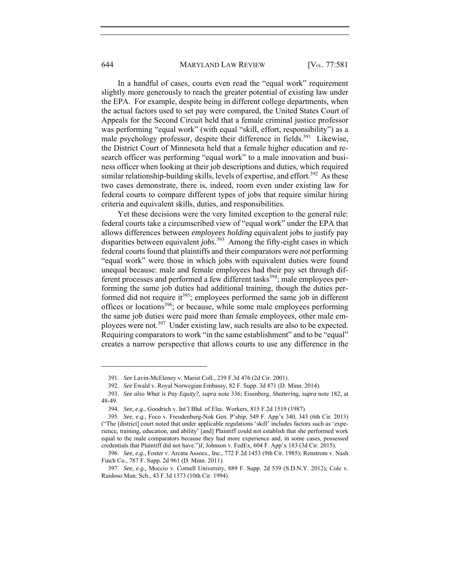#### 644 MARYLAND LAW REVIEW [V<sub>OL</sub>. 77:581]

In a handful of cases, courts even read the "equal work" requirement slightly more generously to reach the greater potential of existing law under the EPA. For example, despite being in different college departments, when the actual factors used to set pay were compared, the United States Court of Appeals for the Second Circuit held that a female criminal justice professor was performing "equal work" (with equal "skill, effort, responsibility") as a male psychology professor, despite their difference in fields.<sup>391</sup> Likewise, the District Court of Minnesota held that a female higher education and research officer was performing "equal work" to a male innovation and business officer when looking at their job descriptions and duties, which required similar relationship-building skills, levels of expertise, and effort.<sup>392</sup> As these two cases demonstrate, there is, indeed, room even under existing law for federal courts to compare different types of jobs that require similar hiring criteria and equivalent skills, duties, and responsibilities.

Yet these decisions were the very limited exception to the general rule: federal courts take a circumscribed view of "equal work" under the EPA that allows differences between *employees holding* equivalent jobs to justify pay disparities between equivalent *jobs.*393 Among the fifty-eight cases in which federal courts found that plaintiffs and their comparators were *not* performing "equal work" were those in which jobs with equivalent duties were found unequal because: male and female employees had their pay set through different processes and performed a few different tasks<sup>394</sup>; male employees performing the same job duties had additional training, though the duties performed did not require it<sup>395</sup>; employees performed the same job in different offices or locations396; or because, while some male employees performing the same job duties were paid more than female employees, other male employees were not.<sup>397</sup> Under existing law, such results are also to be expected. Requiring comparators to work "in the same establishment" and to be "equal" creates a narrow perspective that allows courts to use any difference in the

 <sup>391.</sup> *See* Lavin-McEleney v. Marist Coll., 239 F.3d 476 (2d Cir. 2001).

 <sup>392.</sup> *See* Ewald v. Royal Norwegian Embassy, 82 F. Supp. 3d 871 (D. Minn. 2014).

 <sup>393.</sup> *See also What is Pay Equity?, supra* note 336; Eisenberg, *Shattering, supra* note 182, at 48-49.

 <sup>394.</sup> *See, e.g.*, Goodrich v. Int'l Bhd. of Elec. Workers, 815 F.2d 1519 (1987).

 <sup>395.</sup> *See, e.g.*, Foco v. Freudenberg-Nok Gen. P'ship, 549 F. App'x 340, 343 (6th Cir. 2013) ("The [district] court noted that under applicable regulations 'skill' includes factors such as 'experience, training, education, and ability' [and] Plaintiff could not establish that she performed work equal to the male comparators because they had more experience and, in some cases, possessed credentials that Plaintiff did not have.")*I*; Johnson v. FedEx, 604 F. App'x 183 (3d Cir. 2015).

 <sup>396.</sup> *See, e.g.*, Foster v. Arcata Assocs., Inc., 772 F.2d 1453 (9th Cir. 1985); Renstrom v. Nash Finch Co., 787 F. Supp. 2d 961 (D. Minn. 2011).

 <sup>397.</sup> *See, e.g.*, Moccio v. Cornell University, 889 F. Supp. 2d 539 (S.D.N.Y. 2012); Cole v. Ruidoso Mun. Sch., 43 F.3d 1373 (10th Cir. 1994).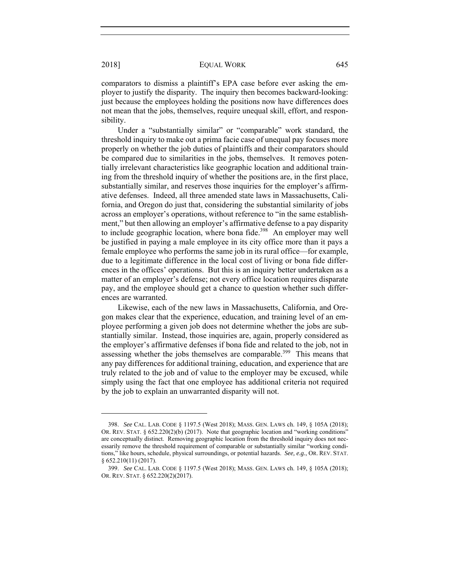comparators to dismiss a plaintiff's EPA case before ever asking the employer to justify the disparity. The inquiry then becomes backward-looking: just because the employees holding the positions now have differences does not mean that the jobs, themselves, require unequal skill, effort, and responsibility.

Under a "substantially similar" or "comparable" work standard, the threshold inquiry to make out a prima facie case of unequal pay focuses more properly on whether the job duties of plaintiffs and their comparators should be compared due to similarities in the jobs, themselves. It removes potentially irrelevant characteristics like geographic location and additional training from the threshold inquiry of whether the positions are, in the first place, substantially similar, and reserves those inquiries for the employer's affirmative defenses. Indeed, all three amended state laws in Massachusetts, California, and Oregon do just that, considering the substantial similarity of jobs across an employer's operations, without reference to "in the same establishment," but then allowing an employer's affirmative defense to a pay disparity to include geographic location, where bona fide.<sup>398</sup> An employer may well be justified in paying a male employee in its city office more than it pays a female employee who performs the same job in its rural office—for example, due to a legitimate difference in the local cost of living or bona fide differences in the offices' operations. But this is an inquiry better undertaken as a matter of an employer's defense; not every office location requires disparate pay, and the employee should get a chance to question whether such differences are warranted.

Likewise, each of the new laws in Massachusetts, California, and Oregon makes clear that the experience, education, and training level of an employee performing a given job does not determine whether the jobs are substantially similar. Instead, those inquiries are, again, properly considered as the employer's affirmative defenses if bona fide and related to the job, not in assessing whether the jobs themselves are comparable.<sup>399</sup> This means that any pay differences for additional training, education, and experience that are truly related to the job and of value to the employer may be excused, while simply using the fact that one employee has additional criteria not required by the job to explain an unwarranted disparity will not.

 <sup>398.</sup> *See* CAL. LAB. CODE § 1197.5 (West 2018); MASS. GEN. LAWS ch. 149, § 105A (2018); OR. REV. STAT. § 652.220(2)(b) (2017). Note that geographic location and "working conditions" are conceptually distinct. Removing geographic location from the threshold inquiry does not necessarily remove the threshold requirement of comparable or substantially similar "working conditions," like hours, schedule, physical surroundings, or potential hazards. *See, e.g.*, OR. REV. STAT. § 652.210(11) (2017).

 <sup>399.</sup> *See* CAL. LAB. CODE § 1197.5 (West 2018); MASS. GEN. LAWS ch. 149, § 105A (2018); OR. REV. STAT. § 652.220(2)(2017).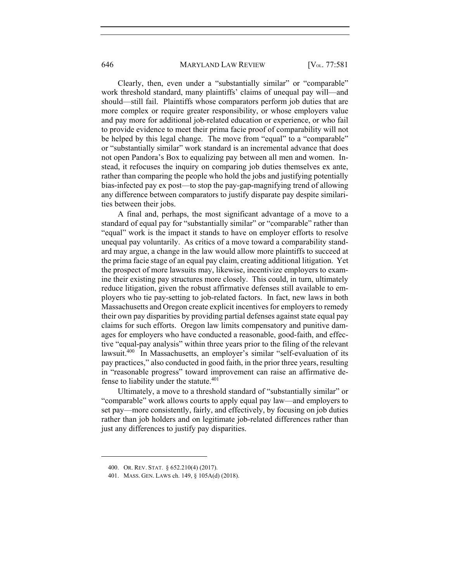646 MARYLAND LAW REVIEW [V<sub>OL.</sub> 77:581]

Clearly, then, even under a "substantially similar" or "comparable" work threshold standard, many plaintiffs' claims of unequal pay will—and should—still fail. Plaintiffs whose comparators perform job duties that are more complex or require greater responsibility, or whose employers value and pay more for additional job-related education or experience, or who fail to provide evidence to meet their prima facie proof of comparability will not be helped by this legal change. The move from "equal" to a "comparable" or "substantially similar" work standard is an incremental advance that does not open Pandora's Box to equalizing pay between all men and women. Instead, it refocuses the inquiry on comparing job duties themselves ex ante, rather than comparing the people who hold the jobs and justifying potentially bias-infected pay ex post—to stop the pay-gap-magnifying trend of allowing any difference between comparators to justify disparate pay despite similarities between their jobs.

A final and, perhaps, the most significant advantage of a move to a standard of equal pay for "substantially similar" or "comparable" rather than "equal" work is the impact it stands to have on employer efforts to resolve unequal pay voluntarily. As critics of a move toward a comparability standard may argue, a change in the law would allow more plaintiffs to succeed at the prima facie stage of an equal pay claim, creating additional litigation. Yet the prospect of more lawsuits may, likewise, incentivize employers to examine their existing pay structures more closely. This could, in turn, ultimately reduce litigation, given the robust affirmative defenses still available to employers who tie pay-setting to job-related factors. In fact, new laws in both Massachusetts and Oregon create explicit incentives for employers to remedy their own pay disparities by providing partial defenses against state equal pay claims for such efforts. Oregon law limits compensatory and punitive damages for employers who have conducted a reasonable, good-faith, and effective "equal-pay analysis" within three years prior to the filing of the relevant lawsuit.<sup>400</sup> In Massachusetts, an employer's similar "self-evaluation of its pay practices," also conducted in good faith, in the prior three years, resulting in "reasonable progress" toward improvement can raise an affirmative defense to liability under the statute. $401$ 

Ultimately, a move to a threshold standard of "substantially similar" or "comparable" work allows courts to apply equal pay law—and employers to set pay—more consistently, fairly, and effectively, by focusing on job duties rather than job holders and on legitimate job-related differences rather than just any differences to justify pay disparities.

 <sup>400.</sup> OR. REV. STAT. § 652.210(4) (2017).

 <sup>401.</sup> MASS. GEN. LAWS ch. 149, § 105A(d) (2018).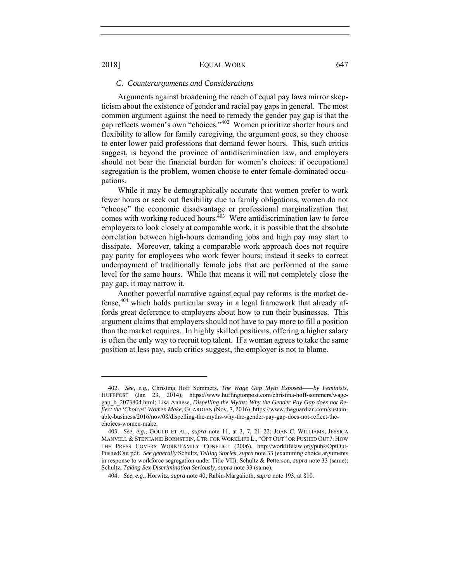$\overline{a}$ 

#### *C. Counterarguments and Considerations*

Arguments against broadening the reach of equal pay laws mirror skepticism about the existence of gender and racial pay gaps in general. The most common argument against the need to remedy the gender pay gap is that the gap reflects women's own "choices."402 Women prioritize shorter hours and flexibility to allow for family caregiving, the argument goes, so they choose to enter lower paid professions that demand fewer hours. This, such critics suggest, is beyond the province of antidiscrimination law, and employers should not bear the financial burden for women's choices: if occupational segregation is the problem, women choose to enter female-dominated occupations.

While it may be demographically accurate that women prefer to work fewer hours or seek out flexibility due to family obligations, women do not "choose" the economic disadvantage or professional marginalization that comes with working reduced hours. $403$  Were antidiscrimination law to force employers to look closely at comparable work, it is possible that the absolute correlation between high-hours demanding jobs and high pay may start to dissipate. Moreover, taking a comparable work approach does not require pay parity for employees who work fewer hours; instead it seeks to correct underpayment of traditionally female jobs that are performed at the same level for the same hours. While that means it will not completely close the pay gap, it may narrow it.

Another powerful narrative against equal pay reforms is the market defense,404 which holds particular sway in a legal framework that already affords great deference to employers about how to run their businesses. This argument claims that employers should not have to pay more to fill a position than the market requires. In highly skilled positions, offering a higher salary is often the only way to recruit top talent. If a woman agrees to take the same position at less pay, such critics suggest, the employer is not to blame.

 <sup>402.</sup> *See, e.g.*, Christina Hoff Sommers, *The Wage Gap Myth Exposed——by Feminists*, HUFFPOST (Jan 23, 2014), https://www.huffingtonpost.com/christina-hoff-sommers/wagegap\_b\_2073804.html; Lisa Annese, *Dispelling the Myths: Why the Gender Pay Gap does not Reflect the 'Choices' Women Make*, GUARDIAN (Nov. 7, 2016), https://www.theguardian.com/sustainable-business/2016/nov/08/dispelling-the-myths-why-the-gender-pay-gap-does-not-reflect-thechoices-women-make.

 <sup>403.</sup> *See, e.g.*, GOULD ET AL., *supra* note 11, at 3, 7, 21–22; JOAN C. WILLIAMS, JESSICA MANVELL & STEPHANIE BORNSTEIN, CTR. FOR WORKLIFE L., "OPT OUT" OR PUSHED OUT?: HOW THE PRESS COVERS WORK/FAMILY CONFLICT (2006), http://worklifelaw.org/pubs/OptOut-PushedOut.pdf. *See generally* Schultz, *Telling Stories*, *supra* note 33 (examining choice arguments in response to workforce segregation under Title VII); Schultz & Petterson, *supra* note 33 (same); Schultz, *Taking Sex Discrimination Seriously*, *supra* note 33 (same).

 <sup>404.</sup> *See, e.g.*, Horwitz, *supra* note 40; Rabin-Margalioth, *supra* note 193, at 810.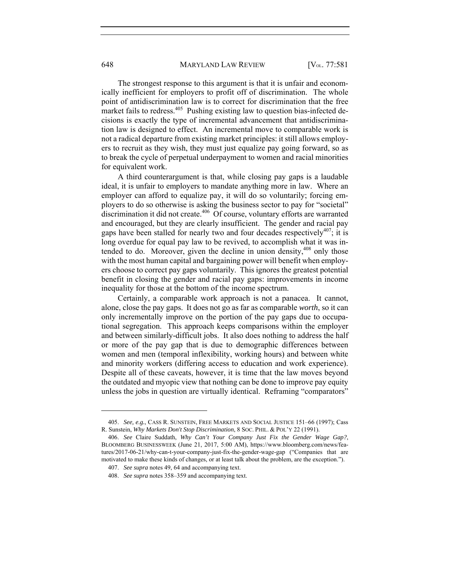648 MARYLAND LAW REVIEW [V<sub>OL.</sub> 77:581]

The strongest response to this argument is that it is unfair and economically inefficient for employers to profit off of discrimination. The whole point of antidiscrimination law is to correct for discrimination that the free market fails to redress.<sup>405</sup> Pushing existing law to question bias-infected decisions is exactly the type of incremental advancement that antidiscrimination law is designed to effect. An incremental move to comparable work is not a radical departure from existing market principles: it still allows employers to recruit as they wish, they must just equalize pay going forward, so as to break the cycle of perpetual underpayment to women and racial minorities for equivalent work.

A third counterargument is that, while closing pay gaps is a laudable ideal, it is unfair to employers to mandate anything more in law. Where an employer can afford to equalize pay, it will do so voluntarily; forcing employers to do so otherwise is asking the business sector to pay for "societal" discrimination it did not create.<sup>406</sup> Of course, voluntary efforts are warranted and encouraged, but they are clearly insufficient. The gender and racial pay gaps have been stalled for nearly two and four decades respectively<sup>407</sup>; it is long overdue for equal pay law to be revived, to accomplish what it was intended to do. Moreover, given the decline in union density,  $408$  only those with the most human capital and bargaining power will benefit when employers choose to correct pay gaps voluntarily. This ignores the greatest potential benefit in closing the gender and racial pay gaps: improvements in income inequality for those at the bottom of the income spectrum.

Certainly, a comparable work approach is not a panacea. It cannot, alone, close the pay gaps. It does not go as far as comparable *worth*, so it can only incrementally improve on the portion of the pay gaps due to occupational segregation. This approach keeps comparisons within the employer and between similarly-difficult jobs. It also does nothing to address the half or more of the pay gap that is due to demographic differences between women and men (temporal inflexibility, working hours) and between white and minority workers (differing access to education and work experience). Despite all of these caveats, however, it is time that the law moves beyond the outdated and myopic view that nothing can be done to improve pay equity unless the jobs in question are virtually identical. Reframing "comparators"

 <sup>405.</sup> *See, e.g.*, CASS R. SUNSTEIN, FREE MARKETS AND SOCIAL JUSTICE 151–66 (1997); Cass R. Sunstein, *Why Markets Don't Stop Discrimination*, 8 SOC. PHIL. & POL'Y 22 (1991).

 <sup>406.</sup> *See* Claire Suddath, *Why Can't Your Company Just Fix the Gender Wage Gap?*, BLOOMBERG BUSINESSWEEK (June 21, 2017, 5:00 AM), https://www.bloomberg.com/news/features/2017-06-21/why-can-t-your-company-just-fix-the-gender-wage-gap ("Companies that are motivated to make these kinds of changes, or at least talk about the problem, are the exception.").

 <sup>407.</sup> *See supra* notes 49, 64 and accompanying text.

 <sup>408.</sup> *See supra* notes 358–359 and accompanying text.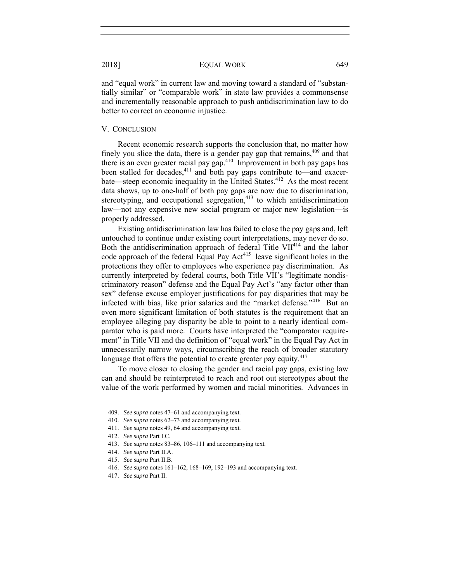and "equal work" in current law and moving toward a standard of "substantially similar" or "comparable work" in state law provides a commonsense and incrementally reasonable approach to push antidiscrimination law to do better to correct an economic injustice.

#### V. CONCLUSION

Recent economic research supports the conclusion that, no matter how finely you slice the data, there is a gender pay gap that remains, $409$  and that there is an even greater racial pay gap.410 Improvement in both pay gaps has been stalled for decades, $411$  and both pay gaps contribute to—and exacerbate—steep economic inequality in the United States.<sup>412</sup> As the most recent data shows, up to one-half of both pay gaps are now due to discrimination, stereotyping, and occupational segregation, $413$  to which antidiscrimination law—not any expensive new social program or major new legislation—is properly addressed.

Existing antidiscrimination law has failed to close the pay gaps and, left untouched to continue under existing court interpretations, may never do so. Both the antidiscrimination approach of federal Title VII<sup>414</sup> and the labor code approach of the federal Equal Pay  $Act^{415}$  leave significant holes in the protections they offer to employees who experience pay discrimination. As currently interpreted by federal courts, both Title VII's "legitimate nondiscriminatory reason" defense and the Equal Pay Act's "any factor other than sex" defense excuse employer justifications for pay disparities that may be infected with bias, like prior salaries and the "market defense."416 But an even more significant limitation of both statutes is the requirement that an employee alleging pay disparity be able to point to a nearly identical comparator who is paid more. Courts have interpreted the "comparator requirement" in Title VII and the definition of "equal work" in the Equal Pay Act in unnecessarily narrow ways, circumscribing the reach of broader statutory language that offers the potential to create greater pay equity.<sup>417</sup>

To move closer to closing the gender and racial pay gaps, existing law can and should be reinterpreted to reach and root out stereotypes about the value of the work performed by women and racial minorities. Advances in

 <sup>409.</sup> *See supra* notes 47–61 and accompanying text*.*

 <sup>410.</sup> *See supra* notes 62–73 and accompanying text*.*

 <sup>411.</sup> *See supra* notes 49, 64 and accompanying text*.*

 <sup>412.</sup> *See supra* Part I.C.

 <sup>413.</sup> *See supra* notes 83–86, 106–111 and accompanying text*.*

 <sup>414.</sup> *See supra* Part II.A.

 <sup>415.</sup> *See supra* Part II.B.

 <sup>416.</sup> *See supra* notes 161–162, 168–169, 192–193 and accompanying text*.*

 <sup>417.</sup> *See supra* Part II.